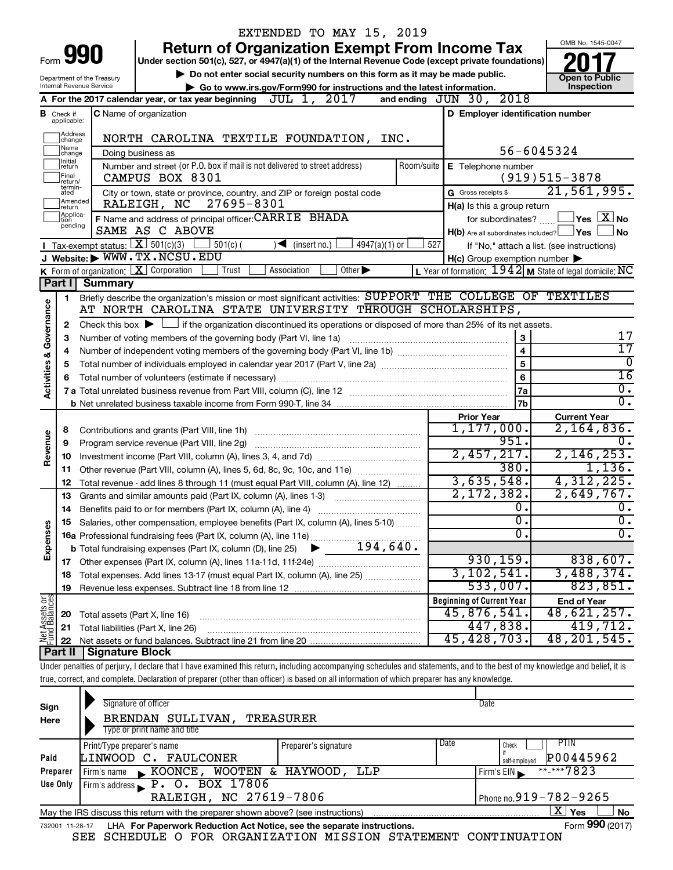|                         |                            |                                | EXTENDED TO MAY 15, 2019                                                                                                                                                   |                                                           |                                                 |
|-------------------------|----------------------------|--------------------------------|----------------------------------------------------------------------------------------------------------------------------------------------------------------------------|-----------------------------------------------------------|-------------------------------------------------|
|                         |                            |                                | <b>Return of Organization Exempt From Income Tax</b>                                                                                                                       |                                                           | OMB No. 1545-0047                               |
|                         |                            | 990                            | Under section 501(c), 527, or 4947(a)(1) of the Internal Revenue Code (except private foundations)                                                                         |                                                           |                                                 |
|                         |                            | Department of the Treasury     | Do not enter social security numbers on this form as it may be made public.                                                                                                |                                                           | <b>Open to Public</b>                           |
|                         |                            | Internal Revenue Service       | Go to www.irs.gov/Form990 for instructions and the latest information.                                                                                                     |                                                           | Inspection                                      |
|                         |                            |                                | JUL 1, 2017<br>A For the 2017 calendar year, or tax year beginning                                                                                                         | and ending JUN 30, 2018                                   |                                                 |
| в                       | Check if<br>applicable:    |                                | C Name of organization                                                                                                                                                     | D Employer identification number                          |                                                 |
|                         | Address<br>change          |                                | NORTH CAROLINA TEXTILE FOUNDATION, INC.                                                                                                                                    |                                                           |                                                 |
|                         | Name<br>change<br>Initial  |                                | Doing business as                                                                                                                                                          | 56-6045324                                                |                                                 |
|                         | return<br>Final            |                                | Number and street (or P.O. box if mail is not delivered to street address)<br>Room/suite<br>CAMPUS BOX 8301                                                                | E Telephone number                                        | $(919)515-3878$                                 |
|                         | return/<br>termin-<br>ated |                                | City or town, state or province, country, and ZIP or foreign postal code                                                                                                   | G Gross receipts \$                                       | 21,561,995.                                     |
|                         | Amended<br>return          |                                | 27695-8301<br>RALEIGH, NC                                                                                                                                                  | H(a) Is this a group return                               |                                                 |
|                         | Applica-<br>tion           |                                | F Name and address of principal officer: CARRIE BHADA                                                                                                                      | for subordinates?                                         | $ {\mathsf Y}$ es $ \overline{{\mathsf X}} $ No |
|                         | pending                    |                                | SAME AS C ABOVE                                                                                                                                                            | $H(b)$ Are all subordinates included? $\Box$ Yes          | <b>No</b>                                       |
|                         |                            |                                | Tax-exempt status: $\boxed{\mathbf{X}}$ 501(c)(3)<br>$501(c)$ (<br>$\sqrt{\frac{1}{1}}$ (insert no.)<br>$4947(a)(1)$ or                                                    | 527<br>If "No," attach a list. (see instructions)         |                                                 |
|                         |                            |                                | J Website: WWW.TX.NCSU.EDU                                                                                                                                                 | $H(c)$ Group exemption number $\blacktriangleright$       |                                                 |
|                         |                            |                                | K Form of organization:   X Corporation<br>Association<br>Other $\blacktriangleright$<br>Trust                                                                             | L Year of formation: $1942$ M State of legal domicile: NC |                                                 |
|                         | Part I                     | <b>Summary</b>                 |                                                                                                                                                                            |                                                           |                                                 |
|                         | 1                          |                                | Briefly describe the organization's mission or most significant activities: SUPPORT THE COLLEGE OF TEXTILES                                                                |                                                           |                                                 |
|                         |                            |                                | AT NORTH CAROLINA STATE UNIVERSITY THROUGH SCHOLARSHIPS,                                                                                                                   |                                                           |                                                 |
| Activities & Governance | 2                          |                                | Check this box $\blacktriangleright$ $\Box$ if the organization discontinued its operations or disposed of more than 25% of its net assets.                                |                                                           |                                                 |
|                         | З                          |                                | Number of voting members of the governing body (Part VI, line 1a)                                                                                                          | 3                                                         | 17                                              |
|                         | 4                          |                                |                                                                                                                                                                            | $\overline{\mathbf{4}}$                                   | $\overline{17}$                                 |
|                         | 5                          |                                |                                                                                                                                                                            | 5                                                         | 0                                               |
|                         |                            |                                |                                                                                                                                                                            | 6                                                         | 16                                              |
|                         |                            |                                |                                                                                                                                                                            | 7a                                                        | $\overline{0}$ .                                |
|                         |                            |                                |                                                                                                                                                                            | 7b                                                        | σ.                                              |
|                         |                            |                                |                                                                                                                                                                            | <b>Prior Year</b>                                         | <b>Current Year</b>                             |
|                         | 8                          |                                | Contributions and grants (Part VIII, line 1h)                                                                                                                              | 1, 177, 000.                                              | $2,164,836$ .                                   |
| Revenue                 | 9                          |                                | Program service revenue (Part VIII, line 2g)                                                                                                                               | 951.                                                      |                                                 |
|                         | 10                         |                                |                                                                                                                                                                            | 2,457,217.<br>380.                                        | 2, 146, 253.                                    |
|                         | 11                         |                                | Other revenue (Part VIII, column (A), lines 5, 6d, 8c, 9c, 10c, and 11e)                                                                                                   | 3,635,548.                                                | 1,136.<br>4,312,225.                            |
|                         | 12                         |                                | Total revenue - add lines 8 through 11 (must equal Part VIII, column (A), line 12)                                                                                         | 2,172,382.                                                | 2,649,767.                                      |
|                         | 13                         |                                | Grants and similar amounts paid (Part IX, column (A), lines 1-3) <i></i>                                                                                                   | О.                                                        | О.                                              |
|                         | 14                         |                                | Benefits paid to or for members (Part IX, column (A), line 4)                                                                                                              | $\overline{0}$ .                                          | $\overline{\mathfrak{o}}$ .                     |
|                         |                            |                                | Salaries, other compensation, employee benefits (Part IX, column (A), lines 5-10)                                                                                          | 0                                                         | σ.                                              |
| Expenses                |                            |                                |                                                                                                                                                                            |                                                           |                                                 |
|                         | 17                         |                                |                                                                                                                                                                            | 930, 159.                                                 | 838,607.                                        |
|                         | 18                         |                                | Total expenses. Add lines 13-17 (must equal Part IX, column (A), line 25)                                                                                                  | 3, 102, 541.                                              | 3,488,374.                                      |
|                         | 19                         |                                |                                                                                                                                                                            | 533,007.                                                  | 823, 851.                                       |
|                         |                            |                                |                                                                                                                                                                            | <b>Beginning of Current Year</b>                          | <b>End of Year</b>                              |
| Net Assets or           | 20                         | Total assets (Part X, line 16) |                                                                                                                                                                            | 45,876,541.                                               | 48,621,257.                                     |
|                         | 21                         |                                | Total liabilities (Part X, line 26)                                                                                                                                        | 447,838.                                                  | 419,712.                                        |
|                         | 22                         |                                |                                                                                                                                                                            | 45,428,703                                                | 48, 201, 545.                                   |
|                         | Part II                    | Signature Block                |                                                                                                                                                                            |                                                           |                                                 |
|                         |                            |                                | Under penalties of perjury, I declare that I have examined this return, including accompanying schedules and statements, and to the best of my knowledge and belief, it is |                                                           |                                                 |
|                         |                            |                                | true, correct, and complete. Declaration of preparer (other than officer) is based on all information of which preparer has any knowledge.                                 |                                                           |                                                 |
|                         |                            |                                |                                                                                                                                                                            |                                                           |                                                 |

| Sign<br>Here | Signature of officer<br>BRENDAN SULLIVAN,<br>Type or print name and title                                    | TREASURER            | Date |                                       |  |  |  |  |  |  |  |
|--------------|--------------------------------------------------------------------------------------------------------------|----------------------|------|---------------------------------------|--|--|--|--|--|--|--|
|              | Print/Type preparer's name<br>LINWOOD C.<br>FAULCONER                                                        | Preparer's signature | Date | <b>PTIN</b><br>Check<br>P00445962     |  |  |  |  |  |  |  |
| Paid         |                                                                                                              |                      |      | self-emploved                         |  |  |  |  |  |  |  |
| Preparer     | KOONCE,<br>WOOTEN &<br>Firm's name<br>$\mathbf{K}$ .                                                         | HAYWOOD,<br>LLP      |      | ** <sub>-</sub> ***7823<br>Firm's EIN |  |  |  |  |  |  |  |
| Use Only     | P. O. BOX 17806<br>Firm's address                                                                            |                      |      |                                       |  |  |  |  |  |  |  |
|              | Phone no. $919 - 782 - 9265$                                                                                 |                      |      |                                       |  |  |  |  |  |  |  |
|              | May the IRS discuss this return with the preparer shown above? (see instructions)                            |                      |      | $\mathbf{X}$ Yes<br><b>No</b>         |  |  |  |  |  |  |  |
|              | Form 990 (2017)<br>LHA For Paperwork Reduction Act Notice, see the separate instructions.<br>732001 11-28-17 |                      |      |                                       |  |  |  |  |  |  |  |

SEE SCHEDULE O FOR ORGANIZATION MISSION STATEMENT CONTINUATION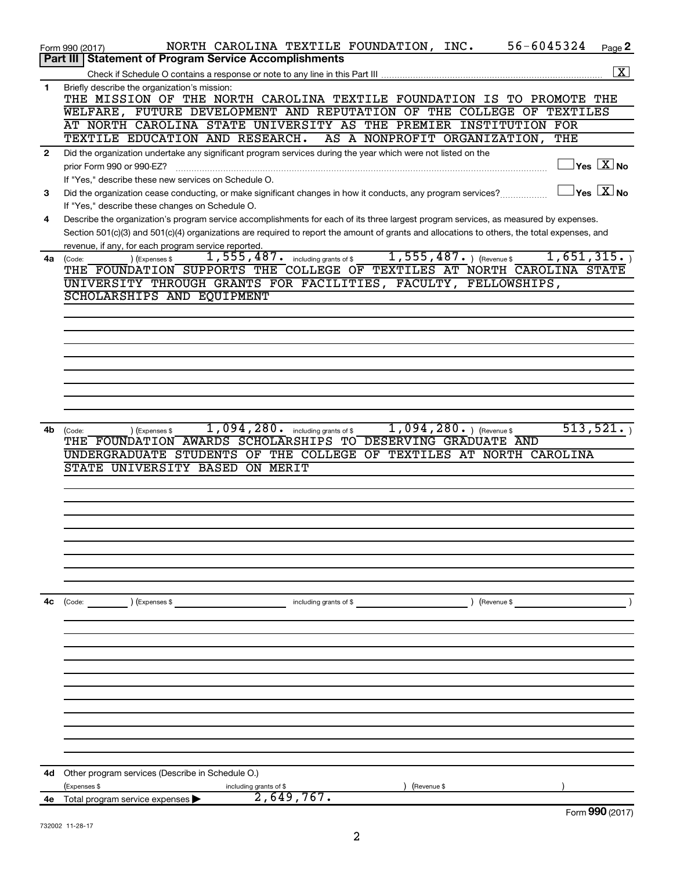|              | 56-6045324<br>NORTH CAROLINA TEXTILE FOUNDATION, INC.<br>Page 2<br>Form 990 (2017)                                                                  |                    |
|--------------|-----------------------------------------------------------------------------------------------------------------------------------------------------|--------------------|
|              | <b>Statement of Program Service Accomplishments</b><br>Part III                                                                                     |                    |
|              |                                                                                                                                                     | $\boxed{\text{X}}$ |
| 1            | Briefly describe the organization's mission:                                                                                                        |                    |
|              | THE MISSION OF THE NORTH CAROLINA TEXTILE FOUNDATION IS TO PROMOTE THE                                                                              |                    |
|              | WELFARE, FUTURE DEVELOPMENT AND REPUTATION OF THE COLLEGE OF TEXTILES                                                                               |                    |
|              | AT NORTH CAROLINA STATE UNIVERSITY AS THE PREMIER INSTITUTION FOR                                                                                   |                    |
|              | TEXTILE EDUCATION AND RESEARCH.<br>AS A NONPROFIT ORGANIZATION,<br>THE                                                                              |                    |
| $\mathbf{2}$ | Did the organization undertake any significant program services during the year which were not listed on the                                        |                    |
|              | $\overline{\ }$ Yes $\overline{\rm \ }X$ No<br>prior Form 990 or 990-EZ?                                                                            |                    |
|              | If "Yes," describe these new services on Schedule O.                                                                                                |                    |
| 3            | $\exists$ Yes $\boxed{\text{X}}$ No<br>Did the organization cease conducting, or make significant changes in how it conducts, any program services? |                    |
|              | If "Yes," describe these changes on Schedule O.                                                                                                     |                    |
|              |                                                                                                                                                     |                    |
| 4            | Describe the organization's program service accomplishments for each of its three largest program services, as measured by expenses.                |                    |
|              | Section 501(c)(3) and 501(c)(4) organizations are required to report the amount of grants and allocations to others, the total expenses, and        |                    |
|              | revenue, if any, for each program service reported.                                                                                                 |                    |
| 4a           | $1,555,487.$ (Revenue \$<br>1,651,315.<br>$\overline{1,555}$ , $487$ . including grants of \$<br>) (Expenses \$<br>(Code:                           |                    |
|              | THE FOUNDATION SUPPORTS THE COLLEGE OF TEXTILES AT NORTH CAROLINA STATE                                                                             |                    |
|              | UNIVERSITY THROUGH GRANTS FOR FACILITIES, FACULTY, FELLOWSHIPS,                                                                                     |                    |
|              | SCHOLARSHIPS AND EQUIPMENT                                                                                                                          |                    |
|              |                                                                                                                                                     |                    |
|              |                                                                                                                                                     |                    |
|              |                                                                                                                                                     |                    |
|              |                                                                                                                                                     |                    |
|              |                                                                                                                                                     |                    |
|              |                                                                                                                                                     |                    |
|              |                                                                                                                                                     |                    |
|              |                                                                                                                                                     |                    |
|              |                                                                                                                                                     |                    |
| 4b           | 513,521.<br>$1,094,280.$ (Revenue \$)<br>1,094,280. including grants of \$<br>) (Expenses \$<br>(Code:                                              |                    |
|              | THE FOUNDATION AWARDS SCHOLARSHIPS TO DESERVING GRADUATE AND                                                                                        |                    |
|              | UNDERGRADUATE STUDENTS OF THE COLLEGE OF TEXTILES AT NORTH CAROLINA                                                                                 |                    |
|              | STATE UNIVERSITY BASED ON MERIT                                                                                                                     |                    |
|              |                                                                                                                                                     |                    |
|              |                                                                                                                                                     |                    |
|              |                                                                                                                                                     |                    |
|              |                                                                                                                                                     |                    |
|              |                                                                                                                                                     |                    |
|              |                                                                                                                                                     |                    |
|              |                                                                                                                                                     |                    |
|              |                                                                                                                                                     |                    |
|              |                                                                                                                                                     |                    |
|              |                                                                                                                                                     |                    |
| 4c           | ) (Expenses \$<br>) (Revenue \$<br>(Code:<br>including grants of \$                                                                                 |                    |
|              |                                                                                                                                                     |                    |
|              |                                                                                                                                                     |                    |
|              |                                                                                                                                                     |                    |
|              |                                                                                                                                                     |                    |
|              |                                                                                                                                                     |                    |
|              |                                                                                                                                                     |                    |
|              |                                                                                                                                                     |                    |
|              |                                                                                                                                                     |                    |
|              |                                                                                                                                                     |                    |
|              |                                                                                                                                                     |                    |
|              |                                                                                                                                                     |                    |
|              |                                                                                                                                                     |                    |
|              |                                                                                                                                                     |                    |
| 4d           | Other program services (Describe in Schedule O.)                                                                                                    |                    |
|              | (Expenses \$<br>including grants of \$<br>(Revenue \$                                                                                               |                    |
| 4е           | 2,649,767.<br>Total program service expenses >                                                                                                      |                    |
|              | Form 990 (2017)                                                                                                                                     |                    |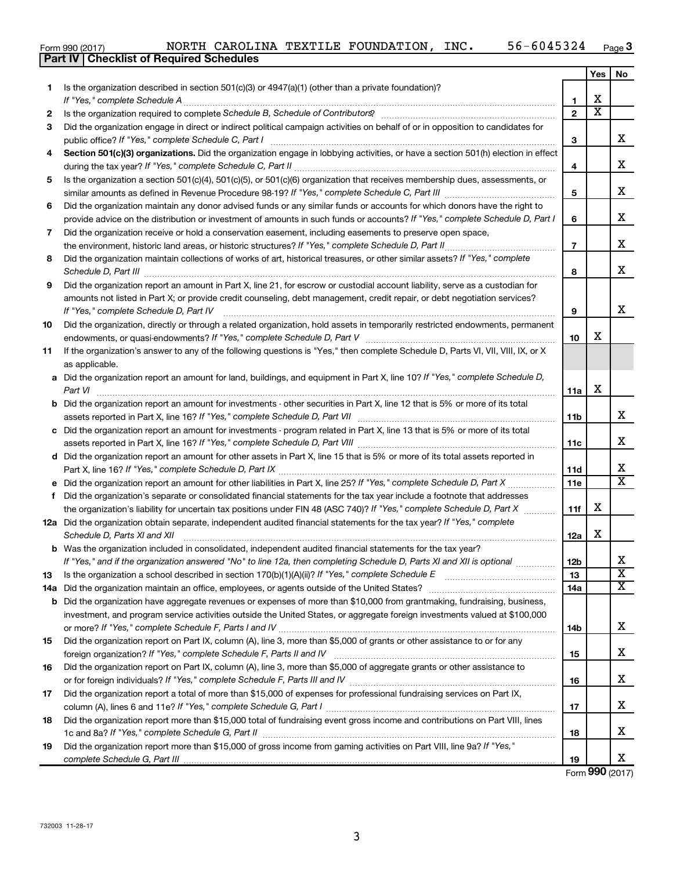|  | Form 990 (2017) |
|--|-----------------|

|     | <b>Part IV   Checklist of Required Schedules</b>                                                                                                                                                                                    |                         |                         |                         |
|-----|-------------------------------------------------------------------------------------------------------------------------------------------------------------------------------------------------------------------------------------|-------------------------|-------------------------|-------------------------|
|     |                                                                                                                                                                                                                                     |                         | Yes                     | No                      |
| 1   | Is the organization described in section 501(c)(3) or 4947(a)(1) (other than a private foundation)?                                                                                                                                 |                         |                         |                         |
|     |                                                                                                                                                                                                                                     | 1                       | х                       |                         |
| 2   |                                                                                                                                                                                                                                     | $\mathbf{2}$            | $\overline{\textbf{x}}$ |                         |
| 3   | Did the organization engage in direct or indirect political campaign activities on behalf of or in opposition to candidates for                                                                                                     |                         |                         |                         |
|     |                                                                                                                                                                                                                                     | 3                       |                         | x                       |
| 4   | Section 501(c)(3) organizations. Did the organization engage in lobbying activities, or have a section 501(h) election in effect                                                                                                    |                         |                         |                         |
|     |                                                                                                                                                                                                                                     | 4                       |                         | x                       |
| 5   | Is the organization a section 501(c)(4), 501(c)(5), or 501(c)(6) organization that receives membership dues, assessments, or                                                                                                        |                         |                         |                         |
|     |                                                                                                                                                                                                                                     | 5                       |                         | x                       |
| 6   | Did the organization maintain any donor advised funds or any similar funds or accounts for which donors have the right to                                                                                                           |                         |                         |                         |
|     | provide advice on the distribution or investment of amounts in such funds or accounts? If "Yes," complete Schedule D, Part I                                                                                                        | 6                       |                         | x                       |
| 7   | Did the organization receive or hold a conservation easement, including easements to preserve open space,                                                                                                                           |                         |                         |                         |
|     |                                                                                                                                                                                                                                     | $\overline{\mathbf{r}}$ |                         | х                       |
| 8   | Did the organization maintain collections of works of art, historical treasures, or other similar assets? If "Yes," complete                                                                                                        |                         |                         |                         |
|     | Schedule D, Part III <b>Marting Community</b> Construction of the Construction of the Construction of the Construction of the Construction of the Construction of the Construction of the Construction of the Construction of the C | 8                       |                         | х                       |
| 9   | Did the organization report an amount in Part X, line 21, for escrow or custodial account liability, serve as a custodian for                                                                                                       |                         |                         |                         |
|     | amounts not listed in Part X; or provide credit counseling, debt management, credit repair, or debt negotiation services?                                                                                                           |                         |                         |                         |
|     | If "Yes," complete Schedule D, Part IV                                                                                                                                                                                              | 9                       |                         | x                       |
| 10  | Did the organization, directly or through a related organization, hold assets in temporarily restricted endowments, permanent                                                                                                       |                         |                         |                         |
|     |                                                                                                                                                                                                                                     | 10                      | x                       |                         |
| 11  | If the organization's answer to any of the following questions is "Yes," then complete Schedule D, Parts VI, VII, VIII, IX, or X                                                                                                    |                         |                         |                         |
|     | as applicable.                                                                                                                                                                                                                      |                         |                         |                         |
|     | a Did the organization report an amount for land, buildings, and equipment in Part X, line 10? If "Yes," complete Schedule D,                                                                                                       |                         |                         |                         |
|     |                                                                                                                                                                                                                                     | 11a                     | X                       |                         |
|     | <b>b</b> Did the organization report an amount for investments - other securities in Part X, line 12 that is 5% or more of its total                                                                                                |                         |                         |                         |
|     |                                                                                                                                                                                                                                     | 11b                     |                         | x                       |
|     | c Did the organization report an amount for investments - program related in Part X, line 13 that is 5% or more of its total                                                                                                        |                         |                         |                         |
|     |                                                                                                                                                                                                                                     | 11c                     |                         | х                       |
|     | d Did the organization report an amount for other assets in Part X, line 15 that is 5% or more of its total assets reported in                                                                                                      |                         |                         |                         |
|     |                                                                                                                                                                                                                                     | 11d                     |                         | х                       |
|     |                                                                                                                                                                                                                                     | 11 <sub>c</sub>         |                         | $\overline{\texttt{x}}$ |
|     | f Did the organization's separate or consolidated financial statements for the tax year include a footnote that addresses                                                                                                           |                         |                         |                         |
|     | the organization's liability for uncertain tax positions under FIN 48 (ASC 740)? If "Yes," complete Schedule D, Part X                                                                                                              | 11f                     | х                       |                         |
|     | 12a Did the organization obtain separate, independent audited financial statements for the tax year? If "Yes," complete                                                                                                             |                         |                         |                         |
|     | Schedule D, Parts XI and XII                                                                                                                                                                                                        | 12a                     | x                       |                         |
|     | <b>b</b> Was the organization included in consolidated, independent audited financial statements for the tax year?                                                                                                                  |                         |                         |                         |
|     | If "Yes," and if the organization answered "No" to line 12a, then completing Schedule D, Parts XI and XII is optional                                                                                                               | 12b                     |                         | х                       |
| 13  |                                                                                                                                                                                                                                     | 13                      |                         | $\overline{\mathbf{X}}$ |
| 14a |                                                                                                                                                                                                                                     | 14a                     |                         | X                       |
|     | <b>b</b> Did the organization have aggregate revenues or expenses of more than \$10,000 from grantmaking, fundraising, business,                                                                                                    |                         |                         |                         |
|     | investment, and program service activities outside the United States, or aggregate foreign investments valued at \$100,000                                                                                                          |                         |                         |                         |
|     |                                                                                                                                                                                                                                     | 14b                     |                         | х                       |
| 15  | Did the organization report on Part IX, column (A), line 3, more than \$5,000 of grants or other assistance to or for any                                                                                                           |                         |                         |                         |
|     |                                                                                                                                                                                                                                     | 15                      |                         | х                       |
| 16  | Did the organization report on Part IX, column (A), line 3, more than \$5,000 of aggregate grants or other assistance to                                                                                                            |                         |                         |                         |
|     |                                                                                                                                                                                                                                     | 16                      |                         | х                       |
| 17  | Did the organization report a total of more than \$15,000 of expenses for professional fundraising services on Part IX,                                                                                                             |                         |                         |                         |
|     |                                                                                                                                                                                                                                     | 17                      |                         | х                       |
| 18  | Did the organization report more than \$15,000 total of fundraising event gross income and contributions on Part VIII, lines                                                                                                        |                         |                         |                         |
|     |                                                                                                                                                                                                                                     | 18                      |                         | х                       |
| 19  | Did the organization report more than \$15,000 of gross income from gaming activities on Part VIII, line 9a? If "Yes,"                                                                                                              |                         |                         |                         |
|     |                                                                                                                                                                                                                                     | 19                      |                         | x                       |

Form (2017) **990**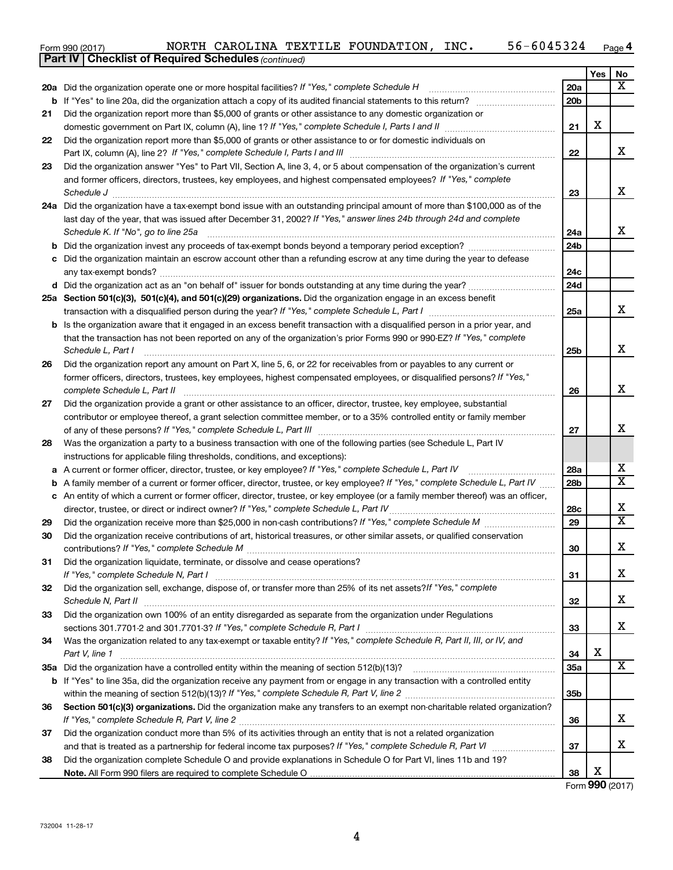| Form 990 (2017) | NORTH |  |  | CAROLINA TEXTILE FOUNDATION | INC. | -6045324<br>$56 -$ | Page |
|-----------------|-------|--|--|-----------------------------|------|--------------------|------|
|-----------------|-------|--|--|-----------------------------|------|--------------------|------|

|    | <b>Part IV   Checklist of Required Schedules (continued)</b>                                                                                                                                         |                 |     |                              |
|----|------------------------------------------------------------------------------------------------------------------------------------------------------------------------------------------------------|-----------------|-----|------------------------------|
|    |                                                                                                                                                                                                      |                 | Yes | No                           |
|    | 20a Did the organization operate one or more hospital facilities? If "Yes," complete Schedule H                                                                                                      | <b>20a</b>      |     | $\overline{\texttt{X}}$      |
| b  |                                                                                                                                                                                                      | 20 <sub>b</sub> |     |                              |
| 21 | Did the organization report more than \$5,000 of grants or other assistance to any domestic organization or                                                                                          |                 |     |                              |
|    |                                                                                                                                                                                                      | 21              | X   |                              |
| 22 | Did the organization report more than \$5,000 of grants or other assistance to or for domestic individuals on                                                                                        |                 |     |                              |
|    | Part IX, column (A), line 2? If "Yes," complete Schedule I, Parts I and III [11]] [11]] [11] [11] [11] [11] [1                                                                                       | 22              |     | x                            |
| 23 | Did the organization answer "Yes" to Part VII, Section A, line 3, 4, or 5 about compensation of the organization's current                                                                           |                 |     |                              |
|    | and former officers, directors, trustees, key employees, and highest compensated employees? If "Yes," complete                                                                                       |                 |     |                              |
|    | Schedule J <b>Example 2 Contract 2 Contract 2 Contract 2 Contract 2 Contract 2 Contract 2 Contract 2 Contract 2 Contract 2 Contract 2 Contract 2 Contract 2 Contract 2 Contract 2 Contract 2 Con</b> | 23              |     | X                            |
|    | 24a Did the organization have a tax-exempt bond issue with an outstanding principal amount of more than \$100,000 as of the                                                                          |                 |     |                              |
|    | last day of the year, that was issued after December 31, 2002? If "Yes," answer lines 24b through 24d and complete                                                                                   |                 |     |                              |
|    | Schedule K. If "No", go to line 25a                                                                                                                                                                  | 24a             |     | x                            |
| b  |                                                                                                                                                                                                      | 24b             |     |                              |
|    | Did the organization maintain an escrow account other than a refunding escrow at any time during the year to defease                                                                                 |                 |     |                              |
|    |                                                                                                                                                                                                      | 24c             |     |                              |
|    |                                                                                                                                                                                                      | 24d             |     |                              |
|    | 25a Section 501(c)(3), 501(c)(4), and 501(c)(29) organizations. Did the organization engage in an excess benefit                                                                                     |                 |     |                              |
|    |                                                                                                                                                                                                      | 25a             |     | x                            |
| b  | Is the organization aware that it engaged in an excess benefit transaction with a disqualified person in a prior year, and                                                                           |                 |     |                              |
|    | that the transaction has not been reported on any of the organization's prior Forms 990 or 990-EZ? If "Yes," complete                                                                                |                 |     |                              |
|    | Schedule L, Part I                                                                                                                                                                                   | 25b             |     | X                            |
| 26 | Did the organization report any amount on Part X, line 5, 6, or 22 for receivables from or payables to any current or                                                                                |                 |     |                              |
|    | former officers, directors, trustees, key employees, highest compensated employees, or disqualified persons? If "Yes,"                                                                               |                 |     |                              |
|    | complete Schedule L, Part II                                                                                                                                                                         | 26              |     | X                            |
| 27 | Did the organization provide a grant or other assistance to an officer, director, trustee, key employee, substantial                                                                                 |                 |     |                              |
|    | contributor or employee thereof, a grant selection committee member, or to a 35% controlled entity or family member                                                                                  |                 |     |                              |
|    |                                                                                                                                                                                                      | 27              |     | x                            |
| 28 | Was the organization a party to a business transaction with one of the following parties (see Schedule L, Part IV                                                                                    |                 |     |                              |
|    | instructions for applicable filing thresholds, conditions, and exceptions):                                                                                                                          |                 |     |                              |
| а  | A current or former officer, director, trustee, or key employee? If "Yes," complete Schedule L, Part IV                                                                                              | 28a             |     | х                            |
| b  | A family member of a current or former officer, director, trustee, or key employee? If "Yes," complete Schedule L, Part IV                                                                           | 28b             |     | $\overline{\mathbf{X}}$      |
|    | c An entity of which a current or former officer, director, trustee, or key employee (or a family member thereof) was an officer,                                                                    |                 |     |                              |
|    | director, trustee, or direct or indirect owner? If "Yes," complete Schedule L, Part IV                                                                                                               | 28c             |     | x<br>$\overline{\mathbf{x}}$ |
| 29 |                                                                                                                                                                                                      | 29              |     |                              |
| 30 | Did the organization receive contributions of art, historical treasures, or other similar assets, or qualified conservation                                                                          |                 |     |                              |
|    |                                                                                                                                                                                                      | 30              |     | Χ                            |
| 31 | Did the organization liquidate, terminate, or dissolve and cease operations?                                                                                                                         |                 |     | x                            |
|    |                                                                                                                                                                                                      | 31              |     |                              |
| 32 | Did the organization sell, exchange, dispose of, or transfer more than 25% of its net assets? If "Yes," complete                                                                                     | 32              |     | X                            |
|    | Did the organization own 100% of an entity disregarded as separate from the organization under Regulations                                                                                           |                 |     |                              |
| 33 |                                                                                                                                                                                                      | 33              |     | x                            |
| 34 | Was the organization related to any tax-exempt or taxable entity? If "Yes," complete Schedule R, Part II, III, or IV, and                                                                            |                 |     |                              |
|    | Part V, line 1                                                                                                                                                                                       | 34              | X   |                              |
|    |                                                                                                                                                                                                      | 35a             |     | X                            |
|    | b If "Yes" to line 35a, did the organization receive any payment from or engage in any transaction with a controlled entity                                                                          |                 |     |                              |
|    |                                                                                                                                                                                                      | 35 <sub>b</sub> |     |                              |
| 36 | Section 501(c)(3) organizations. Did the organization make any transfers to an exempt non-charitable related organization?                                                                           |                 |     |                              |
|    |                                                                                                                                                                                                      | 36              |     | x                            |
| 37 | Did the organization conduct more than 5% of its activities through an entity that is not a related organization                                                                                     |                 |     |                              |
|    |                                                                                                                                                                                                      | 37              |     | x                            |
| 38 | Did the organization complete Schedule O and provide explanations in Schedule O for Part VI, lines 11b and 19?                                                                                       |                 |     |                              |
|    |                                                                                                                                                                                                      | 38              | X   |                              |

Form (2017) **990**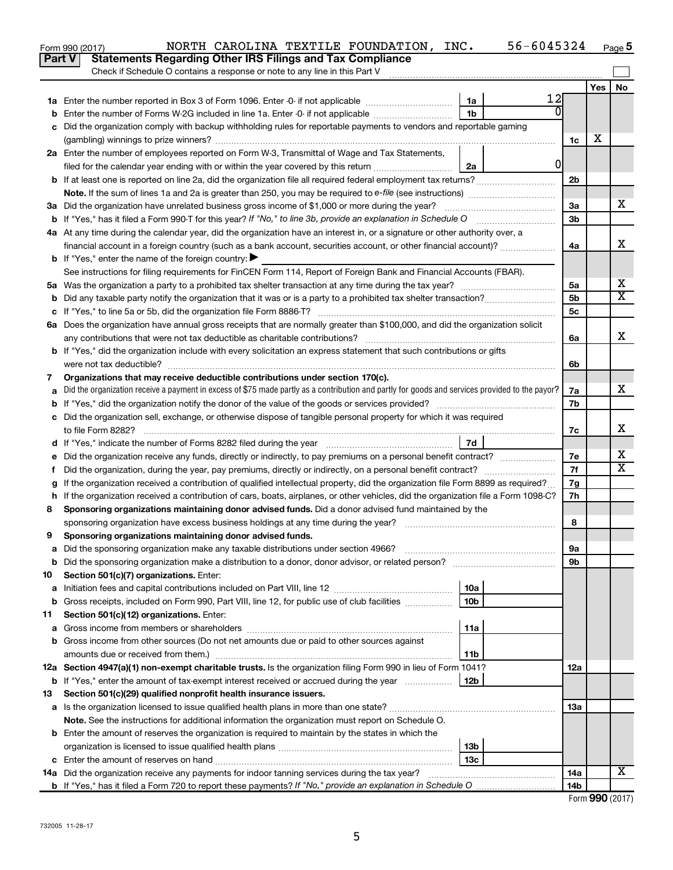|         | NORTH CAROLINA TEXTILE FOUNDATION, INC.<br>Form 990 (2017)                                                                                      |                 | 56-6045324 |          |     | Page 5                       |
|---------|-------------------------------------------------------------------------------------------------------------------------------------------------|-----------------|------------|----------|-----|------------------------------|
|         | <b>Statements Regarding Other IRS Filings and Tax Compliance</b><br>Part V                                                                      |                 |            |          |     |                              |
|         | Check if Schedule O contains a response or note to any line in this Part V                                                                      |                 |            |          |     |                              |
|         |                                                                                                                                                 |                 |            |          | Yes | No                           |
|         |                                                                                                                                                 | 1a              | 12         |          |     |                              |
|         |                                                                                                                                                 | 1b              |            |          |     |                              |
|         | c Did the organization comply with backup withholding rules for reportable payments to vendors and reportable gaming                            |                 |            |          |     |                              |
|         |                                                                                                                                                 |                 |            | 1c       | х   |                              |
|         | 2a Enter the number of employees reported on Form W-3, Transmittal of Wage and Tax Statements,                                                  |                 |            |          |     |                              |
|         | filed for the calendar year ending with or within the year covered by this return                                                               | 2a              | 0          |          |     |                              |
|         | <b>b</b> If at least one is reported on line 2a, did the organization file all required federal employment tax returns?                         |                 |            | 2b       |     |                              |
|         |                                                                                                                                                 |                 |            |          |     |                              |
|         | 3a Did the organization have unrelated business gross income of \$1,000 or more during the year?                                                |                 |            | За       |     | x                            |
|         | <b>b</b> If "Yes," has it filed a Form 990-T for this year? If "No," to line 3b, provide an explanation in Schedule O manumum                   |                 |            | 3b       |     |                              |
|         | 4a At any time during the calendar year, did the organization have an interest in, or a signature or other authority over, a                    |                 |            |          |     |                              |
|         | financial account in a foreign country (such as a bank account, securities account, or other financial account)?                                |                 |            | 4a       |     | х                            |
|         | <b>b</b> If "Yes," enter the name of the foreign country: $\blacktriangleright$                                                                 |                 |            |          |     |                              |
|         | See instructions for filing requirements for FinCEN Form 114, Report of Foreign Bank and Financial Accounts (FBAR).                             |                 |            |          |     |                              |
|         |                                                                                                                                                 |                 |            | 5a       |     | Х<br>$\overline{\mathtt{x}}$ |
| b       |                                                                                                                                                 |                 |            | 5b       |     |                              |
|         |                                                                                                                                                 |                 |            | 5c       |     |                              |
|         | 6a Does the organization have annual gross receipts that are normally greater than \$100,000, and did the organization solicit                  |                 |            |          |     | X                            |
|         |                                                                                                                                                 |                 |            | 6a       |     |                              |
|         | <b>b</b> If "Yes," did the organization include with every solicitation an express statement that such contributions or gifts                   |                 |            |          |     |                              |
|         |                                                                                                                                                 |                 |            | 6b       |     |                              |
| 7       | Organizations that may receive deductible contributions under section 170(c).                                                                   |                 |            |          |     | х                            |
| a       | Did the organization receive a payment in excess of \$75 made partly as a contribution and partly for goods and services provided to the payor? |                 |            | 7a       |     |                              |
| b       | c Did the organization sell, exchange, or otherwise dispose of tangible personal property for which it was required                             |                 |            | 7b       |     |                              |
|         |                                                                                                                                                 |                 |            |          |     | х                            |
|         | to file Form 8282?                                                                                                                              | 7d              |            | 7c       |     |                              |
|         | Did the organization receive any funds, directly or indirectly, to pay premiums on a personal benefit contract?                                 |                 |            |          |     | х                            |
| е<br>f. |                                                                                                                                                 |                 |            | 7e<br>7f |     | $\overline{\texttt{x}}$      |
| g       | If the organization received a contribution of qualified intellectual property, did the organization file Form 8899 as required?                |                 |            | 7g       |     |                              |
| h.      | If the organization received a contribution of cars, boats, airplanes, or other vehicles, did the organization file a Form 1098-C?              |                 |            | 7h       |     |                              |
| 8       | Sponsoring organizations maintaining donor advised funds. Did a donor advised fund maintained by the                                            |                 |            |          |     |                              |
|         | sponsoring organization have excess business holdings at any time during the year?                                                              |                 |            | 8        |     |                              |
| 9       | Sponsoring organizations maintaining donor advised funds.                                                                                       |                 |            |          |     |                              |
| а       | Did the sponsoring organization make any taxable distributions under section 4966?                                                              |                 |            | 9а       |     |                              |
| b       |                                                                                                                                                 |                 |            | 9b       |     |                              |
| 10      | Section 501(c)(7) organizations. Enter:                                                                                                         |                 |            |          |     |                              |
| а       |                                                                                                                                                 | 10a             |            |          |     |                              |
| b       | Gross receipts, included on Form 990, Part VIII, line 12, for public use of club facilities                                                     | 10b             |            |          |     |                              |
| 11      | Section 501(c)(12) organizations. Enter:                                                                                                        |                 |            |          |     |                              |
| а       |                                                                                                                                                 | 11a             |            |          |     |                              |
| b       | Gross income from other sources (Do not net amounts due or paid to other sources against                                                        |                 |            |          |     |                              |
|         |                                                                                                                                                 | 11b             |            |          |     |                              |
|         | 12a Section 4947(a)(1) non-exempt charitable trusts. Is the organization filing Form 990 in lieu of Form 1041?                                  |                 |            | 12a      |     |                              |
|         | <b>b</b> If "Yes," enter the amount of tax-exempt interest received or accrued during the year                                                  | 12 <sub>b</sub> |            |          |     |                              |
| 13      | Section 501(c)(29) qualified nonprofit health insurance issuers.                                                                                |                 |            |          |     |                              |
| а       |                                                                                                                                                 |                 |            | 1За      |     |                              |
|         | Note. See the instructions for additional information the organization must report on Schedule O.                                               |                 |            |          |     |                              |
| b       | Enter the amount of reserves the organization is required to maintain by the states in which the                                                |                 |            |          |     |                              |
|         |                                                                                                                                                 | 13b             |            |          |     |                              |
|         |                                                                                                                                                 | 13с             |            |          |     |                              |
|         | 14a Did the organization receive any payments for indoor tanning services during the tax year?                                                  |                 |            | 14a      |     | х                            |
|         |                                                                                                                                                 |                 |            | 14b      |     |                              |

| Form 990 (2017) |
|-----------------|
|-----------------|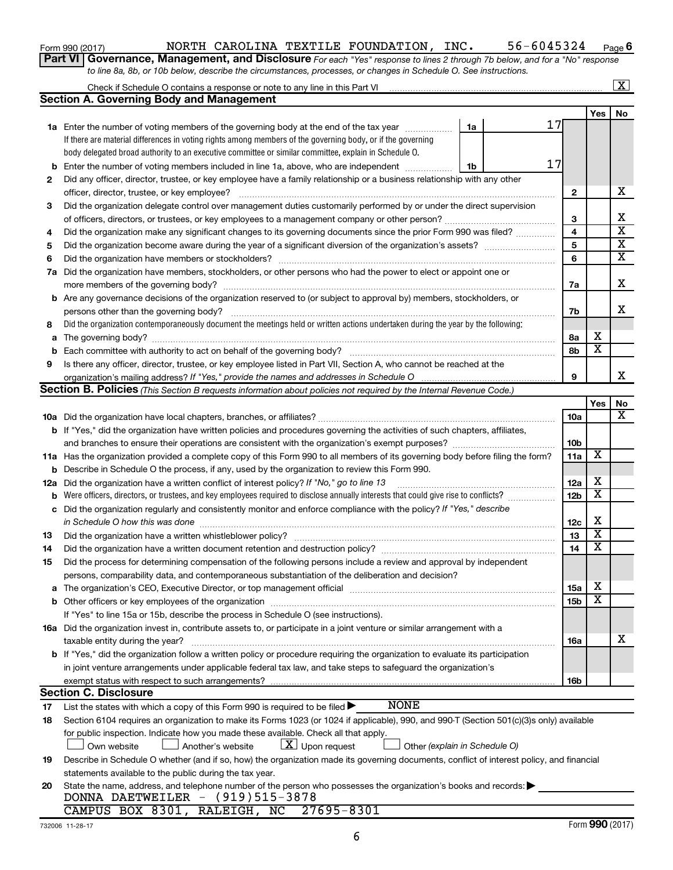| Form 990 (2017) |  |
|-----------------|--|
|-----------------|--|

### Form 990 (2017) Page NORTH CAROLINA TEXTILE FOUNDATION, INC. 56-6045324

**6**

**Part VI** Governance, Management, and Disclosure For each "Yes" response to lines 2 through 7b below, and for a "No" response *to line 8a, 8b, or 10b below, describe the circumstances, processes, or changes in Schedule O. See instructions.*

|             |                                                                                                                                                                                                                               |                 |                         | $\mathbf{X}$            |
|-------------|-------------------------------------------------------------------------------------------------------------------------------------------------------------------------------------------------------------------------------|-----------------|-------------------------|-------------------------|
|             | <b>Section A. Governing Body and Management</b>                                                                                                                                                                               |                 |                         |                         |
|             |                                                                                                                                                                                                                               |                 | Yes                     | No                      |
|             | 17<br><b>1a</b> Enter the number of voting members of the governing body at the end of the tax year<br>1a                                                                                                                     |                 |                         |                         |
|             | If there are material differences in voting rights among members of the governing body, or if the governing                                                                                                                   |                 |                         |                         |
|             | body delegated broad authority to an executive committee or similar committee, explain in Schedule O.                                                                                                                         |                 |                         |                         |
| b           | 17<br>Enter the number of voting members included in line 1a, above, who are independent <i>manum</i><br>1b                                                                                                                   |                 |                         |                         |
| 2           | Did any officer, director, trustee, or key employee have a family relationship or a business relationship with any other                                                                                                      |                 |                         |                         |
|             | officer, director, trustee, or key employee?                                                                                                                                                                                  | 2               |                         | х                       |
| 3           | Did the organization delegate control over management duties customarily performed by or under the direct supervision                                                                                                         |                 |                         |                         |
|             |                                                                                                                                                                                                                               | З               |                         | х                       |
| 4           | Did the organization make any significant changes to its governing documents since the prior Form 990 was filed?                                                                                                              | 4               |                         | $\overline{\mathbf{x}}$ |
| 5           |                                                                                                                                                                                                                               | 5               |                         | $\overline{\mathbf{x}}$ |
| 6           | Did the organization have members or stockholders?                                                                                                                                                                            | 6               |                         | $\overline{\textbf{X}}$ |
| 7a          | Did the organization have members, stockholders, or other persons who had the power to elect or appoint one or                                                                                                                |                 |                         |                         |
|             |                                                                                                                                                                                                                               | 7a              |                         | х                       |
| b           | Are any governance decisions of the organization reserved to (or subject to approval by) members, stockholders, or                                                                                                            |                 |                         |                         |
|             | persons other than the governing body?                                                                                                                                                                                        | 7b              |                         | х                       |
| 8           | Did the organization contemporaneously document the meetings held or written actions undertaken during the year by the following:                                                                                             |                 |                         |                         |
| a           |                                                                                                                                                                                                                               | 8а              | х                       |                         |
| $\mathbf b$ |                                                                                                                                                                                                                               | 8b              | $\overline{\textbf{x}}$ |                         |
| 9           | Is there any officer, director, trustee, or key employee listed in Part VII, Section A, who cannot be reached at the                                                                                                          |                 |                         |                         |
|             |                                                                                                                                                                                                                               | 9               |                         | x                       |
|             | <b>Section B. Policies</b> (This Section B requests information about policies not required by the Internal Revenue Code.)                                                                                                    |                 |                         |                         |
|             |                                                                                                                                                                                                                               |                 | Yes                     | No                      |
|             |                                                                                                                                                                                                                               | 10a             |                         | x                       |
|             | b If "Yes," did the organization have written policies and procedures governing the activities of such chapters, affiliates,                                                                                                  |                 |                         |                         |
|             |                                                                                                                                                                                                                               | 10 <sub>b</sub> |                         |                         |
|             | 11a Has the organization provided a complete copy of this Form 990 to all members of its governing body before filing the form?                                                                                               | 11a             | X                       |                         |
| b           | Describe in Schedule O the process, if any, used by the organization to review this Form 990.                                                                                                                                 |                 |                         |                         |
| 12a         | Did the organization have a written conflict of interest policy? If "No," go to line 13                                                                                                                                       | 12a             | х                       |                         |
| b           | Were officers, directors, or trustees, and key employees required to disclose annually interests that could give rise to conflicts?                                                                                           | 12 <sub>b</sub> | $\overline{\textbf{x}}$ |                         |
|             | Did the organization regularly and consistently monitor and enforce compliance with the policy? If "Yes," describe                                                                                                            |                 |                         |                         |
| с           | in Schedule O how this was done                                                                                                                                                                                               | 12c             | х                       |                         |
| 13          | Did the organization have a written whistleblower policy?                                                                                                                                                                     | 13              | X                       |                         |
|             |                                                                                                                                                                                                                               | 14              | $\overline{\textbf{x}}$ |                         |
| 14          |                                                                                                                                                                                                                               |                 |                         |                         |
| 15          | Did the process for determining compensation of the following persons include a review and approval by independent<br>persons, comparability data, and contemporaneous substantiation of the deliberation and decision?       |                 |                         |                         |
|             | The organization's CEO, Executive Director, or top management official manufactured content of the organization's CEO, Executive Director, or top management official manufactured and the state of the state of the state of | <b>15a</b>      | х                       |                         |
| а<br>b      |                                                                                                                                                                                                                               | 15 <sub>b</sub> | X                       |                         |
|             | If "Yes" to line 15a or 15b, describe the process in Schedule O (see instructions).                                                                                                                                           |                 |                         |                         |
|             | 16a Did the organization invest in, contribute assets to, or participate in a joint venture or similar arrangement with a                                                                                                     |                 |                         |                         |
|             | taxable entity during the year?                                                                                                                                                                                               | 16a             |                         | х                       |
|             | b If "Yes," did the organization follow a written policy or procedure requiring the organization to evaluate its participation                                                                                                |                 |                         |                         |
|             | in joint venture arrangements under applicable federal tax law, and take steps to safeguard the organization's                                                                                                                |                 |                         |                         |
|             | exempt status with respect to such arrangements?                                                                                                                                                                              | 16b             |                         |                         |
|             | <b>Section C. Disclosure</b>                                                                                                                                                                                                  |                 |                         |                         |
| 17          | <b>NONE</b><br>List the states with which a copy of this Form 990 is required to be filed $\blacktriangleright$                                                                                                               |                 |                         |                         |
| 18          | Section 6104 requires an organization to make its Forms 1023 (or 1024 if applicable), 990, and 990-T (Section 501(c)(3)s only) available                                                                                      |                 |                         |                         |
|             | for public inspection. Indicate how you made these available. Check all that apply.                                                                                                                                           |                 |                         |                         |
|             | $\lfloor \underline{X} \rfloor$ Upon request<br>∫ Another's website<br>Other (explain in Schedule O)<br>Own website                                                                                                           |                 |                         |                         |
| 19          | Describe in Schedule O whether (and if so, how) the organization made its governing documents, conflict of interest policy, and financial                                                                                     |                 |                         |                         |
|             | statements available to the public during the tax year.                                                                                                                                                                       |                 |                         |                         |
| 20          | State the name, address, and telephone number of the person who possesses the organization's books and records:                                                                                                               |                 |                         |                         |
|             | DONNA DAETWEILER - (919)515-3878                                                                                                                                                                                              |                 |                         |                         |
|             | CAMPUS BOX 8301, RALEIGH, NC 27695-8301                                                                                                                                                                                       |                 |                         |                         |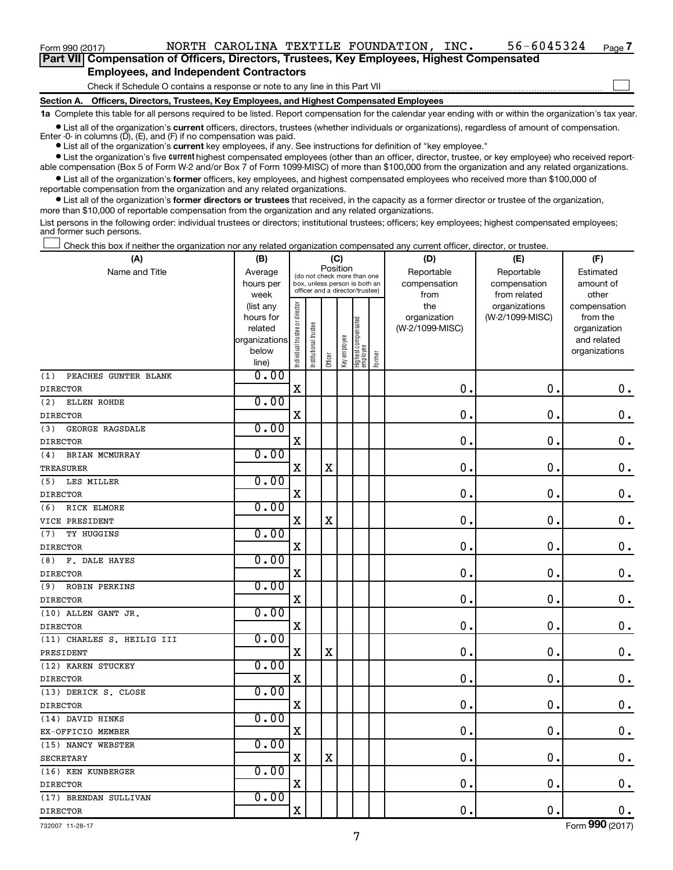$\Box$ 

**Part VII Compensation of Officers, Directors, Trustees, Key Employees, Highest Compensated Employees, and Independent Contractors**

Check if Schedule O contains a response or note to any line in this Part VII

**Section A. Officers, Directors, Trustees, Key Employees, and Highest Compensated Employees**

**1a**  Complete this table for all persons required to be listed. Report compensation for the calendar year ending with or within the organization's tax year.

**•** List all of the organization's current officers, directors, trustees (whether individuals or organizations), regardless of amount of compensation. Enter -0- in columns  $(D)$ ,  $(E)$ , and  $(F)$  if no compensation was paid.

**•** List all of the organization's **current** key employees, if any. See instructions for definition of "key employee."

**•** List the organization's five current highest compensated employees (other than an officer, director, trustee, or key employee) who received reportable compensation (Box 5 of Form W-2 and/or Box 7 of Form 1099-MISC) of more than \$100,000 from the organization and any related organizations.

**•** List all of the organization's former officers, key employees, and highest compensated employees who received more than \$100,000 of reportable compensation from the organization and any related organizations.

**•** List all of the organization's former directors or trustees that received, in the capacity as a former director or trustee of the organization, more than \$10,000 of reportable compensation from the organization and any related organizations.

List persons in the following order: individual trustees or directors; institutional trustees; officers; key employees; highest compensated employees; and former such persons.

Check this box if neither the organization nor any related organization compensated any current officer, director, or trustee. †

| (A)                         | (B)                    |                                |                                                                  |             | (C)          |                                 |        | (D)                 | (E)                              | (F)                      |
|-----------------------------|------------------------|--------------------------------|------------------------------------------------------------------|-------------|--------------|---------------------------------|--------|---------------------|----------------------------------|--------------------------|
| Name and Title              | Average                |                                | (do not check more than one                                      | Position    |              |                                 |        | Reportable          | Reportable                       | Estimated                |
|                             | hours per              |                                | box, unless person is both an<br>officer and a director/trustee) |             |              |                                 |        | compensation        | compensation                     | amount of                |
|                             | week                   |                                |                                                                  |             |              |                                 |        | from                | from related                     | other                    |
|                             | (list any<br>hours for |                                |                                                                  |             |              |                                 |        | the<br>organization | organizations<br>(W-2/1099-MISC) | compensation<br>from the |
|                             | related                |                                |                                                                  |             |              |                                 |        | (W-2/1099-MISC)     |                                  | organization             |
|                             | organizations          |                                |                                                                  |             |              |                                 |        |                     |                                  | and related              |
|                             | below                  |                                |                                                                  |             |              |                                 |        |                     |                                  | organizations            |
|                             | line)                  | Individual trustee or director | Institutional trustee                                            | Officer     | Key employee | Highest compensated<br>employee | Former |                     |                                  |                          |
| PEACHES GUNTER BLANK<br>(1) | 0.00                   |                                |                                                                  |             |              |                                 |        |                     |                                  |                          |
| <b>DIRECTOR</b>             |                        | $\mathbf X$                    |                                                                  |             |              |                                 |        | $\mathbf 0$ .       | $\mathbf 0$ .                    | $\mathbf 0$ .            |
| (2)<br>ELLEN ROHDE          | 0.00                   |                                |                                                                  |             |              |                                 |        |                     |                                  |                          |
| <b>DIRECTOR</b>             |                        | $\mathbf X$                    |                                                                  |             |              |                                 |        | 0                   | 0                                | $\mathbf 0$ .            |
| (3)<br>GEORGE RAGSDALE      | 0.00                   |                                |                                                                  |             |              |                                 |        |                     |                                  |                          |
| <b>DIRECTOR</b>             |                        | $\mathbf X$                    |                                                                  |             |              |                                 |        | 0                   | $\mathbf 0$                      | $\mathbf 0$ .            |
| (4)<br>BRIAN MCMURRAY       | 0.00                   |                                |                                                                  |             |              |                                 |        |                     |                                  |                          |
| <b>TREASURER</b>            |                        | $\mathbf X$                    |                                                                  | $\mathbf X$ |              |                                 |        | $\mathbf 0$         | 0                                | $\mathbf 0$ .            |
| (5)<br>LES MILLER           | 0.00                   |                                |                                                                  |             |              |                                 |        |                     |                                  |                          |
| <b>DIRECTOR</b>             |                        | $\mathbf X$                    |                                                                  |             |              |                                 |        | 0                   | $\mathbf 0$                      | $0$ .                    |
| (6)<br>RICK ELMORE          | 0.00                   |                                |                                                                  |             |              |                                 |        |                     |                                  |                          |
| VICE PRESIDENT              |                        | $\mathbf X$                    |                                                                  | $\mathbf X$ |              |                                 |        | 0                   | 0                                | $0$ .                    |
| (7)<br>TY HUGGINS           | 0.00                   |                                |                                                                  |             |              |                                 |        |                     |                                  |                          |
| <b>DIRECTOR</b>             |                        | $\mathbf X$                    |                                                                  |             |              |                                 |        | 0                   | $\mathbf 0$                      | $\mathbf 0$ .            |
| (8)<br>F. DALE HAYES        | 0.00                   |                                |                                                                  |             |              |                                 |        |                     |                                  |                          |
| <b>DIRECTOR</b>             |                        | $\mathbf X$                    |                                                                  |             |              |                                 |        | $\mathbf 0$         | 0                                | $\mathbf 0$ .            |
| (9)<br><b>ROBIN PERKINS</b> | 0.00                   |                                |                                                                  |             |              |                                 |        |                     |                                  |                          |
| <b>DIRECTOR</b>             |                        | $\mathbf X$                    |                                                                  |             |              |                                 |        | $\mathbf 0$         | $\mathbf 0$                      | $\mathbf 0$ .            |
| (10) ALLEN GANT JR.         | 0.00                   |                                |                                                                  |             |              |                                 |        |                     |                                  |                          |
| <b>DIRECTOR</b>             |                        | $\mathbf X$                    |                                                                  |             |              |                                 |        | 0                   | 0                                | $0$ .                    |
| (11) CHARLES S. HEILIG III  | 0.00                   |                                |                                                                  |             |              |                                 |        |                     |                                  |                          |
| PRESIDENT                   |                        | $\mathbf X$                    |                                                                  | $\mathbf X$ |              |                                 |        | 0                   | $\mathbf 0$                      | $\mathbf 0$ .            |
| (12) KAREN STUCKEY          | 0.00                   |                                |                                                                  |             |              |                                 |        |                     |                                  |                          |
| <b>DIRECTOR</b>             |                        | $\mathbf X$                    |                                                                  |             |              |                                 |        | $\mathbf 0$         | 0                                | $\mathbf 0$ .            |
| (13) DERICK S. CLOSE        | 0.00                   |                                |                                                                  |             |              |                                 |        |                     |                                  |                          |
| <b>DIRECTOR</b>             |                        | $\mathbf X$                    |                                                                  |             |              |                                 |        | $\mathbf 0$ .       | $\mathbf 0$                      | $\mathbf 0$ .            |
| (14) DAVID HINKS            | 0.00                   |                                |                                                                  |             |              |                                 |        |                     |                                  |                          |
| EX-OFFICIO MEMBER           |                        | $\mathbf X$                    |                                                                  |             |              |                                 |        | 0                   | $\mathbf 0$                      | $\mathbf 0$ .            |
| (15) NANCY WEBSTER          | 0.00                   |                                |                                                                  |             |              |                                 |        |                     |                                  |                          |
| <b>SECRETARY</b>            |                        | $\mathbf X$                    |                                                                  | $\mathbf X$ |              |                                 |        | 0                   | $\mathbf 0$                      | $0$ .                    |
| (16) KEN KUNBERGER          | 0.00                   |                                |                                                                  |             |              |                                 |        |                     |                                  |                          |
| <b>DIRECTOR</b>             |                        | $\mathbf X$                    |                                                                  |             |              |                                 |        | $\mathbf 0$         | $\mathbf 0$                      | $\mathbf 0$ .            |
| (17) BRENDAN SULLIVAN       | 0.00                   |                                |                                                                  |             |              |                                 |        |                     |                                  |                          |
| <b>DIRECTOR</b>             |                        | $\mathbf X$                    |                                                                  |             |              |                                 |        | $\mathbf 0$ .       | $\mathbf 0$ .                    | 0.                       |

732007 11-28-17

Form (2017) **990**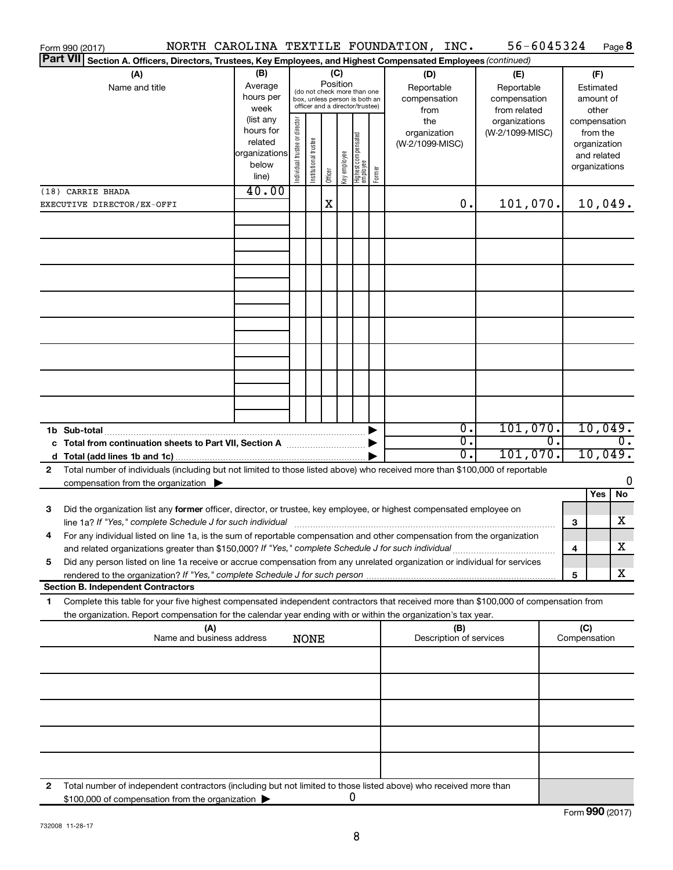|              | Form 990 (2017)                                                                                                                                                                                                                 |                           |                                |                       |          |              |                                                                  |        | NORTH CAROLINA TEXTILE FOUNDATION, INC. |                              | 56-6045324 |              |                              | Page 8  |
|--------------|---------------------------------------------------------------------------------------------------------------------------------------------------------------------------------------------------------------------------------|---------------------------|--------------------------------|-----------------------|----------|--------------|------------------------------------------------------------------|--------|-----------------------------------------|------------------------------|------------|--------------|------------------------------|---------|
|              | <b>Part VII</b><br>Section A. Officers, Directors, Trustees, Key Employees, and Highest Compensated Employees (continued)                                                                                                       |                           |                                |                       |          |              |                                                                  |        |                                         |                              |            |              |                              |         |
|              | (A)                                                                                                                                                                                                                             | (B)                       |                                |                       |          | (C)          |                                                                  |        | (D)                                     | (E)                          |            |              | (F)                          |         |
|              | Name and title                                                                                                                                                                                                                  | Average<br>hours per      |                                |                       | Position |              | (do not check more than one                                      |        | Reportable                              | Reportable                   |            |              | Estimated                    |         |
|              |                                                                                                                                                                                                                                 | week                      |                                |                       |          |              | box, unless person is both an<br>officer and a director/trustee) |        | compensation<br>from                    | compensation<br>from related |            |              | amount of<br>other           |         |
|              |                                                                                                                                                                                                                                 | (list any                 |                                |                       |          |              |                                                                  |        | the                                     | organizations                |            | compensation |                              |         |
|              |                                                                                                                                                                                                                                 | hours for                 |                                |                       |          |              |                                                                  |        | organization                            | (W-2/1099-MISC)              |            |              | from the                     |         |
|              |                                                                                                                                                                                                                                 | related<br> organizations |                                |                       |          |              |                                                                  |        | (W-2/1099-MISC)                         |                              |            |              | organization                 |         |
|              |                                                                                                                                                                                                                                 | below                     |                                |                       |          |              |                                                                  |        |                                         |                              |            |              | and related<br>organizations |         |
|              |                                                                                                                                                                                                                                 | line)                     | Individual trustee or director | Institutional trustee | Officer  | Key employee | Highest compensated<br>employee                                  | Former |                                         |                              |            |              |                              |         |
|              | (18) CARRIE BHADA                                                                                                                                                                                                               | 40.00                     |                                |                       |          |              |                                                                  |        |                                         |                              |            |              |                              |         |
|              | EXECUTIVE DIRECTOR/EX-OFFI                                                                                                                                                                                                      |                           |                                |                       | X        |              |                                                                  |        | 0.                                      |                              | 101,070.   |              |                              | 10,049. |
|              |                                                                                                                                                                                                                                 |                           |                                |                       |          |              |                                                                  |        |                                         |                              |            |              |                              |         |
|              |                                                                                                                                                                                                                                 |                           |                                |                       |          |              |                                                                  |        |                                         |                              |            |              |                              |         |
|              |                                                                                                                                                                                                                                 |                           |                                |                       |          |              |                                                                  |        |                                         |                              |            |              |                              |         |
|              |                                                                                                                                                                                                                                 |                           |                                |                       |          |              |                                                                  |        |                                         |                              |            |              |                              |         |
|              |                                                                                                                                                                                                                                 |                           |                                |                       |          |              |                                                                  |        |                                         |                              |            |              |                              |         |
|              |                                                                                                                                                                                                                                 |                           |                                |                       |          |              |                                                                  |        |                                         |                              |            |              |                              |         |
|              |                                                                                                                                                                                                                                 |                           |                                |                       |          |              |                                                                  |        |                                         |                              |            |              |                              |         |
|              |                                                                                                                                                                                                                                 |                           |                                |                       |          |              |                                                                  |        |                                         |                              |            |              |                              |         |
|              |                                                                                                                                                                                                                                 |                           |                                |                       |          |              |                                                                  |        |                                         |                              |            |              |                              |         |
|              |                                                                                                                                                                                                                                 |                           |                                |                       |          |              |                                                                  |        |                                         |                              |            |              |                              |         |
|              |                                                                                                                                                                                                                                 |                           |                                |                       |          |              |                                                                  |        |                                         |                              |            |              |                              |         |
|              |                                                                                                                                                                                                                                 |                           |                                |                       |          |              |                                                                  |        |                                         |                              |            |              |                              |         |
|              |                                                                                                                                                                                                                                 |                           |                                |                       |          |              |                                                                  |        |                                         |                              |            |              |                              |         |
|              |                                                                                                                                                                                                                                 |                           |                                |                       |          |              |                                                                  |        |                                         |                              |            |              |                              |         |
|              | 1b Sub-total                                                                                                                                                                                                                    |                           |                                |                       |          |              |                                                                  |        | 0.                                      |                              | 101,070.   |              |                              | 10,049. |
|              | c Total from continuation sheets to Part VII, Section A <b>Constitution</b>                                                                                                                                                     |                           |                                |                       |          |              |                                                                  |        | σ.                                      |                              | 0.         |              |                              | 0.      |
|              |                                                                                                                                                                                                                                 |                           |                                |                       |          |              |                                                                  |        | 0.                                      |                              | 101,070.   |              |                              | 10,049. |
| $\mathbf{2}$ | Total number of individuals (including but not limited to those listed above) who received more than \$100,000 of reportable                                                                                                    |                           |                                |                       |          |              |                                                                  |        |                                         |                              |            |              |                              |         |
|              | compensation from the organization $\blacktriangleright$                                                                                                                                                                        |                           |                                |                       |          |              |                                                                  |        |                                         |                              |            |              |                              | 0       |
|              |                                                                                                                                                                                                                                 |                           |                                |                       |          |              |                                                                  |        |                                         |                              |            |              | Yes                          | No      |
| З            | Did the organization list any former officer, director, or trustee, key employee, or highest compensated employee on                                                                                                            |                           |                                |                       |          |              |                                                                  |        |                                         |                              |            |              |                              |         |
|              | line 1a? If "Yes," complete Schedule J for such individual [11] [12] manument content to the Schedule J for such individual                                                                                                     |                           |                                |                       |          |              |                                                                  |        |                                         |                              |            | з            |                              | x       |
|              | For any individual listed on line 1a, is the sum of reportable compensation and other compensation from the organization<br>and related organizations greater than \$150,000? If "Yes," complete Schedule J for such individual |                           |                                |                       |          |              |                                                                  |        |                                         |                              |            | 4            |                              | х       |
| 5            | Did any person listed on line 1a receive or accrue compensation from any unrelated organization or individual for services                                                                                                      |                           |                                |                       |          |              |                                                                  |        |                                         |                              |            |              |                              |         |
|              | rendered to the organization? If "Yes," complete Schedule J for such person                                                                                                                                                     |                           |                                |                       |          |              |                                                                  |        |                                         |                              |            | 5            |                              | x       |
|              | <b>Section B. Independent Contractors</b>                                                                                                                                                                                       |                           |                                |                       |          |              |                                                                  |        |                                         |                              |            |              |                              |         |
| 1            | Complete this table for your five highest compensated independent contractors that received more than \$100,000 of compensation from                                                                                            |                           |                                |                       |          |              |                                                                  |        |                                         |                              |            |              |                              |         |
|              | the organization. Report compensation for the calendar year ending with or within the organization's tax year.                                                                                                                  |                           |                                |                       |          |              |                                                                  |        |                                         |                              |            |              |                              |         |
|              | (A)                                                                                                                                                                                                                             |                           |                                |                       |          |              |                                                                  |        | (B)                                     |                              |            | (C)          |                              |         |
|              | Name and business address                                                                                                                                                                                                       |                           |                                | <b>NONE</b>           |          |              |                                                                  |        | Description of services                 |                              |            | Compensation |                              |         |
|              |                                                                                                                                                                                                                                 |                           |                                |                       |          |              |                                                                  |        |                                         |                              |            |              |                              |         |
|              |                                                                                                                                                                                                                                 |                           |                                |                       |          |              |                                                                  |        |                                         |                              |            |              |                              |         |
|              |                                                                                                                                                                                                                                 |                           |                                |                       |          |              |                                                                  |        |                                         |                              |            |              |                              |         |
|              |                                                                                                                                                                                                                                 |                           |                                |                       |          |              |                                                                  |        |                                         |                              |            |              |                              |         |
|              |                                                                                                                                                                                                                                 |                           |                                |                       |          |              |                                                                  |        |                                         |                              |            |              |                              |         |
|              |                                                                                                                                                                                                                                 |                           |                                |                       |          |              |                                                                  |        |                                         |                              |            |              |                              |         |
|              |                                                                                                                                                                                                                                 |                           |                                |                       |          |              |                                                                  |        |                                         |                              |            |              |                              |         |
|              |                                                                                                                                                                                                                                 |                           |                                |                       |          |              |                                                                  |        |                                         |                              |            |              |                              |         |
|              |                                                                                                                                                                                                                                 |                           |                                |                       |          |              |                                                                  |        |                                         |                              |            |              |                              |         |
| 2            | Total number of independent contractors (including but not limited to those listed above) who received more than<br>\$100,000 of compensation from the organization                                                             |                           |                                |                       |          |              | 0                                                                |        |                                         |                              |            |              |                              |         |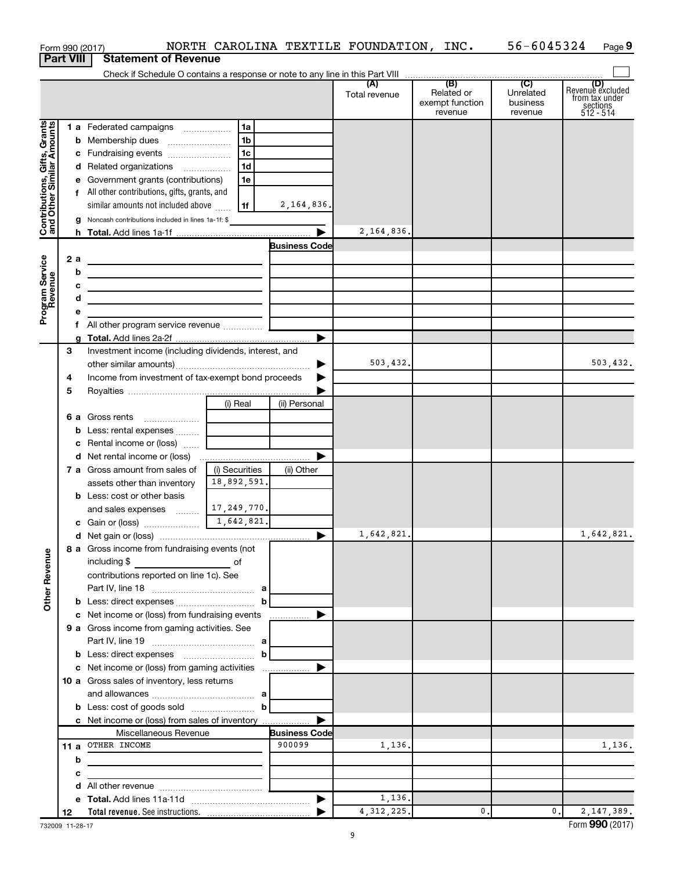|                                                           |                                                         | Form 990 (2017)                                                                      |                           | NORTH CAROLINA TEXTILE FOUNDATION, INC. |               |                                          | 56-6045324                       | Page 9                                                             |
|-----------------------------------------------------------|---------------------------------------------------------|--------------------------------------------------------------------------------------|---------------------------|-----------------------------------------|---------------|------------------------------------------|----------------------------------|--------------------------------------------------------------------|
|                                                           | <b>Part VIII</b>                                        | <b>Statement of Revenue</b>                                                          |                           |                                         |               |                                          |                                  |                                                                    |
|                                                           |                                                         |                                                                                      |                           |                                         |               |                                          |                                  |                                                                    |
|                                                           |                                                         |                                                                                      |                           |                                         | Total revenue | Related or<br>exempt function<br>revenue | Unrelated<br>business<br>revenue | (D)<br>Revenue excluded<br>from tax under<br>sections<br>512 - 514 |
|                                                           |                                                         |                                                                                      | l 1a                      |                                         |               |                                          |                                  |                                                                    |
| Contributions, Gifts, Grants<br>and Other Similar Amounts |                                                         |                                                                                      | 1b                        |                                         |               |                                          |                                  |                                                                    |
|                                                           |                                                         | c Fundraising events                                                                 | 1 <sub>c</sub>            |                                         |               |                                          |                                  |                                                                    |
|                                                           |                                                         | d Related organizations                                                              | 1 <sub>d</sub>            |                                         |               |                                          |                                  |                                                                    |
|                                                           |                                                         |                                                                                      | 1e                        |                                         |               |                                          |                                  |                                                                    |
|                                                           |                                                         | e Government grants (contributions)<br>f All other contributions, gifts, grants, and |                           |                                         |               |                                          |                                  |                                                                    |
|                                                           |                                                         |                                                                                      | 1f                        | 2,164,836.                              |               |                                          |                                  |                                                                    |
|                                                           |                                                         | similar amounts not included above                                                   |                           |                                         |               |                                          |                                  |                                                                    |
|                                                           |                                                         | g Noncash contributions included in lines 1a-1f: \$                                  |                           | ▶                                       | 2,164,836.    |                                          |                                  |                                                                    |
|                                                           |                                                         |                                                                                      |                           |                                         |               |                                          |                                  |                                                                    |
|                                                           |                                                         |                                                                                      |                           | <b>Business Code</b>                    |               |                                          |                                  |                                                                    |
|                                                           | 2a                                                      | the control of the control of the control of the control of the                      |                           |                                         |               |                                          |                                  |                                                                    |
|                                                           | b                                                       | the control of the control of the control of the control of the control of           |                           |                                         |               |                                          |                                  |                                                                    |
|                                                           | с                                                       | the control of the control of the control of the control of the control of           |                           |                                         |               |                                          |                                  |                                                                    |
|                                                           | d                                                       | the control of the control of the control of the control of the control of           |                           |                                         |               |                                          |                                  |                                                                    |
| Program Service<br>Revenue                                | е                                                       |                                                                                      |                           |                                         |               |                                          |                                  |                                                                    |
|                                                           |                                                         |                                                                                      |                           | ▶                                       |               |                                          |                                  |                                                                    |
|                                                           | 3                                                       |                                                                                      |                           |                                         |               |                                          |                                  |                                                                    |
|                                                           |                                                         | Investment income (including dividends, interest, and                                |                           | ▶                                       | 503,432.      |                                          |                                  | 503,432.                                                           |
|                                                           | 4                                                       |                                                                                      |                           |                                         |               |                                          |                                  |                                                                    |
|                                                           | Income from investment of tax-exempt bond proceeds<br>5 |                                                                                      |                           |                                         |               |                                          |                                  |                                                                    |
|                                                           |                                                         |                                                                                      | (i) Real                  |                                         |               |                                          |                                  |                                                                    |
|                                                           |                                                         |                                                                                      |                           | (ii) Personal                           |               |                                          |                                  |                                                                    |
|                                                           |                                                         |                                                                                      |                           |                                         |               |                                          |                                  |                                                                    |
|                                                           |                                                         | <b>b</b> Less: rental expenses                                                       |                           |                                         |               |                                          |                                  |                                                                    |
|                                                           |                                                         | c Rental income or (loss)                                                            |                           | ▶                                       |               |                                          |                                  |                                                                    |
|                                                           |                                                         |                                                                                      |                           |                                         |               |                                          |                                  |                                                                    |
|                                                           |                                                         | <b>7 a</b> Gross amount from sales of                                                | (i) Securities            | (ii) Other                              |               |                                          |                                  |                                                                    |
|                                                           |                                                         | assets other than inventory                                                          | 18,892,591.               |                                         |               |                                          |                                  |                                                                    |
|                                                           |                                                         | <b>b</b> Less: cost or other basis                                                   |                           |                                         |               |                                          |                                  |                                                                    |
|                                                           |                                                         | and sales expenses                                                                   | 17,249,770.<br>1,642,821. |                                         |               |                                          |                                  |                                                                    |
|                                                           |                                                         |                                                                                      |                           |                                         | 1,642,821.    |                                          |                                  | 1,642,821.                                                         |
|                                                           |                                                         |                                                                                      |                           |                                         |               |                                          |                                  |                                                                    |
| <b>Other Revenue</b>                                      |                                                         | 8 a Gross income from fundraising events (not                                        |                           |                                         |               |                                          |                                  |                                                                    |
|                                                           |                                                         | including $$$<br><u> 1990 - Johann Barbara, mart</u>                                 | of                        |                                         |               |                                          |                                  |                                                                    |
|                                                           |                                                         | contributions reported on line 1c). See                                              |                           |                                         |               |                                          |                                  |                                                                    |
|                                                           |                                                         |                                                                                      | b                         |                                         |               |                                          |                                  |                                                                    |
|                                                           |                                                         | c Net income or (loss) from fundraising events                                       |                           |                                         |               |                                          |                                  |                                                                    |
|                                                           |                                                         | 9 a Gross income from gaming activities. See                                         |                           |                                         |               |                                          |                                  |                                                                    |
|                                                           |                                                         |                                                                                      |                           |                                         |               |                                          |                                  |                                                                    |
|                                                           |                                                         |                                                                                      | bl                        |                                         |               |                                          |                                  |                                                                    |
|                                                           |                                                         |                                                                                      |                           |                                         |               |                                          |                                  |                                                                    |
|                                                           |                                                         | 10 a Gross sales of inventory, less returns                                          |                           |                                         |               |                                          |                                  |                                                                    |
|                                                           |                                                         |                                                                                      |                           |                                         |               |                                          |                                  |                                                                    |
|                                                           |                                                         | <b>b</b> Less: cost of goods sold $\ldots$ <b>b</b>                                  |                           |                                         |               |                                          |                                  |                                                                    |
|                                                           |                                                         |                                                                                      |                           |                                         |               |                                          |                                  |                                                                    |
|                                                           |                                                         | c Net income or (loss) from sales of inventory<br>Miscellaneous Revenue              |                           |                                         |               |                                          |                                  |                                                                    |
|                                                           |                                                         | 11 a OTHER INCOME                                                                    |                           | <b>Business Code</b><br>900099          | 1,136.        |                                          |                                  | 1,136.                                                             |
|                                                           |                                                         |                                                                                      |                           |                                         |               |                                          |                                  |                                                                    |
|                                                           | b                                                       |                                                                                      |                           |                                         |               |                                          |                                  |                                                                    |
|                                                           | c                                                       |                                                                                      |                           |                                         |               |                                          |                                  |                                                                    |
|                                                           |                                                         |                                                                                      |                           |                                         | 1,136.        |                                          |                                  |                                                                    |
|                                                           | 12                                                      |                                                                                      |                           |                                         | 4, 312, 225.  | $\mathbf{0}$ .                           | $\mathbf{0}$ .                   | 2, 147, 389.                                                       |
|                                                           |                                                         |                                                                                      |                           |                                         |               |                                          |                                  |                                                                    |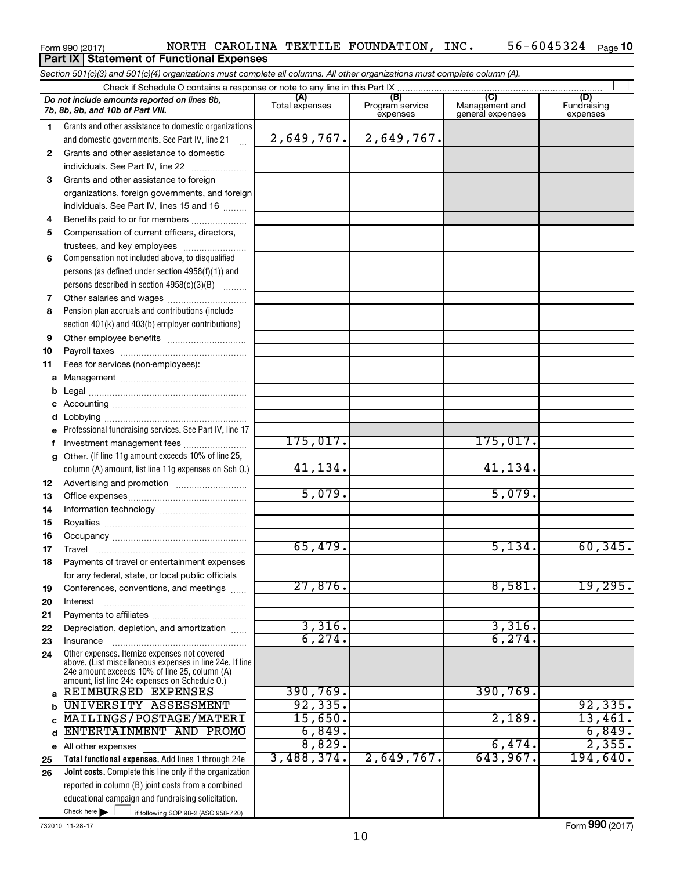#### Form 990 (2017) Page NORTH CAROLINA TEXTILE FOUNDATION, INC. 56-6045324 56-6045324 Page 10 **Part IX Statement of Functional Expenses**

*Section 501(c)(3) and 501(c)(4) organizations must complete all columns. All other organizations must complete column (A).*

|              | Do not include amounts reported on lines 6b,<br>7b, 8b, 9b, and 10b of Part VIII.                                                                         | (A)<br>Total expenses | (B)<br>Program service<br>expenses | (C)<br>Management and<br>general expenses | (D)<br>Fundraising<br>expenses |  |  |  |  |  |
|--------------|-----------------------------------------------------------------------------------------------------------------------------------------------------------|-----------------------|------------------------------------|-------------------------------------------|--------------------------------|--|--|--|--|--|
| 1.           | Grants and other assistance to domestic organizations                                                                                                     |                       |                                    |                                           |                                |  |  |  |  |  |
|              | and domestic governments. See Part IV, line 21                                                                                                            | 2,649,767.            | 2,649,767.                         |                                           |                                |  |  |  |  |  |
| $\mathbf{2}$ | Grants and other assistance to domestic                                                                                                                   |                       |                                    |                                           |                                |  |  |  |  |  |
|              | individuals. See Part IV, line 22                                                                                                                         |                       |                                    |                                           |                                |  |  |  |  |  |
| 3            | Grants and other assistance to foreign                                                                                                                    |                       |                                    |                                           |                                |  |  |  |  |  |
|              | organizations, foreign governments, and foreign                                                                                                           |                       |                                    |                                           |                                |  |  |  |  |  |
|              | individuals. See Part IV, lines 15 and 16                                                                                                                 |                       |                                    |                                           |                                |  |  |  |  |  |
| 4            | Benefits paid to or for members                                                                                                                           |                       |                                    |                                           |                                |  |  |  |  |  |
| 5            | Compensation of current officers, directors,                                                                                                              |                       |                                    |                                           |                                |  |  |  |  |  |
|              | trustees, and key employees                                                                                                                               |                       |                                    |                                           |                                |  |  |  |  |  |
| 6            | Compensation not included above, to disqualified                                                                                                          |                       |                                    |                                           |                                |  |  |  |  |  |
|              | persons (as defined under section $4958(f)(1)$ ) and                                                                                                      |                       |                                    |                                           |                                |  |  |  |  |  |
|              | persons described in section $4958(c)(3)(B)$                                                                                                              |                       |                                    |                                           |                                |  |  |  |  |  |
| 7            |                                                                                                                                                           |                       |                                    |                                           |                                |  |  |  |  |  |
| 8            | Pension plan accruals and contributions (include                                                                                                          |                       |                                    |                                           |                                |  |  |  |  |  |
|              | section 401(k) and 403(b) employer contributions)                                                                                                         |                       |                                    |                                           |                                |  |  |  |  |  |
| 9            |                                                                                                                                                           |                       |                                    |                                           |                                |  |  |  |  |  |
| 10           |                                                                                                                                                           |                       |                                    |                                           |                                |  |  |  |  |  |
| 11           | Fees for services (non-employees):                                                                                                                        |                       |                                    |                                           |                                |  |  |  |  |  |
| а            |                                                                                                                                                           |                       |                                    |                                           |                                |  |  |  |  |  |
| b            |                                                                                                                                                           |                       |                                    |                                           |                                |  |  |  |  |  |
| с            |                                                                                                                                                           |                       |                                    |                                           |                                |  |  |  |  |  |
| d            |                                                                                                                                                           |                       |                                    |                                           |                                |  |  |  |  |  |
| e            | Professional fundraising services. See Part IV, line 17                                                                                                   |                       |                                    |                                           |                                |  |  |  |  |  |
| f            | Investment management fees                                                                                                                                | 175,017.              |                                    | 175,017.                                  |                                |  |  |  |  |  |
| a            | Other. (If line 11g amount exceeds 10% of line 25,                                                                                                        |                       |                                    |                                           |                                |  |  |  |  |  |
|              | column (A) amount, list line 11g expenses on Sch O.)                                                                                                      | 41, 134.              |                                    | 41,134.                                   |                                |  |  |  |  |  |
| 12           |                                                                                                                                                           |                       |                                    |                                           |                                |  |  |  |  |  |
| 13           |                                                                                                                                                           | 5,079.                |                                    | 5,079.                                    |                                |  |  |  |  |  |
| 14           |                                                                                                                                                           |                       |                                    |                                           |                                |  |  |  |  |  |
| 15           |                                                                                                                                                           |                       |                                    |                                           |                                |  |  |  |  |  |
| 16           |                                                                                                                                                           |                       |                                    |                                           |                                |  |  |  |  |  |
| 17           | Travel                                                                                                                                                    | 65,479.               |                                    | 5,134.                                    | 60, 345.                       |  |  |  |  |  |
| 18           | Payments of travel or entertainment expenses                                                                                                              |                       |                                    |                                           |                                |  |  |  |  |  |
|              | for any federal, state, or local public officials                                                                                                         |                       |                                    |                                           |                                |  |  |  |  |  |
| 19           | Conferences, conventions, and meetings                                                                                                                    | 27,876.               |                                    | 8,581.                                    | 19,295.                        |  |  |  |  |  |
| 20           | Interest                                                                                                                                                  |                       |                                    |                                           |                                |  |  |  |  |  |
| 21           |                                                                                                                                                           |                       |                                    |                                           |                                |  |  |  |  |  |
| 22           | Depreciation, depletion, and amortization                                                                                                                 | 3,316.                |                                    | 3,316.                                    |                                |  |  |  |  |  |
| 23           | Insurance                                                                                                                                                 | 6, 274.               |                                    | 6, 274.                                   |                                |  |  |  |  |  |
| 24           | Other expenses. Itemize expenses not covered<br>above. (List miscellaneous expenses in line 24e. If line<br>24e amount exceeds 10% of line 25, column (A) |                       |                                    |                                           |                                |  |  |  |  |  |
|              | amount, list line 24e expenses on Schedule O.)                                                                                                            |                       |                                    |                                           |                                |  |  |  |  |  |
| a            | REIMBURSED EXPENSES                                                                                                                                       | 390, 769.             |                                    | 390,769.                                  |                                |  |  |  |  |  |
| b            | UNIVERSITY ASSESSMENT                                                                                                                                     | 92, 335.              |                                    |                                           | 92, 335.                       |  |  |  |  |  |
| Ċ            | MAILINGS/POSTAGE/MATERI                                                                                                                                   | 15,650.               |                                    | 2,189.                                    | 13,461.                        |  |  |  |  |  |
| d            | ENTERTAINMENT AND PROMO                                                                                                                                   | 6,849.                |                                    |                                           | 6,849.                         |  |  |  |  |  |
| е            | All other expenses                                                                                                                                        | 8,829.                |                                    | 6,474.                                    | 2,355.                         |  |  |  |  |  |
| 25           | Total functional expenses. Add lines 1 through 24e                                                                                                        | 3,488,374.            | 2,649,767.                         | 643,967.                                  | 194,640.                       |  |  |  |  |  |
| 26           | Joint costs. Complete this line only if the organization                                                                                                  |                       |                                    |                                           |                                |  |  |  |  |  |
|              | reported in column (B) joint costs from a combined                                                                                                        |                       |                                    |                                           |                                |  |  |  |  |  |
|              | educational campaign and fundraising solicitation.                                                                                                        |                       |                                    |                                           |                                |  |  |  |  |  |
|              | Check here $\blacktriangleright$<br>if following SOP 98-2 (ASC 958-720)                                                                                   |                       |                                    |                                           |                                |  |  |  |  |  |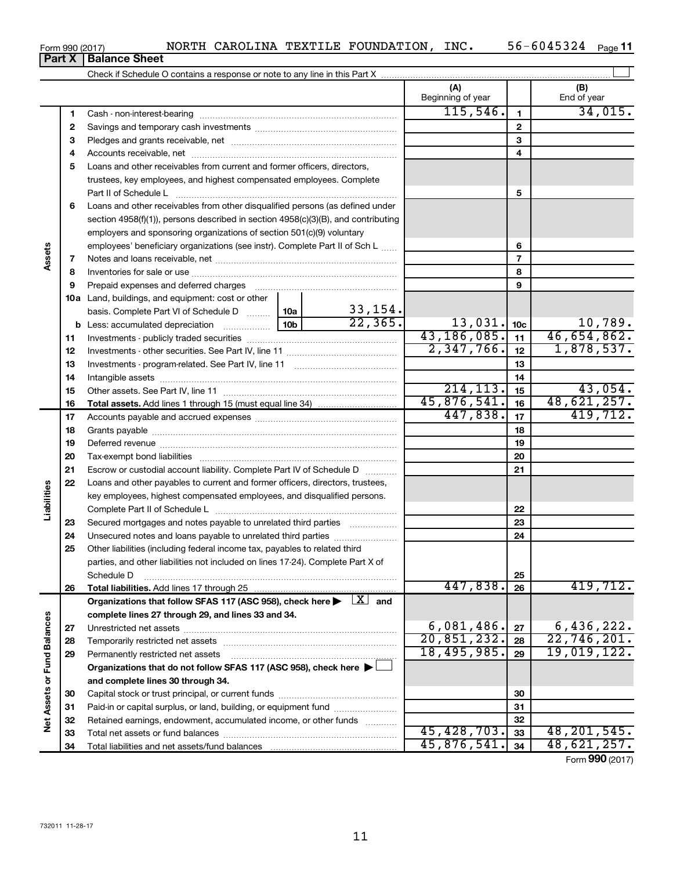| <b>Part X</b>   | <b>Balance Sheet</b> |              |          |         |            |      |              |      |
|-----------------|----------------------|--------------|----------|---------|------------|------|--------------|------|
| Form 990 (2017) |                      | <b>NORTH</b> | CAROLINA | TEXTILE | FOUNDATION | INC. | 45324<br>604 | Page |

| (A)<br>(B)<br>Beginning of year<br>End of year<br>115,546.<br>34,015.<br>$\mathbf{1}$<br>1<br>$\mathbf{2}$<br>2<br>3<br>3<br>4<br>4<br>Loans and other receivables from current and former officers, directors,<br>5<br>trustees, key employees, and highest compensated employees. Complete<br>5<br>Loans and other receivables from other disqualified persons (as defined under<br>6<br>section 4958(f)(1)), persons described in section 4958(c)(3)(B), and contributing<br>employers and sponsoring organizations of section 501(c)(9) voluntary<br>employees' beneficiary organizations (see instr). Complete Part II of Sch L<br>6<br>Assets<br>$\overline{7}$<br>7<br>8<br>8<br>9<br>9<br>Prepaid expenses and deferred charges<br><b>10a</b> Land, buildings, and equipment: cost or other<br>$\frac{33,154}{22,365}$<br>basis. Complete Part VI of Schedule D  10a<br>13,031.<br>$\frac{10,789}{46,654,862.}$<br>10 <sub>c</sub><br>10 <sub>b</sub><br>b<br>43,186,085.<br>11<br>11<br>2,347,766.<br>1,878,537.<br>12<br>12<br>13<br>13<br>14<br>14<br>214, 113.<br>43,054.<br>15<br>15<br>48,621,257.<br>45,876,541.<br>16<br>16<br>419,712.<br>447,838.<br>17<br>17<br>18<br>18<br>19<br>19<br>20<br>20<br>21<br>Escrow or custodial account liability. Complete Part IV of Schedule D<br>21<br>22<br>Loans and other payables to current and former officers, directors, trustees,<br>Liabilities<br>key employees, highest compensated employees, and disqualified persons.<br>22<br>Secured mortgages and notes payable to unrelated third parties<br>23<br>23<br>Unsecured notes and loans payable to unrelated third parties<br>24<br>24<br>25<br>Other liabilities (including federal income tax, payables to related third<br>parties, and other liabilities not included on lines 17-24). Complete Part X of<br>25<br>Schedule D<br>447,838.<br>419,712.<br>Total liabilities. Add lines 17 through 25<br>26<br>26<br>Organizations that follow SFAS 117 (ASC 958), check here $\blacktriangleright \begin{array}{c} \perp X \end{array}$ and<br>complete lines 27 through 29, and lines 33 and 34.<br><b>Fund Balances</b><br>6,081,486.<br>6,436,222.<br>27<br>27<br>20,851,232.<br>22,746,201.<br>28<br>28<br>18,495,985.<br>19,019,122.<br>29<br>29<br>Permanently restricted net assets<br>Organizations that do not follow SFAS 117 (ASC 958), check here ▶<br>Net Assets or<br>and complete lines 30 through 34.<br>30<br>30<br>Paid-in or capital surplus, or land, building, or equipment fund<br>31<br>31<br>32<br>32<br>Retained earnings, endowment, accumulated income, or other funds<br>45, 428, 703.<br>48, 201, 545.<br>33<br>33<br>45,876,541.<br>48,621,257.<br>34<br>34<br>$F = 000 \text{ (004-1)}$ |  |  |  |  |  |  |
|----------------------------------------------------------------------------------------------------------------------------------------------------------------------------------------------------------------------------------------------------------------------------------------------------------------------------------------------------------------------------------------------------------------------------------------------------------------------------------------------------------------------------------------------------------------------------------------------------------------------------------------------------------------------------------------------------------------------------------------------------------------------------------------------------------------------------------------------------------------------------------------------------------------------------------------------------------------------------------------------------------------------------------------------------------------------------------------------------------------------------------------------------------------------------------------------------------------------------------------------------------------------------------------------------------------------------------------------------------------------------------------------------------------------------------------------------------------------------------------------------------------------------------------------------------------------------------------------------------------------------------------------------------------------------------------------------------------------------------------------------------------------------------------------------------------------------------------------------------------------------------------------------------------------------------------------------------------------------------------------------------------------------------------------------------------------------------------------------------------------------------------------------------------------------------------------------------------------------------------------------------------------------------------------------------------------------------------------------------------------------------------------------------------------------------------------------------------------------------------------------------------------------------------------------------------------------------------------------------------------------------------------------------------------------------------------------------------------------------------------|--|--|--|--|--|--|
|                                                                                                                                                                                                                                                                                                                                                                                                                                                                                                                                                                                                                                                                                                                                                                                                                                                                                                                                                                                                                                                                                                                                                                                                                                                                                                                                                                                                                                                                                                                                                                                                                                                                                                                                                                                                                                                                                                                                                                                                                                                                                                                                                                                                                                                                                                                                                                                                                                                                                                                                                                                                                                                                                                                                              |  |  |  |  |  |  |
|                                                                                                                                                                                                                                                                                                                                                                                                                                                                                                                                                                                                                                                                                                                                                                                                                                                                                                                                                                                                                                                                                                                                                                                                                                                                                                                                                                                                                                                                                                                                                                                                                                                                                                                                                                                                                                                                                                                                                                                                                                                                                                                                                                                                                                                                                                                                                                                                                                                                                                                                                                                                                                                                                                                                              |  |  |  |  |  |  |
|                                                                                                                                                                                                                                                                                                                                                                                                                                                                                                                                                                                                                                                                                                                                                                                                                                                                                                                                                                                                                                                                                                                                                                                                                                                                                                                                                                                                                                                                                                                                                                                                                                                                                                                                                                                                                                                                                                                                                                                                                                                                                                                                                                                                                                                                                                                                                                                                                                                                                                                                                                                                                                                                                                                                              |  |  |  |  |  |  |
|                                                                                                                                                                                                                                                                                                                                                                                                                                                                                                                                                                                                                                                                                                                                                                                                                                                                                                                                                                                                                                                                                                                                                                                                                                                                                                                                                                                                                                                                                                                                                                                                                                                                                                                                                                                                                                                                                                                                                                                                                                                                                                                                                                                                                                                                                                                                                                                                                                                                                                                                                                                                                                                                                                                                              |  |  |  |  |  |  |
|                                                                                                                                                                                                                                                                                                                                                                                                                                                                                                                                                                                                                                                                                                                                                                                                                                                                                                                                                                                                                                                                                                                                                                                                                                                                                                                                                                                                                                                                                                                                                                                                                                                                                                                                                                                                                                                                                                                                                                                                                                                                                                                                                                                                                                                                                                                                                                                                                                                                                                                                                                                                                                                                                                                                              |  |  |  |  |  |  |
|                                                                                                                                                                                                                                                                                                                                                                                                                                                                                                                                                                                                                                                                                                                                                                                                                                                                                                                                                                                                                                                                                                                                                                                                                                                                                                                                                                                                                                                                                                                                                                                                                                                                                                                                                                                                                                                                                                                                                                                                                                                                                                                                                                                                                                                                                                                                                                                                                                                                                                                                                                                                                                                                                                                                              |  |  |  |  |  |  |
|                                                                                                                                                                                                                                                                                                                                                                                                                                                                                                                                                                                                                                                                                                                                                                                                                                                                                                                                                                                                                                                                                                                                                                                                                                                                                                                                                                                                                                                                                                                                                                                                                                                                                                                                                                                                                                                                                                                                                                                                                                                                                                                                                                                                                                                                                                                                                                                                                                                                                                                                                                                                                                                                                                                                              |  |  |  |  |  |  |
|                                                                                                                                                                                                                                                                                                                                                                                                                                                                                                                                                                                                                                                                                                                                                                                                                                                                                                                                                                                                                                                                                                                                                                                                                                                                                                                                                                                                                                                                                                                                                                                                                                                                                                                                                                                                                                                                                                                                                                                                                                                                                                                                                                                                                                                                                                                                                                                                                                                                                                                                                                                                                                                                                                                                              |  |  |  |  |  |  |
|                                                                                                                                                                                                                                                                                                                                                                                                                                                                                                                                                                                                                                                                                                                                                                                                                                                                                                                                                                                                                                                                                                                                                                                                                                                                                                                                                                                                                                                                                                                                                                                                                                                                                                                                                                                                                                                                                                                                                                                                                                                                                                                                                                                                                                                                                                                                                                                                                                                                                                                                                                                                                                                                                                                                              |  |  |  |  |  |  |
|                                                                                                                                                                                                                                                                                                                                                                                                                                                                                                                                                                                                                                                                                                                                                                                                                                                                                                                                                                                                                                                                                                                                                                                                                                                                                                                                                                                                                                                                                                                                                                                                                                                                                                                                                                                                                                                                                                                                                                                                                                                                                                                                                                                                                                                                                                                                                                                                                                                                                                                                                                                                                                                                                                                                              |  |  |  |  |  |  |
|                                                                                                                                                                                                                                                                                                                                                                                                                                                                                                                                                                                                                                                                                                                                                                                                                                                                                                                                                                                                                                                                                                                                                                                                                                                                                                                                                                                                                                                                                                                                                                                                                                                                                                                                                                                                                                                                                                                                                                                                                                                                                                                                                                                                                                                                                                                                                                                                                                                                                                                                                                                                                                                                                                                                              |  |  |  |  |  |  |
|                                                                                                                                                                                                                                                                                                                                                                                                                                                                                                                                                                                                                                                                                                                                                                                                                                                                                                                                                                                                                                                                                                                                                                                                                                                                                                                                                                                                                                                                                                                                                                                                                                                                                                                                                                                                                                                                                                                                                                                                                                                                                                                                                                                                                                                                                                                                                                                                                                                                                                                                                                                                                                                                                                                                              |  |  |  |  |  |  |
|                                                                                                                                                                                                                                                                                                                                                                                                                                                                                                                                                                                                                                                                                                                                                                                                                                                                                                                                                                                                                                                                                                                                                                                                                                                                                                                                                                                                                                                                                                                                                                                                                                                                                                                                                                                                                                                                                                                                                                                                                                                                                                                                                                                                                                                                                                                                                                                                                                                                                                                                                                                                                                                                                                                                              |  |  |  |  |  |  |
|                                                                                                                                                                                                                                                                                                                                                                                                                                                                                                                                                                                                                                                                                                                                                                                                                                                                                                                                                                                                                                                                                                                                                                                                                                                                                                                                                                                                                                                                                                                                                                                                                                                                                                                                                                                                                                                                                                                                                                                                                                                                                                                                                                                                                                                                                                                                                                                                                                                                                                                                                                                                                                                                                                                                              |  |  |  |  |  |  |
|                                                                                                                                                                                                                                                                                                                                                                                                                                                                                                                                                                                                                                                                                                                                                                                                                                                                                                                                                                                                                                                                                                                                                                                                                                                                                                                                                                                                                                                                                                                                                                                                                                                                                                                                                                                                                                                                                                                                                                                                                                                                                                                                                                                                                                                                                                                                                                                                                                                                                                                                                                                                                                                                                                                                              |  |  |  |  |  |  |
|                                                                                                                                                                                                                                                                                                                                                                                                                                                                                                                                                                                                                                                                                                                                                                                                                                                                                                                                                                                                                                                                                                                                                                                                                                                                                                                                                                                                                                                                                                                                                                                                                                                                                                                                                                                                                                                                                                                                                                                                                                                                                                                                                                                                                                                                                                                                                                                                                                                                                                                                                                                                                                                                                                                                              |  |  |  |  |  |  |
|                                                                                                                                                                                                                                                                                                                                                                                                                                                                                                                                                                                                                                                                                                                                                                                                                                                                                                                                                                                                                                                                                                                                                                                                                                                                                                                                                                                                                                                                                                                                                                                                                                                                                                                                                                                                                                                                                                                                                                                                                                                                                                                                                                                                                                                                                                                                                                                                                                                                                                                                                                                                                                                                                                                                              |  |  |  |  |  |  |
|                                                                                                                                                                                                                                                                                                                                                                                                                                                                                                                                                                                                                                                                                                                                                                                                                                                                                                                                                                                                                                                                                                                                                                                                                                                                                                                                                                                                                                                                                                                                                                                                                                                                                                                                                                                                                                                                                                                                                                                                                                                                                                                                                                                                                                                                                                                                                                                                                                                                                                                                                                                                                                                                                                                                              |  |  |  |  |  |  |
|                                                                                                                                                                                                                                                                                                                                                                                                                                                                                                                                                                                                                                                                                                                                                                                                                                                                                                                                                                                                                                                                                                                                                                                                                                                                                                                                                                                                                                                                                                                                                                                                                                                                                                                                                                                                                                                                                                                                                                                                                                                                                                                                                                                                                                                                                                                                                                                                                                                                                                                                                                                                                                                                                                                                              |  |  |  |  |  |  |
|                                                                                                                                                                                                                                                                                                                                                                                                                                                                                                                                                                                                                                                                                                                                                                                                                                                                                                                                                                                                                                                                                                                                                                                                                                                                                                                                                                                                                                                                                                                                                                                                                                                                                                                                                                                                                                                                                                                                                                                                                                                                                                                                                                                                                                                                                                                                                                                                                                                                                                                                                                                                                                                                                                                                              |  |  |  |  |  |  |
|                                                                                                                                                                                                                                                                                                                                                                                                                                                                                                                                                                                                                                                                                                                                                                                                                                                                                                                                                                                                                                                                                                                                                                                                                                                                                                                                                                                                                                                                                                                                                                                                                                                                                                                                                                                                                                                                                                                                                                                                                                                                                                                                                                                                                                                                                                                                                                                                                                                                                                                                                                                                                                                                                                                                              |  |  |  |  |  |  |
|                                                                                                                                                                                                                                                                                                                                                                                                                                                                                                                                                                                                                                                                                                                                                                                                                                                                                                                                                                                                                                                                                                                                                                                                                                                                                                                                                                                                                                                                                                                                                                                                                                                                                                                                                                                                                                                                                                                                                                                                                                                                                                                                                                                                                                                                                                                                                                                                                                                                                                                                                                                                                                                                                                                                              |  |  |  |  |  |  |
|                                                                                                                                                                                                                                                                                                                                                                                                                                                                                                                                                                                                                                                                                                                                                                                                                                                                                                                                                                                                                                                                                                                                                                                                                                                                                                                                                                                                                                                                                                                                                                                                                                                                                                                                                                                                                                                                                                                                                                                                                                                                                                                                                                                                                                                                                                                                                                                                                                                                                                                                                                                                                                                                                                                                              |  |  |  |  |  |  |
|                                                                                                                                                                                                                                                                                                                                                                                                                                                                                                                                                                                                                                                                                                                                                                                                                                                                                                                                                                                                                                                                                                                                                                                                                                                                                                                                                                                                                                                                                                                                                                                                                                                                                                                                                                                                                                                                                                                                                                                                                                                                                                                                                                                                                                                                                                                                                                                                                                                                                                                                                                                                                                                                                                                                              |  |  |  |  |  |  |
|                                                                                                                                                                                                                                                                                                                                                                                                                                                                                                                                                                                                                                                                                                                                                                                                                                                                                                                                                                                                                                                                                                                                                                                                                                                                                                                                                                                                                                                                                                                                                                                                                                                                                                                                                                                                                                                                                                                                                                                                                                                                                                                                                                                                                                                                                                                                                                                                                                                                                                                                                                                                                                                                                                                                              |  |  |  |  |  |  |
|                                                                                                                                                                                                                                                                                                                                                                                                                                                                                                                                                                                                                                                                                                                                                                                                                                                                                                                                                                                                                                                                                                                                                                                                                                                                                                                                                                                                                                                                                                                                                                                                                                                                                                                                                                                                                                                                                                                                                                                                                                                                                                                                                                                                                                                                                                                                                                                                                                                                                                                                                                                                                                                                                                                                              |  |  |  |  |  |  |
|                                                                                                                                                                                                                                                                                                                                                                                                                                                                                                                                                                                                                                                                                                                                                                                                                                                                                                                                                                                                                                                                                                                                                                                                                                                                                                                                                                                                                                                                                                                                                                                                                                                                                                                                                                                                                                                                                                                                                                                                                                                                                                                                                                                                                                                                                                                                                                                                                                                                                                                                                                                                                                                                                                                                              |  |  |  |  |  |  |
|                                                                                                                                                                                                                                                                                                                                                                                                                                                                                                                                                                                                                                                                                                                                                                                                                                                                                                                                                                                                                                                                                                                                                                                                                                                                                                                                                                                                                                                                                                                                                                                                                                                                                                                                                                                                                                                                                                                                                                                                                                                                                                                                                                                                                                                                                                                                                                                                                                                                                                                                                                                                                                                                                                                                              |  |  |  |  |  |  |
|                                                                                                                                                                                                                                                                                                                                                                                                                                                                                                                                                                                                                                                                                                                                                                                                                                                                                                                                                                                                                                                                                                                                                                                                                                                                                                                                                                                                                                                                                                                                                                                                                                                                                                                                                                                                                                                                                                                                                                                                                                                                                                                                                                                                                                                                                                                                                                                                                                                                                                                                                                                                                                                                                                                                              |  |  |  |  |  |  |
|                                                                                                                                                                                                                                                                                                                                                                                                                                                                                                                                                                                                                                                                                                                                                                                                                                                                                                                                                                                                                                                                                                                                                                                                                                                                                                                                                                                                                                                                                                                                                                                                                                                                                                                                                                                                                                                                                                                                                                                                                                                                                                                                                                                                                                                                                                                                                                                                                                                                                                                                                                                                                                                                                                                                              |  |  |  |  |  |  |
|                                                                                                                                                                                                                                                                                                                                                                                                                                                                                                                                                                                                                                                                                                                                                                                                                                                                                                                                                                                                                                                                                                                                                                                                                                                                                                                                                                                                                                                                                                                                                                                                                                                                                                                                                                                                                                                                                                                                                                                                                                                                                                                                                                                                                                                                                                                                                                                                                                                                                                                                                                                                                                                                                                                                              |  |  |  |  |  |  |
|                                                                                                                                                                                                                                                                                                                                                                                                                                                                                                                                                                                                                                                                                                                                                                                                                                                                                                                                                                                                                                                                                                                                                                                                                                                                                                                                                                                                                                                                                                                                                                                                                                                                                                                                                                                                                                                                                                                                                                                                                                                                                                                                                                                                                                                                                                                                                                                                                                                                                                                                                                                                                                                                                                                                              |  |  |  |  |  |  |
|                                                                                                                                                                                                                                                                                                                                                                                                                                                                                                                                                                                                                                                                                                                                                                                                                                                                                                                                                                                                                                                                                                                                                                                                                                                                                                                                                                                                                                                                                                                                                                                                                                                                                                                                                                                                                                                                                                                                                                                                                                                                                                                                                                                                                                                                                                                                                                                                                                                                                                                                                                                                                                                                                                                                              |  |  |  |  |  |  |
|                                                                                                                                                                                                                                                                                                                                                                                                                                                                                                                                                                                                                                                                                                                                                                                                                                                                                                                                                                                                                                                                                                                                                                                                                                                                                                                                                                                                                                                                                                                                                                                                                                                                                                                                                                                                                                                                                                                                                                                                                                                                                                                                                                                                                                                                                                                                                                                                                                                                                                                                                                                                                                                                                                                                              |  |  |  |  |  |  |
|                                                                                                                                                                                                                                                                                                                                                                                                                                                                                                                                                                                                                                                                                                                                                                                                                                                                                                                                                                                                                                                                                                                                                                                                                                                                                                                                                                                                                                                                                                                                                                                                                                                                                                                                                                                                                                                                                                                                                                                                                                                                                                                                                                                                                                                                                                                                                                                                                                                                                                                                                                                                                                                                                                                                              |  |  |  |  |  |  |
|                                                                                                                                                                                                                                                                                                                                                                                                                                                                                                                                                                                                                                                                                                                                                                                                                                                                                                                                                                                                                                                                                                                                                                                                                                                                                                                                                                                                                                                                                                                                                                                                                                                                                                                                                                                                                                                                                                                                                                                                                                                                                                                                                                                                                                                                                                                                                                                                                                                                                                                                                                                                                                                                                                                                              |  |  |  |  |  |  |
|                                                                                                                                                                                                                                                                                                                                                                                                                                                                                                                                                                                                                                                                                                                                                                                                                                                                                                                                                                                                                                                                                                                                                                                                                                                                                                                                                                                                                                                                                                                                                                                                                                                                                                                                                                                                                                                                                                                                                                                                                                                                                                                                                                                                                                                                                                                                                                                                                                                                                                                                                                                                                                                                                                                                              |  |  |  |  |  |  |
|                                                                                                                                                                                                                                                                                                                                                                                                                                                                                                                                                                                                                                                                                                                                                                                                                                                                                                                                                                                                                                                                                                                                                                                                                                                                                                                                                                                                                                                                                                                                                                                                                                                                                                                                                                                                                                                                                                                                                                                                                                                                                                                                                                                                                                                                                                                                                                                                                                                                                                                                                                                                                                                                                                                                              |  |  |  |  |  |  |
|                                                                                                                                                                                                                                                                                                                                                                                                                                                                                                                                                                                                                                                                                                                                                                                                                                                                                                                                                                                                                                                                                                                                                                                                                                                                                                                                                                                                                                                                                                                                                                                                                                                                                                                                                                                                                                                                                                                                                                                                                                                                                                                                                                                                                                                                                                                                                                                                                                                                                                                                                                                                                                                                                                                                              |  |  |  |  |  |  |
|                                                                                                                                                                                                                                                                                                                                                                                                                                                                                                                                                                                                                                                                                                                                                                                                                                                                                                                                                                                                                                                                                                                                                                                                                                                                                                                                                                                                                                                                                                                                                                                                                                                                                                                                                                                                                                                                                                                                                                                                                                                                                                                                                                                                                                                                                                                                                                                                                                                                                                                                                                                                                                                                                                                                              |  |  |  |  |  |  |
|                                                                                                                                                                                                                                                                                                                                                                                                                                                                                                                                                                                                                                                                                                                                                                                                                                                                                                                                                                                                                                                                                                                                                                                                                                                                                                                                                                                                                                                                                                                                                                                                                                                                                                                                                                                                                                                                                                                                                                                                                                                                                                                                                                                                                                                                                                                                                                                                                                                                                                                                                                                                                                                                                                                                              |  |  |  |  |  |  |
|                                                                                                                                                                                                                                                                                                                                                                                                                                                                                                                                                                                                                                                                                                                                                                                                                                                                                                                                                                                                                                                                                                                                                                                                                                                                                                                                                                                                                                                                                                                                                                                                                                                                                                                                                                                                                                                                                                                                                                                                                                                                                                                                                                                                                                                                                                                                                                                                                                                                                                                                                                                                                                                                                                                                              |  |  |  |  |  |  |
|                                                                                                                                                                                                                                                                                                                                                                                                                                                                                                                                                                                                                                                                                                                                                                                                                                                                                                                                                                                                                                                                                                                                                                                                                                                                                                                                                                                                                                                                                                                                                                                                                                                                                                                                                                                                                                                                                                                                                                                                                                                                                                                                                                                                                                                                                                                                                                                                                                                                                                                                                                                                                                                                                                                                              |  |  |  |  |  |  |
|                                                                                                                                                                                                                                                                                                                                                                                                                                                                                                                                                                                                                                                                                                                                                                                                                                                                                                                                                                                                                                                                                                                                                                                                                                                                                                                                                                                                                                                                                                                                                                                                                                                                                                                                                                                                                                                                                                                                                                                                                                                                                                                                                                                                                                                                                                                                                                                                                                                                                                                                                                                                                                                                                                                                              |  |  |  |  |  |  |
|                                                                                                                                                                                                                                                                                                                                                                                                                                                                                                                                                                                                                                                                                                                                                                                                                                                                                                                                                                                                                                                                                                                                                                                                                                                                                                                                                                                                                                                                                                                                                                                                                                                                                                                                                                                                                                                                                                                                                                                                                                                                                                                                                                                                                                                                                                                                                                                                                                                                                                                                                                                                                                                                                                                                              |  |  |  |  |  |  |
|                                                                                                                                                                                                                                                                                                                                                                                                                                                                                                                                                                                                                                                                                                                                                                                                                                                                                                                                                                                                                                                                                                                                                                                                                                                                                                                                                                                                                                                                                                                                                                                                                                                                                                                                                                                                                                                                                                                                                                                                                                                                                                                                                                                                                                                                                                                                                                                                                                                                                                                                                                                                                                                                                                                                              |  |  |  |  |  |  |
|                                                                                                                                                                                                                                                                                                                                                                                                                                                                                                                                                                                                                                                                                                                                                                                                                                                                                                                                                                                                                                                                                                                                                                                                                                                                                                                                                                                                                                                                                                                                                                                                                                                                                                                                                                                                                                                                                                                                                                                                                                                                                                                                                                                                                                                                                                                                                                                                                                                                                                                                                                                                                                                                                                                                              |  |  |  |  |  |  |
|                                                                                                                                                                                                                                                                                                                                                                                                                                                                                                                                                                                                                                                                                                                                                                                                                                                                                                                                                                                                                                                                                                                                                                                                                                                                                                                                                                                                                                                                                                                                                                                                                                                                                                                                                                                                                                                                                                                                                                                                                                                                                                                                                                                                                                                                                                                                                                                                                                                                                                                                                                                                                                                                                                                                              |  |  |  |  |  |  |
|                                                                                                                                                                                                                                                                                                                                                                                                                                                                                                                                                                                                                                                                                                                                                                                                                                                                                                                                                                                                                                                                                                                                                                                                                                                                                                                                                                                                                                                                                                                                                                                                                                                                                                                                                                                                                                                                                                                                                                                                                                                                                                                                                                                                                                                                                                                                                                                                                                                                                                                                                                                                                                                                                                                                              |  |  |  |  |  |  |

Form (2017) **990**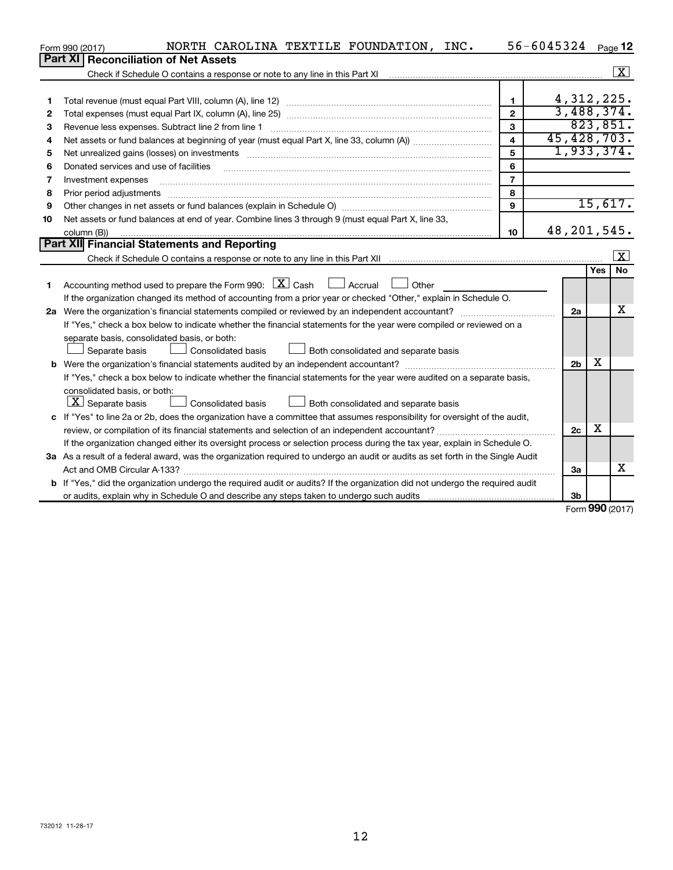|    | NORTH CAROLINA TEXTILE FOUNDATION, INC.<br>Form 990 (2017)                                                                      |                         | 56-6045324 Page 12 |     |                         |
|----|---------------------------------------------------------------------------------------------------------------------------------|-------------------------|--------------------|-----|-------------------------|
|    | <b>Reconciliation of Net Assets</b><br><b>Part XI</b>                                                                           |                         |                    |     |                         |
|    |                                                                                                                                 |                         |                    |     | $\overline{\mathbf{x}}$ |
|    |                                                                                                                                 |                         |                    |     |                         |
| 1  |                                                                                                                                 | $\mathbf{1}$            | 4, 312, 225.       |     |                         |
| 2  |                                                                                                                                 | $\overline{2}$          | 3,488,374.         |     |                         |
| 3  | Revenue less expenses. Subtract line 2 from line 1                                                                              | 3                       |                    |     | 823,851.                |
| 4  |                                                                                                                                 | $\overline{\mathbf{A}}$ | 45,428,703.        |     |                         |
| 5  |                                                                                                                                 | 5                       | 1,933,374.         |     |                         |
| 6  | Donated services and use of facilities                                                                                          | 6                       |                    |     |                         |
| 7  | Investment expenses                                                                                                             | $\overline{7}$          |                    |     |                         |
| 8  | Prior period adjustments                                                                                                        | 8                       |                    |     |                         |
| 9  |                                                                                                                                 | 9                       |                    |     | 15,617.                 |
| 10 | Net assets or fund balances at end of year. Combine lines 3 through 9 (must equal Part X, line 33,                              |                         |                    |     |                         |
|    | column (B))                                                                                                                     | 10                      | 48, 201, 545.      |     |                         |
|    | Part XII Financial Statements and Reporting                                                                                     |                         |                    |     |                         |
|    |                                                                                                                                 |                         |                    |     | $\overline{\mathbf{X}}$ |
|    |                                                                                                                                 |                         |                    | Yes | <b>No</b>               |
| 1  | Accounting method used to prepare the Form 990: $X$ Cash<br>$\Box$ Accrual<br>Other                                             |                         |                    |     |                         |
|    | If the organization changed its method of accounting from a prior year or checked "Other," explain in Schedule O.               |                         |                    |     |                         |
|    | 2a Were the organization's financial statements compiled or reviewed by an independent accountant?                              |                         | 2a                 |     | x                       |
|    | If "Yes," check a box below to indicate whether the financial statements for the year were compiled or reviewed on a            |                         |                    |     |                         |
|    | separate basis, consolidated basis, or both:                                                                                    |                         |                    |     |                         |
|    | Consolidated basis<br>$\perp$ Both consolidated and separate basis<br>Separate basis                                            |                         |                    |     |                         |
|    |                                                                                                                                 |                         | 2 <sub>b</sub>     | х   |                         |
|    | If "Yes," check a box below to indicate whether the financial statements for the year were audited on a separate basis,         |                         |                    |     |                         |
|    | consolidated basis, or both:                                                                                                    |                         |                    |     |                         |
|    | $\lfloor \underline{X} \rfloor$ Separate basis<br><b>Consolidated basis</b><br>Both consolidated and separate basis             |                         |                    |     |                         |
|    | c If "Yes" to line 2a or 2b, does the organization have a committee that assumes responsibility for oversight of the audit,     |                         |                    | x   |                         |
|    |                                                                                                                                 |                         | 2c                 |     |                         |
|    | If the organization changed either its oversight process or selection process during the tax year, explain in Schedule O.       |                         |                    |     |                         |
|    | 3a As a result of a federal award, was the organization required to undergo an audit or audits as set forth in the Single Audit |                         |                    |     | X                       |
|    |                                                                                                                                 |                         | За                 |     |                         |
|    | b If "Yes," did the organization undergo the required audit or audits? If the organization did not undergo the required audit   |                         |                    |     |                         |
|    |                                                                                                                                 |                         | 3 <sub>b</sub>     |     |                         |

Form (2017) **990**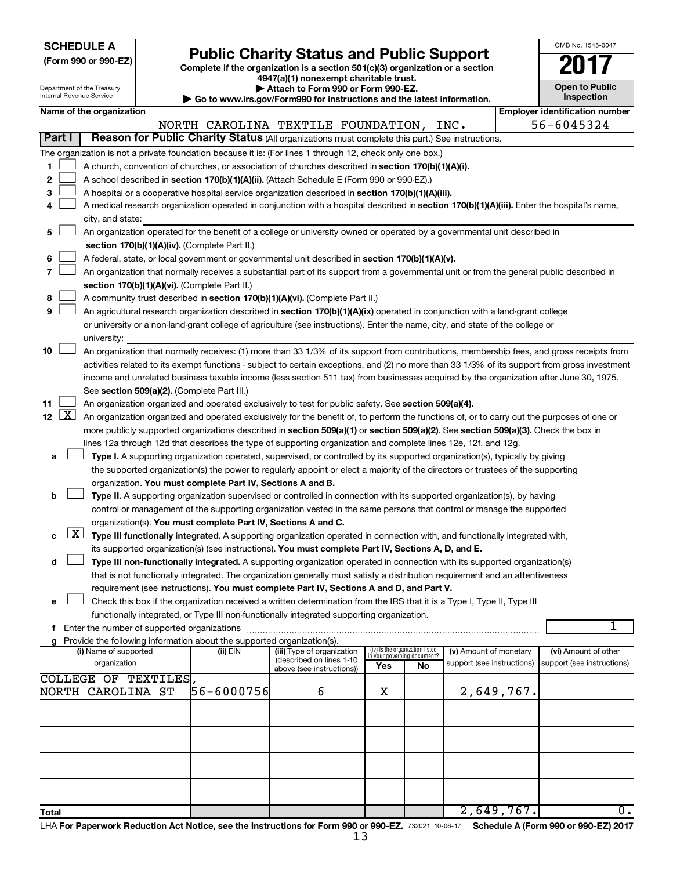| <b>SCHEDULE A</b> |  |
|-------------------|--|
|-------------------|--|

Department of the Treasury

| (Form 990 or 990-EZ) |  |  |
|----------------------|--|--|
|                      |  |  |

Form 990 or 990-EZ)<br>
Complete if the organization is a section 501(c)(3) organization or a section<br> **Public Charity Status and Public Support 4947(a)(1) nonexempt charitable trust.**

**| Attach to Form 990 or Form 990-EZ. | Go to www.irs.gov/Form990 for instructions and the latest information.**

| OMB No. 1545-0047                   |
|-------------------------------------|
|                                     |
| <b>Open to Public</b><br>Inspection |

1

|                |                     | Internal Revenue Service |                      |                                                                        | $\triangleright$ Go to www.irs.gov/Form990 for instructions and the latest information.                                                                                                                                         |     |                                                                |                            |            | Inspection                            |
|----------------|---------------------|--------------------------|----------------------|------------------------------------------------------------------------|---------------------------------------------------------------------------------------------------------------------------------------------------------------------------------------------------------------------------------|-----|----------------------------------------------------------------|----------------------------|------------|---------------------------------------|
|                |                     | Name of the organization |                      |                                                                        |                                                                                                                                                                                                                                 |     |                                                                |                            |            | <b>Employer identification number</b> |
|                |                     |                          |                      |                                                                        | NORTH CAROLINA TEXTILE FOUNDATION, INC.                                                                                                                                                                                         |     |                                                                |                            |            | 56-6045324                            |
|                | Part I              |                          |                      |                                                                        | Reason for Public Charity Status (All organizations must complete this part.) See instructions.                                                                                                                                 |     |                                                                |                            |            |                                       |
|                |                     |                          |                      |                                                                        | The organization is not a private foundation because it is: (For lines 1 through 12, check only one box.)                                                                                                                       |     |                                                                |                            |            |                                       |
| 1.             |                     |                          |                      |                                                                        | A church, convention of churches, or association of churches described in <b>section 170(b)(1)(A)(i).</b>                                                                                                                       |     |                                                                |                            |            |                                       |
| 2              |                     |                          |                      |                                                                        | A school described in section 170(b)(1)(A)(ii). (Attach Schedule E (Form 990 or 990-EZ).)                                                                                                                                       |     |                                                                |                            |            |                                       |
| з              |                     |                          |                      |                                                                        | A hospital or a cooperative hospital service organization described in section 170(b)(1)(A)(iii).                                                                                                                               |     |                                                                |                            |            |                                       |
| 4              |                     |                          |                      |                                                                        | A medical research organization operated in conjunction with a hospital described in section 170(b)(1)(A)(iii). Enter the hospital's name,                                                                                      |     |                                                                |                            |            |                                       |
|                |                     | city, and state:         |                      |                                                                        |                                                                                                                                                                                                                                 |     |                                                                |                            |            |                                       |
| 5              |                     |                          |                      |                                                                        | An organization operated for the benefit of a college or university owned or operated by a governmental unit described in                                                                                                       |     |                                                                |                            |            |                                       |
|                |                     |                          |                      | section 170(b)(1)(A)(iv). (Complete Part II.)                          |                                                                                                                                                                                                                                 |     |                                                                |                            |            |                                       |
| 6              |                     |                          |                      |                                                                        | A federal, state, or local government or governmental unit described in section 170(b)(1)(A)(v).                                                                                                                                |     |                                                                |                            |            |                                       |
| $\overline{7}$ |                     |                          |                      |                                                                        | An organization that normally receives a substantial part of its support from a governmental unit or from the general public described in                                                                                       |     |                                                                |                            |            |                                       |
|                |                     |                          |                      | section 170(b)(1)(A)(vi). (Complete Part II.)                          |                                                                                                                                                                                                                                 |     |                                                                |                            |            |                                       |
| 8              |                     |                          |                      |                                                                        | A community trust described in section 170(b)(1)(A)(vi). (Complete Part II.)                                                                                                                                                    |     |                                                                |                            |            |                                       |
| 9              |                     |                          |                      |                                                                        | An agricultural research organization described in section 170(b)(1)(A)(ix) operated in conjunction with a land-grant college                                                                                                   |     |                                                                |                            |            |                                       |
|                |                     |                          |                      |                                                                        | or university or a non-land-grant college of agriculture (see instructions). Enter the name, city, and state of the college or                                                                                                  |     |                                                                |                            |            |                                       |
|                |                     | university:              |                      |                                                                        |                                                                                                                                                                                                                                 |     |                                                                |                            |            |                                       |
| 10             |                     |                          |                      |                                                                        | An organization that normally receives: (1) more than 33 1/3% of its support from contributions, membership fees, and gross receipts from                                                                                       |     |                                                                |                            |            |                                       |
|                |                     |                          |                      |                                                                        | activities related to its exempt functions - subject to certain exceptions, and (2) no more than 33 1/3% of its support from gross investment                                                                                   |     |                                                                |                            |            |                                       |
|                |                     |                          |                      |                                                                        | income and unrelated business taxable income (less section 511 tax) from businesses acquired by the organization after June 30, 1975.                                                                                           |     |                                                                |                            |            |                                       |
|                |                     |                          |                      | See section 509(a)(2). (Complete Part III.)                            |                                                                                                                                                                                                                                 |     |                                                                |                            |            |                                       |
| 11             |                     |                          |                      |                                                                        | An organization organized and operated exclusively to test for public safety. See section 509(a)(4).                                                                                                                            |     |                                                                |                            |            |                                       |
|                | $12 \mid X$         |                          |                      |                                                                        | An organization organized and operated exclusively for the benefit of, to perform the functions of, or to carry out the purposes of one or                                                                                      |     |                                                                |                            |            |                                       |
|                |                     |                          |                      |                                                                        | more publicly supported organizations described in section 509(a)(1) or section 509(a)(2). See section 509(a)(3). Check the box in                                                                                              |     |                                                                |                            |            |                                       |
|                |                     |                          |                      |                                                                        | lines 12a through 12d that describes the type of supporting organization and complete lines 12e, 12f, and 12g.                                                                                                                  |     |                                                                |                            |            |                                       |
| а              |                     |                          |                      |                                                                        | Type I. A supporting organization operated, supervised, or controlled by its supported organization(s), typically by giving                                                                                                     |     |                                                                |                            |            |                                       |
|                |                     |                          |                      |                                                                        | the supported organization(s) the power to regularly appoint or elect a majority of the directors or trustees of the supporting                                                                                                 |     |                                                                |                            |            |                                       |
|                |                     |                          |                      | organization. You must complete Part IV, Sections A and B.             |                                                                                                                                                                                                                                 |     |                                                                |                            |            |                                       |
| b              |                     |                          |                      |                                                                        | Type II. A supporting organization supervised or controlled in connection with its supported organization(s), by having                                                                                                         |     |                                                                |                            |            |                                       |
|                |                     |                          |                      |                                                                        | control or management of the supporting organization vested in the same persons that control or manage the supported                                                                                                            |     |                                                                |                            |            |                                       |
|                | $\lfloor x \rfloor$ |                          |                      | organization(s). You must complete Part IV, Sections A and C.          |                                                                                                                                                                                                                                 |     |                                                                |                            |            |                                       |
| с              |                     |                          |                      |                                                                        | Type III functionally integrated. A supporting organization operated in connection with, and functionally integrated with,                                                                                                      |     |                                                                |                            |            |                                       |
| d              |                     |                          |                      |                                                                        | its supported organization(s) (see instructions). You must complete Part IV, Sections A, D, and E.<br>Type III non-functionally integrated. A supporting organization operated in connection with its supported organization(s) |     |                                                                |                            |            |                                       |
|                |                     |                          |                      |                                                                        | that is not functionally integrated. The organization generally must satisfy a distribution requirement and an attentiveness                                                                                                    |     |                                                                |                            |            |                                       |
|                |                     |                          |                      |                                                                        | requirement (see instructions). You must complete Part IV, Sections A and D, and Part V.                                                                                                                                        |     |                                                                |                            |            |                                       |
| е              |                     |                          |                      |                                                                        | Check this box if the organization received a written determination from the IRS that it is a Type I, Type II, Type III                                                                                                         |     |                                                                |                            |            |                                       |
|                |                     |                          |                      |                                                                        | functionally integrated, or Type III non-functionally integrated supporting organization.                                                                                                                                       |     |                                                                |                            |            |                                       |
|                |                     |                          |                      |                                                                        |                                                                                                                                                                                                                                 |     |                                                                |                            |            | 1                                     |
| g              |                     |                          |                      | Provide the following information about the supported organization(s). |                                                                                                                                                                                                                                 |     |                                                                |                            |            |                                       |
|                |                     | (i) Name of supported    |                      | (ii) EIN                                                               | (iii) Type of organization                                                                                                                                                                                                      |     | (iv) Is the organization listed<br>in your governing document? | (v) Amount of monetary     |            | (vi) Amount of other                  |
|                |                     | organization             |                      |                                                                        | (described on lines 1-10<br>above (see instructions))                                                                                                                                                                           | Yes | No                                                             | support (see instructions) |            | support (see instructions)            |
|                |                     |                          | COLLEGE OF TEXTILES, |                                                                        |                                                                                                                                                                                                                                 |     |                                                                |                            |            |                                       |
|                |                     | NORTH CAROLINA ST        |                      | 56-6000756                                                             | 6                                                                                                                                                                                                                               | х   |                                                                |                            | 2,649,767. |                                       |
|                |                     |                          |                      |                                                                        |                                                                                                                                                                                                                                 |     |                                                                |                            |            |                                       |
|                |                     |                          |                      |                                                                        |                                                                                                                                                                                                                                 |     |                                                                |                            |            |                                       |
|                |                     |                          |                      |                                                                        |                                                                                                                                                                                                                                 |     |                                                                |                            |            |                                       |
|                |                     |                          |                      |                                                                        |                                                                                                                                                                                                                                 |     |                                                                |                            |            |                                       |
|                |                     |                          |                      |                                                                        |                                                                                                                                                                                                                                 |     |                                                                |                            |            |                                       |
|                |                     |                          |                      |                                                                        |                                                                                                                                                                                                                                 |     |                                                                |                            |            |                                       |
|                |                     |                          |                      |                                                                        |                                                                                                                                                                                                                                 |     |                                                                |                            |            |                                       |
| Total          |                     |                          |                      |                                                                        |                                                                                                                                                                                                                                 |     |                                                                |                            | 2,649,767. | $\overline{0}$ .                      |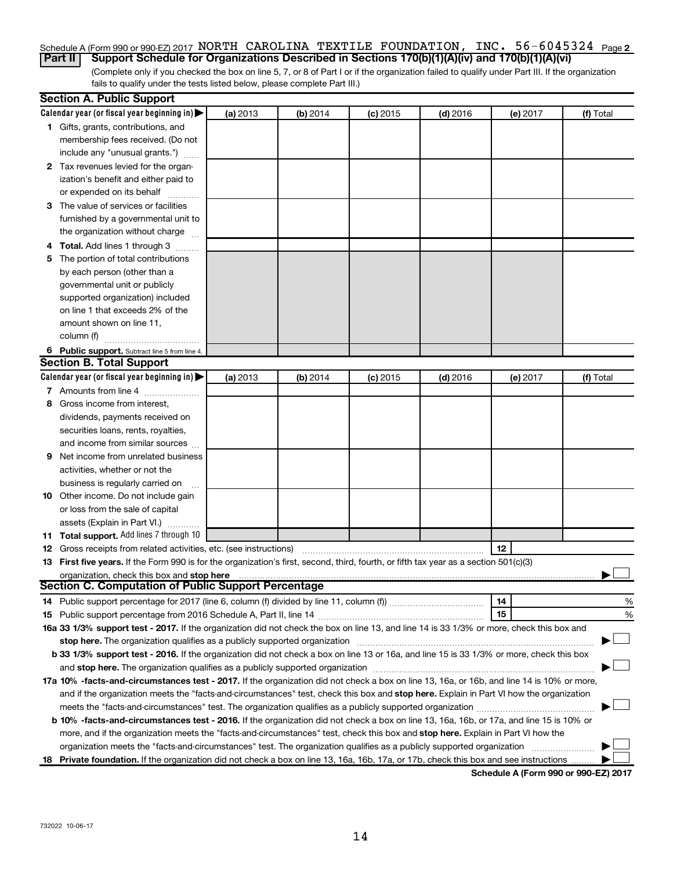# Schedule A (Form 990 or 990-EZ) 2017 NORTH CAROLINA TEXTILE FOUNDATION, INC. 56-6045324 <sub>Page 2</sub>

(Complete only if you checked the box on line 5, 7, or 8 of Part I or if the organization failed to qualify under Part III. If the organization fails to qualify under the tests listed below, please complete Part III.) **Part II Support Schedule for Organizations Described in Sections 170(b)(1)(A)(iv) and 170(b)(1)(A)(vi)**

|   | <b>Section A. Public Support</b>                                                                                                                                                                                               |          |          |            |            |          |           |
|---|--------------------------------------------------------------------------------------------------------------------------------------------------------------------------------------------------------------------------------|----------|----------|------------|------------|----------|-----------|
|   | Calendar year (or fiscal year beginning in)                                                                                                                                                                                    | (a) 2013 | (b) 2014 | $(c)$ 2015 | $(d)$ 2016 | (e) 2017 | (f) Total |
|   | 1 Gifts, grants, contributions, and                                                                                                                                                                                            |          |          |            |            |          |           |
|   | membership fees received. (Do not                                                                                                                                                                                              |          |          |            |            |          |           |
|   | include any "unusual grants.")                                                                                                                                                                                                 |          |          |            |            |          |           |
|   | 2 Tax revenues levied for the organ-                                                                                                                                                                                           |          |          |            |            |          |           |
|   | ization's benefit and either paid to                                                                                                                                                                                           |          |          |            |            |          |           |
|   | or expended on its behalf                                                                                                                                                                                                      |          |          |            |            |          |           |
|   | 3 The value of services or facilities                                                                                                                                                                                          |          |          |            |            |          |           |
|   | furnished by a governmental unit to                                                                                                                                                                                            |          |          |            |            |          |           |
|   | the organization without charge                                                                                                                                                                                                |          |          |            |            |          |           |
|   | 4 Total. Add lines 1 through 3                                                                                                                                                                                                 |          |          |            |            |          |           |
|   | 5 The portion of total contributions                                                                                                                                                                                           |          |          |            |            |          |           |
|   | by each person (other than a                                                                                                                                                                                                   |          |          |            |            |          |           |
|   | governmental unit or publicly                                                                                                                                                                                                  |          |          |            |            |          |           |
|   | supported organization) included                                                                                                                                                                                               |          |          |            |            |          |           |
|   | on line 1 that exceeds 2% of the                                                                                                                                                                                               |          |          |            |            |          |           |
|   | amount shown on line 11,                                                                                                                                                                                                       |          |          |            |            |          |           |
|   | column (f)                                                                                                                                                                                                                     |          |          |            |            |          |           |
|   | 6 Public support. Subtract line 5 from line 4.                                                                                                                                                                                 |          |          |            |            |          |           |
|   | <b>Section B. Total Support</b>                                                                                                                                                                                                |          |          |            |            |          |           |
|   | Calendar year (or fiscal year beginning in)                                                                                                                                                                                    | (a) 2013 | (b) 2014 | $(c)$ 2015 | $(d)$ 2016 | (e) 2017 | (f) Total |
|   | 7 Amounts from line 4                                                                                                                                                                                                          |          |          |            |            |          |           |
| 8 | Gross income from interest,                                                                                                                                                                                                    |          |          |            |            |          |           |
|   | dividends, payments received on                                                                                                                                                                                                |          |          |            |            |          |           |
|   | securities loans, rents, royalties,                                                                                                                                                                                            |          |          |            |            |          |           |
|   | and income from similar sources                                                                                                                                                                                                |          |          |            |            |          |           |
| 9 | Net income from unrelated business                                                                                                                                                                                             |          |          |            |            |          |           |
|   | activities, whether or not the                                                                                                                                                                                                 |          |          |            |            |          |           |
|   | business is regularly carried on                                                                                                                                                                                               |          |          |            |            |          |           |
|   | 10 Other income. Do not include gain                                                                                                                                                                                           |          |          |            |            |          |           |
|   | or loss from the sale of capital                                                                                                                                                                                               |          |          |            |            |          |           |
|   | assets (Explain in Part VI.)                                                                                                                                                                                                   |          |          |            |            |          |           |
|   | 11 Total support. Add lines 7 through 10                                                                                                                                                                                       |          |          |            |            |          |           |
|   | <b>12</b> Gross receipts from related activities, etc. (see instructions)                                                                                                                                                      |          |          |            |            | 12       |           |
|   | 13 First five years. If the Form 990 is for the organization's first, second, third, fourth, or fifth tax year as a section 501(c)(3)                                                                                          |          |          |            |            |          |           |
|   | organization, check this box and stop here                                                                                                                                                                                     |          |          |            |            |          |           |
|   | <b>Section C. Computation of Public Support Percentage</b>                                                                                                                                                                     |          |          |            |            |          |           |
|   |                                                                                                                                                                                                                                |          |          |            |            | 14       | %         |
|   |                                                                                                                                                                                                                                |          |          |            |            | 15       | %         |
|   | 16a 33 1/3% support test - 2017. If the organization did not check the box on line 13, and line 14 is 33 1/3% or more, check this box and                                                                                      |          |          |            |            |          |           |
|   | stop here. The organization qualifies as a publicly supported organization manufactured content and the content of the state of the state of the state of the state of the state of the state of the state of the state of the |          |          |            |            |          |           |
|   | b 33 1/3% support test - 2016. If the organization did not check a box on line 13 or 16a, and line 15 is 33 1/3% or more, check this box                                                                                       |          |          |            |            |          |           |
|   |                                                                                                                                                                                                                                |          |          |            |            |          |           |
|   | 17a 10% -facts-and-circumstances test - 2017. If the organization did not check a box on line 13, 16a, or 16b, and line 14 is 10% or more,                                                                                     |          |          |            |            |          |           |
|   | and if the organization meets the "facts-and-circumstances" test, check this box and stop here. Explain in Part VI how the organization                                                                                        |          |          |            |            |          |           |
|   | meets the "facts-and-circumstances" test. The organization qualifies as a publicly supported organization <i>manumumum</i>                                                                                                     |          |          |            |            |          |           |
|   | b 10% -facts-and-circumstances test - 2016. If the organization did not check a box on line 13, 16a, 16b, or 17a, and line 15 is 10% or                                                                                        |          |          |            |            |          |           |
|   | more, and if the organization meets the "facts-and-circumstances" test, check this box and stop here. Explain in Part VI how the                                                                                               |          |          |            |            |          |           |
|   | organization meets the "facts-and-circumstances" test. The organization qualifies as a publicly supported organization                                                                                                         |          |          |            |            |          |           |
|   | 18 Private foundation. If the organization did not check a box on line 13, 16a, 16b, 17a, or 17b, check this box and see instructions                                                                                          |          |          |            |            |          |           |
|   |                                                                                                                                                                                                                                |          |          |            |            |          |           |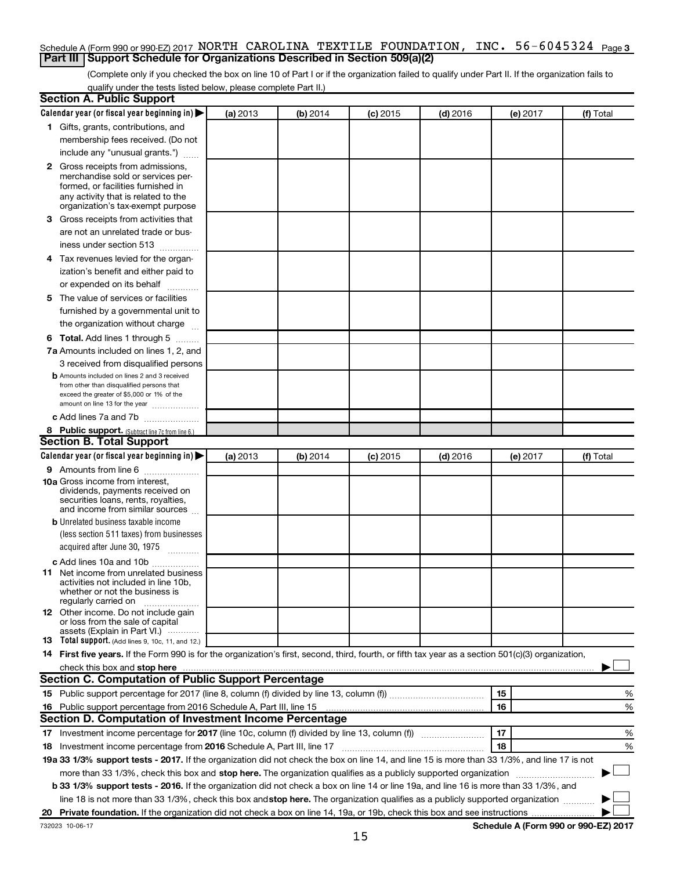#### Schedule A (Form 990 or 990-EZ) 2017 <code>NORTH CAROLINA TEXTILE FOUNDATION</code> , <code>INC. 56-6045324</code> <code>Page 3</code> **Part III Support Schedule for Organizations Described in Section 509(a)(2)**

(Complete only if you checked the box on line 10 of Part I or if the organization failed to qualify under Part II. If the organization fails to qualify under the tests listed below, please complete Part II.)

| <b>Section A. Public Support</b>                                                                                                                                                                                              |          |          |            |            |          |           |
|-------------------------------------------------------------------------------------------------------------------------------------------------------------------------------------------------------------------------------|----------|----------|------------|------------|----------|-----------|
| Calendar year (or fiscal year beginning in)                                                                                                                                                                                   | (a) 2013 | (b) 2014 | $(c)$ 2015 | $(d)$ 2016 | (e) 2017 | (f) Total |
| 1 Gifts, grants, contributions, and                                                                                                                                                                                           |          |          |            |            |          |           |
| membership fees received. (Do not                                                                                                                                                                                             |          |          |            |            |          |           |
| include any "unusual grants.")                                                                                                                                                                                                |          |          |            |            |          |           |
| 2 Gross receipts from admissions,                                                                                                                                                                                             |          |          |            |            |          |           |
| merchandise sold or services per-                                                                                                                                                                                             |          |          |            |            |          |           |
| formed, or facilities furnished in                                                                                                                                                                                            |          |          |            |            |          |           |
| any activity that is related to the<br>organization's tax-exempt purpose                                                                                                                                                      |          |          |            |            |          |           |
| 3 Gross receipts from activities that                                                                                                                                                                                         |          |          |            |            |          |           |
| are not an unrelated trade or bus-                                                                                                                                                                                            |          |          |            |            |          |           |
| iness under section 513                                                                                                                                                                                                       |          |          |            |            |          |           |
| 4 Tax revenues levied for the organ-                                                                                                                                                                                          |          |          |            |            |          |           |
| ization's benefit and either paid to                                                                                                                                                                                          |          |          |            |            |          |           |
| or expended on its behalf                                                                                                                                                                                                     |          |          |            |            |          |           |
| 5 The value of services or facilities                                                                                                                                                                                         |          |          |            |            |          |           |
| furnished by a governmental unit to                                                                                                                                                                                           |          |          |            |            |          |           |
| the organization without charge                                                                                                                                                                                               |          |          |            |            |          |           |
| <b>6 Total.</b> Add lines 1 through 5                                                                                                                                                                                         |          |          |            |            |          |           |
| 7a Amounts included on lines 1, 2, and                                                                                                                                                                                        |          |          |            |            |          |           |
| 3 received from disqualified persons                                                                                                                                                                                          |          |          |            |            |          |           |
| <b>b</b> Amounts included on lines 2 and 3 received                                                                                                                                                                           |          |          |            |            |          |           |
| from other than disqualified persons that                                                                                                                                                                                     |          |          |            |            |          |           |
| exceed the greater of \$5,000 or 1% of the                                                                                                                                                                                    |          |          |            |            |          |           |
| amount on line 13 for the year                                                                                                                                                                                                |          |          |            |            |          |           |
| c Add lines 7a and 7b                                                                                                                                                                                                         |          |          |            |            |          |           |
| 8 Public support. (Subtract line 7c from line 6.)<br><b>Section B. Total Support</b>                                                                                                                                          |          |          |            |            |          |           |
| Calendar year (or fiscal year beginning in)                                                                                                                                                                                   |          |          |            |            |          |           |
|                                                                                                                                                                                                                               | (a) 2013 | (b) 2014 | (c) 2015   | $(d)$ 2016 | (e) 2017 | (f) Total |
| <b>9</b> Amounts from line 6<br><b>10a</b> Gross income from interest,                                                                                                                                                        |          |          |            |            |          |           |
| dividends, payments received on                                                                                                                                                                                               |          |          |            |            |          |           |
| securities loans, rents, royalties,                                                                                                                                                                                           |          |          |            |            |          |           |
| and income from similar sources                                                                                                                                                                                               |          |          |            |            |          |           |
| <b>b</b> Unrelated business taxable income                                                                                                                                                                                    |          |          |            |            |          |           |
| (less section 511 taxes) from businesses                                                                                                                                                                                      |          |          |            |            |          |           |
| acquired after June 30, 1975<br>$\frac{1}{2}$                                                                                                                                                                                 |          |          |            |            |          |           |
| c Add lines 10a and 10b                                                                                                                                                                                                       |          |          |            |            |          |           |
| 11 Net income from unrelated business<br>activities not included in line 10b.                                                                                                                                                 |          |          |            |            |          |           |
| whether or not the business is                                                                                                                                                                                                |          |          |            |            |          |           |
| regularly carried on                                                                                                                                                                                                          |          |          |            |            |          |           |
| <b>12</b> Other income. Do not include gain<br>or loss from the sale of capital                                                                                                                                               |          |          |            |            |          |           |
| assets (Explain in Part VI.)                                                                                                                                                                                                  |          |          |            |            |          |           |
| <b>13</b> Total support. (Add lines 9, 10c, 11, and 12.)                                                                                                                                                                      |          |          |            |            |          |           |
| 14 First five years. If the Form 990 is for the organization's first, second, third, fourth, or fifth tax year as a section 501(c)(3) organization,                                                                           |          |          |            |            |          |           |
| check this box and stop here measurements and stop here and stop here are constructed and stop here and stop here and stop here and stop here and stop here and stop here and stop here and stop here are all the stop of the |          |          |            |            |          |           |
| Section C. Computation of Public Support Percentage                                                                                                                                                                           |          |          |            |            |          |           |
|                                                                                                                                                                                                                               |          |          |            |            | 15       | %         |
| 16 Public support percentage from 2016 Schedule A, Part III, line 15                                                                                                                                                          |          |          |            |            | 16       | %         |
| Section D. Computation of Investment Income Percentage                                                                                                                                                                        |          |          |            |            |          |           |
|                                                                                                                                                                                                                               |          |          |            |            | 17       | %         |
| 18 Investment income percentage from 2016 Schedule A, Part III, line 17                                                                                                                                                       |          |          |            |            | 18       | %         |
| 19a 33 1/3% support tests - 2017. If the organization did not check the box on line 14, and line 15 is more than 33 1/3%, and line 17 is not                                                                                  |          |          |            |            |          |           |
| more than 33 1/3%, check this box and stop here. The organization qualifies as a publicly supported organization                                                                                                              |          |          |            |            |          |           |
| b 33 1/3% support tests - 2016. If the organization did not check a box on line 14 or line 19a, and line 16 is more than 33 1/3%, and                                                                                         |          |          |            |            |          |           |
| line 18 is not more than 33 1/3%, check this box and stop here. The organization qualifies as a publicly supported organization                                                                                               |          |          |            |            |          |           |
|                                                                                                                                                                                                                               |          |          |            |            |          |           |
|                                                                                                                                                                                                                               |          |          |            |            |          |           |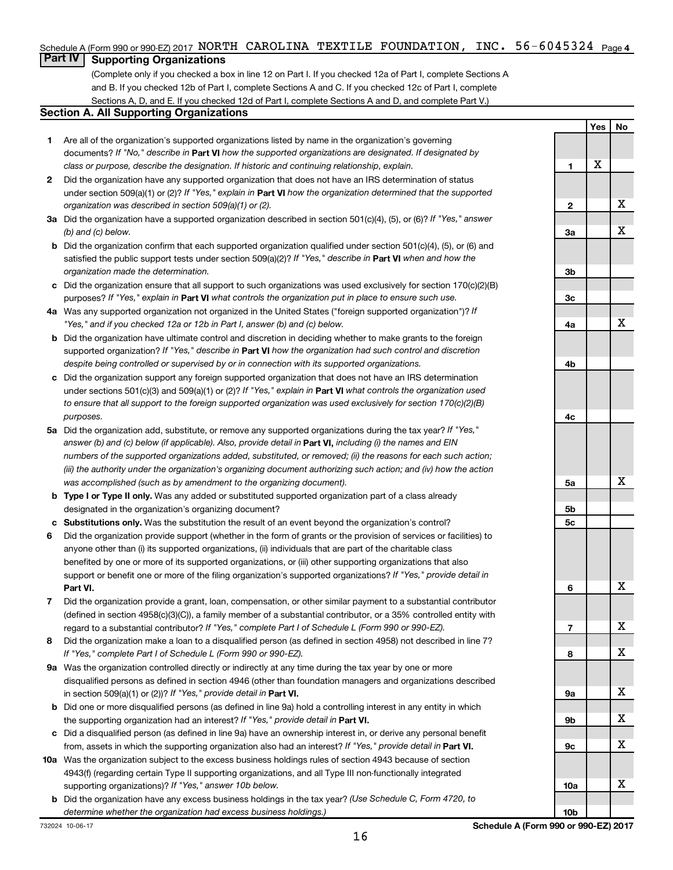### Schedule A (Form 990 or 990-EZ) 2017 NORTH CAROLINA TEXTILE FOUNDATION, INC. 56-6045324 <sub>Page 4</sub>

# **Part IV Supporting Organizations**

(Complete only if you checked a box in line 12 on Part I. If you checked 12a of Part I, complete Sections A and B. If you checked 12b of Part I, complete Sections A and C. If you checked 12c of Part I, complete Sections A, D, and E. If you checked 12d of Part I, complete Sections A and D, and complete Part V.)

#### **Section A. All Supporting Organizations**

- **1** Are all of the organization's supported organizations listed by name in the organization's governing documents? If "No," describe in Part VI how the supported organizations are designated. If designated by *class or purpose, describe the designation. If historic and continuing relationship, explain.*
- **2** Did the organization have any supported organization that does not have an IRS determination of status under section 509(a)(1) or (2)? If "Yes," explain in Part **VI** how the organization determined that the supported *organization was described in section 509(a)(1) or (2).*
- **3a** Did the organization have a supported organization described in section 501(c)(4), (5), or (6)? If "Yes," answer *(b) and (c) below.*
- **b** Did the organization confirm that each supported organization qualified under section 501(c)(4), (5), or (6) and satisfied the public support tests under section 509(a)(2)? If "Yes," describe in Part VI when and how the *organization made the determination.*
- **c** Did the organization ensure that all support to such organizations was used exclusively for section 170(c)(2)(B) purposes? If "Yes," explain in Part VI what controls the organization put in place to ensure such use.
- **4 a** *If* Was any supported organization not organized in the United States ("foreign supported organization")? *"Yes," and if you checked 12a or 12b in Part I, answer (b) and (c) below.*
- **b** Did the organization have ultimate control and discretion in deciding whether to make grants to the foreign supported organization? If "Yes," describe in Part VI how the organization had such control and discretion *despite being controlled or supervised by or in connection with its supported organizations.*
- **c** Did the organization support any foreign supported organization that does not have an IRS determination under sections 501(c)(3) and 509(a)(1) or (2)? If "Yes," explain in Part VI what controls the organization used *to ensure that all support to the foreign supported organization was used exclusively for section 170(c)(2)(B) purposes.*
- **5a** Did the organization add, substitute, or remove any supported organizations during the tax year? If "Yes," answer (b) and (c) below (if applicable). Also, provide detail in **Part VI,** including (i) the names and EIN *numbers of the supported organizations added, substituted, or removed; (ii) the reasons for each such action; (iii) the authority under the organization's organizing document authorizing such action; and (iv) how the action was accomplished (such as by amendment to the organizing document).*
- **b** Type I or Type II only. Was any added or substituted supported organization part of a class already designated in the organization's organizing document?
- **c Substitutions only.**  Was the substitution the result of an event beyond the organization's control?
- **6** Did the organization provide support (whether in the form of grants or the provision of services or facilities) to **Part VI.** support or benefit one or more of the filing organization's supported organizations? If "Yes," provide detail in anyone other than (i) its supported organizations, (ii) individuals that are part of the charitable class benefited by one or more of its supported organizations, or (iii) other supporting organizations that also
- **7** Did the organization provide a grant, loan, compensation, or other similar payment to a substantial contributor regard to a substantial contributor? If "Yes," complete Part I of Schedule L (Form 990 or 990-EZ). (defined in section 4958(c)(3)(C)), a family member of a substantial contributor, or a 35% controlled entity with
- **8** Did the organization make a loan to a disqualified person (as defined in section 4958) not described in line 7? *If "Yes," complete Part I of Schedule L (Form 990 or 990-EZ).*
- **9 a** Was the organization controlled directly or indirectly at any time during the tax year by one or more in section 509(a)(1) or (2))? If "Yes," provide detail in **Part VI.** disqualified persons as defined in section 4946 (other than foundation managers and organizations described
- **b** Did one or more disqualified persons (as defined in line 9a) hold a controlling interest in any entity in which the supporting organization had an interest? If "Yes," provide detail in Part VI.
- **c** Did a disqualified person (as defined in line 9a) have an ownership interest in, or derive any personal benefit from, assets in which the supporting organization also had an interest? If "Yes," provide detail in Part VI.
- **10 a** Was the organization subject to the excess business holdings rules of section 4943 because of section supporting organizations)? If "Yes," answer 10b below. 4943(f) (regarding certain Type II supporting organizations, and all Type III non-functionally integrated
	- **b** Did the organization have any excess business holdings in the tax year? (Use Schedule C, Form 4720, to *determine whether the organization had excess business holdings.)*

**Yes No 1 2 3a 3b 3c 4a 4b 4c 5a 5b 5c 6 7 8 9a 9b 9c 10a 10b** X X X X X X X X X X X X

732024 10-06-17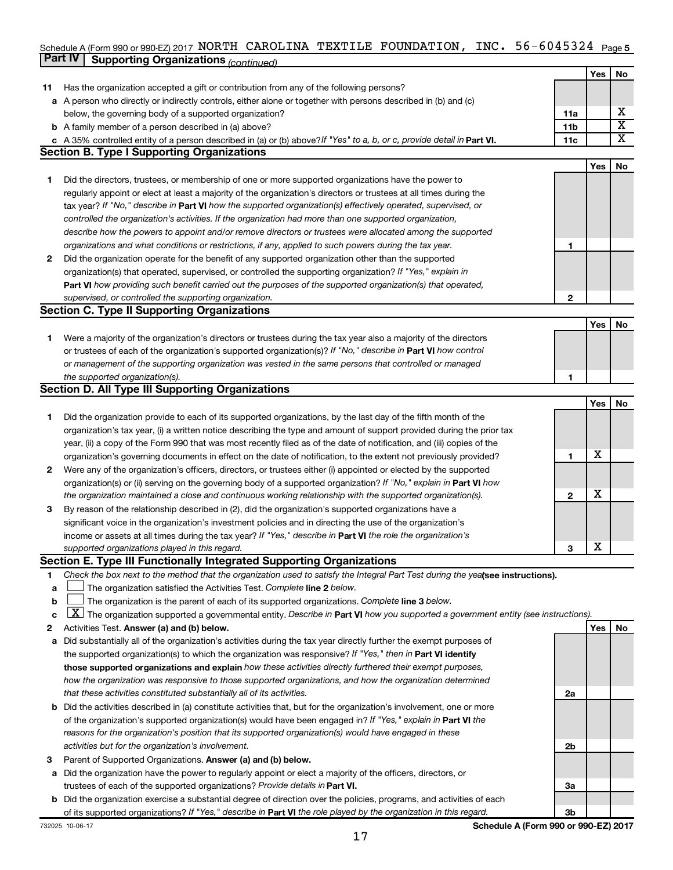#### Schedule A (Form 990 or 990-EZ) 2017 NORTH CAROLINA TEXTILE FOUNDATION **, INC 56-6045324** Page **5 Part IV Supporting Organizations** *(continued)* NORTH CAROLINA TEXTILE FOUNDATION, INC. 56-6045324

|    |                                                                                                                                                                                                                                      |                 | Yes        | No                      |
|----|--------------------------------------------------------------------------------------------------------------------------------------------------------------------------------------------------------------------------------------|-----------------|------------|-------------------------|
| 11 | Has the organization accepted a gift or contribution from any of the following persons?                                                                                                                                              |                 |            |                         |
|    | a A person who directly or indirectly controls, either alone or together with persons described in (b) and (c)                                                                                                                       |                 |            |                         |
|    | below, the governing body of a supported organization?                                                                                                                                                                               | 11a             |            | х                       |
|    | <b>b</b> A family member of a person described in (a) above?                                                                                                                                                                         | 11 <sub>b</sub> |            | $\overline{\mathtt{x}}$ |
|    | c A 35% controlled entity of a person described in (a) or (b) above? If "Yes" to a, b, or c, provide detail in Part VI.                                                                                                              | 11c             |            | $\overline{\text{x}}$   |
|    | <b>Section B. Type I Supporting Organizations</b>                                                                                                                                                                                    |                 |            |                         |
|    |                                                                                                                                                                                                                                      |                 | <b>Yes</b> | No                      |
| 1  | Did the directors, trustees, or membership of one or more supported organizations have the power to                                                                                                                                  |                 |            |                         |
|    | regularly appoint or elect at least a majority of the organization's directors or trustees at all times during the                                                                                                                   |                 |            |                         |
|    | tax year? If "No," describe in Part VI how the supported organization(s) effectively operated, supervised, or                                                                                                                        |                 |            |                         |
|    | controlled the organization's activities. If the organization had more than one supported organization,                                                                                                                              |                 |            |                         |
|    | describe how the powers to appoint and/or remove directors or trustees were allocated among the supported                                                                                                                            |                 |            |                         |
|    | organizations and what conditions or restrictions, if any, applied to such powers during the tax year.                                                                                                                               | 1               |            |                         |
| 2  | Did the organization operate for the benefit of any supported organization other than the supported                                                                                                                                  |                 |            |                         |
|    | organization(s) that operated, supervised, or controlled the supporting organization? If "Yes," explain in                                                                                                                           |                 |            |                         |
|    | Part VI how providing such benefit carried out the purposes of the supported organization(s) that operated,                                                                                                                          |                 |            |                         |
|    | supervised, or controlled the supporting organization.                                                                                                                                                                               | $\mathbf{2}$    |            |                         |
|    | <b>Section C. Type II Supporting Organizations</b>                                                                                                                                                                                   |                 |            |                         |
|    |                                                                                                                                                                                                                                      |                 | <b>Yes</b> | No                      |
| 1. | Were a majority of the organization's directors or trustees during the tax year also a majority of the directors                                                                                                                     |                 |            |                         |
|    | or trustees of each of the organization's supported organization(s)? If "No," describe in <b>Part VI</b> how control                                                                                                                 |                 |            |                         |
|    | or management of the supporting organization was vested in the same persons that controlled or managed                                                                                                                               |                 |            |                         |
|    | the supported organization(s).                                                                                                                                                                                                       | 1               |            |                         |
|    | Section D. All Type III Supporting Organizations                                                                                                                                                                                     |                 |            |                         |
|    |                                                                                                                                                                                                                                      |                 | <b>Yes</b> | No                      |
| 1  | Did the organization provide to each of its supported organizations, by the last day of the fifth month of the                                                                                                                       |                 |            |                         |
|    | organization's tax year, (i) a written notice describing the type and amount of support provided during the prior tax                                                                                                                |                 |            |                         |
|    | year, (ii) a copy of the Form 990 that was most recently filed as of the date of notification, and (iii) copies of the                                                                                                               |                 | х          |                         |
| 2  | organization's governing documents in effect on the date of notification, to the extent not previously provided?<br>Were any of the organization's officers, directors, or trustees either (i) appointed or elected by the supported | 1               |            |                         |
|    | organization(s) or (ii) serving on the governing body of a supported organization? If "No," explain in <b>Part VI</b> how                                                                                                            |                 |            |                         |
|    | the organization maintained a close and continuous working relationship with the supported organization(s).                                                                                                                          | $\mathbf{2}$    | х          |                         |
| 3  | By reason of the relationship described in (2), did the organization's supported organizations have a                                                                                                                                |                 |            |                         |
|    | significant voice in the organization's investment policies and in directing the use of the organization's                                                                                                                           |                 |            |                         |
|    | income or assets at all times during the tax year? If "Yes," describe in Part VI the role the organization's                                                                                                                         |                 |            |                         |
|    | supported organizations played in this regard.                                                                                                                                                                                       | 3               | X          |                         |
|    | Section E. Type III Functionally Integrated Supporting Organizations                                                                                                                                                                 |                 |            |                         |
| 1  | Check the box next to the method that the organization used to satisfy the Integral Part Test during the yealsee instructions).                                                                                                      |                 |            |                         |
| а  | The organization satisfied the Activities Test. Complete line 2 below.                                                                                                                                                               |                 |            |                         |
| b  | The organization is the parent of each of its supported organizations. Complete line 3 below.                                                                                                                                        |                 |            |                         |
| с  | $\lfloor \underline{X} \rfloor$ The organization supported a governmental entity. Describe in Part VI how you supported a government entity (see instructions).                                                                      |                 |            |                         |
| 2  | Activities Test. Answer (a) and (b) below.                                                                                                                                                                                           |                 | Yes        | No                      |
| а  | Did substantially all of the organization's activities during the tax year directly further the exempt purposes of                                                                                                                   |                 |            |                         |
|    | the supported organization(s) to which the organization was responsive? If "Yes," then in Part VI identify                                                                                                                           |                 |            |                         |
|    | those supported organizations and explain how these activities directly furthered their exempt purposes,                                                                                                                             |                 |            |                         |
|    | how the organization was responsive to those supported organizations, and how the organization determined                                                                                                                            |                 |            |                         |
|    | that these activities constituted substantially all of its activities.                                                                                                                                                               | 2a              |            |                         |
|    | <b>b</b> Did the activities described in (a) constitute activities that, but for the organization's involvement, one or more                                                                                                         |                 |            |                         |
|    | of the organization's supported organization(s) would have been engaged in? If "Yes," explain in Part VI the                                                                                                                         |                 |            |                         |
|    | reasons for the organization's position that its supported organization(s) would have engaged in these                                                                                                                               |                 |            |                         |
|    | activities but for the organization's involvement.                                                                                                                                                                                   | 2b              |            |                         |
| З  | Parent of Supported Organizations. Answer (a) and (b) below.                                                                                                                                                                         |                 |            |                         |
| а  | Did the organization have the power to regularly appoint or elect a majority of the officers, directors, or                                                                                                                          |                 |            |                         |
|    | trustees of each of the supported organizations? Provide details in Part VI.                                                                                                                                                         | За              |            |                         |
|    | <b>b</b> Did the organization exercise a substantial degree of direction over the policies, programs, and activities of each                                                                                                         |                 |            |                         |
|    | of its supported organizations? If "Yes," describe in Part VI the role played by the organization in this regard.                                                                                                                    | 3 <sub>b</sub>  |            |                         |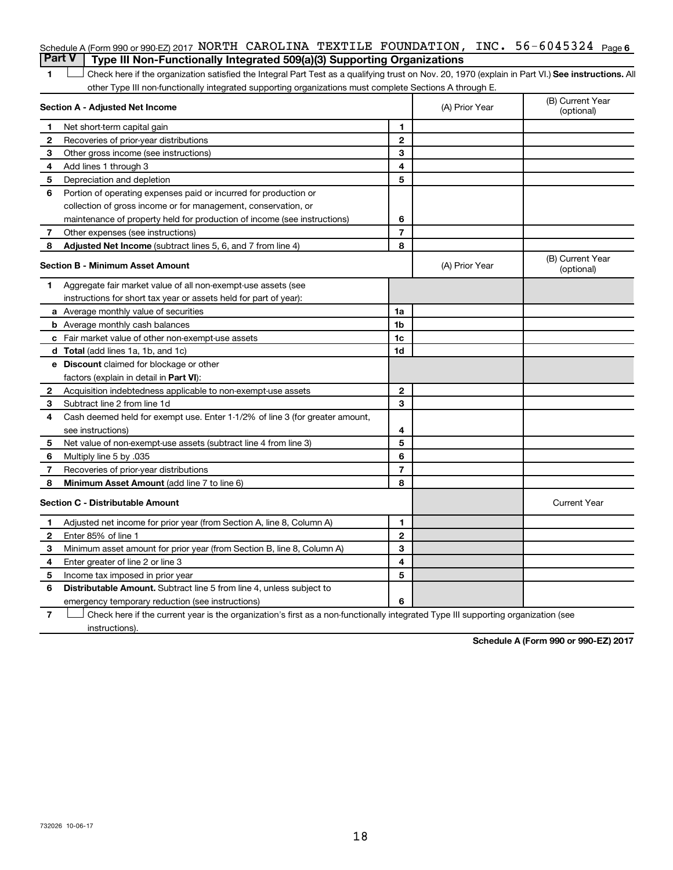#### Schedule A (Form 990 or 990-EZ) 2017 <code>NORTH CAROLINA TEXTILE FOUNDATION</code> , <code>INC. 56-6045324</code> <code>Page 6</code> **Part V Type III Non-Functionally Integrated 509(a)(3) Supporting Organizations**

1 **Letter See instructions.** All Check here if the organization satisfied the Integral Part Test as a qualifying trust on Nov. 20, 1970 (explain in Part VI.) See instructions. All other Type III non-functionally integrated supporting organizations must complete Sections A through E.

|                | Section A - Adjusted Net Income                                              |                | (A) Prior Year | (B) Current Year<br>(optional) |
|----------------|------------------------------------------------------------------------------|----------------|----------------|--------------------------------|
| 1              | Net short-term capital gain                                                  | 1              |                |                                |
| 2              | Recoveries of prior-year distributions                                       | $\mathbf{2}$   |                |                                |
| З              | Other gross income (see instructions)                                        | 3              |                |                                |
| 4              | Add lines 1 through 3                                                        | 4              |                |                                |
| 5              | Depreciation and depletion                                                   | 5              |                |                                |
| 6              | Portion of operating expenses paid or incurred for production or             |                |                |                                |
|                | collection of gross income or for management, conservation, or               |                |                |                                |
|                | maintenance of property held for production of income (see instructions)     | 6              |                |                                |
| 7              | Other expenses (see instructions)                                            | $\overline{7}$ |                |                                |
| 8              | Adjusted Net Income (subtract lines 5, 6, and 7 from line 4)                 | 8              |                |                                |
|                | <b>Section B - Minimum Asset Amount</b>                                      |                | (A) Prior Year | (B) Current Year<br>(optional) |
| 1.             | Aggregate fair market value of all non-exempt-use assets (see                |                |                |                                |
|                | instructions for short tax year or assets held for part of year):            |                |                |                                |
|                | a Average monthly value of securities                                        | 1a             |                |                                |
|                | <b>b</b> Average monthly cash balances                                       | 1 <sub>b</sub> |                |                                |
|                | <b>c</b> Fair market value of other non-exempt-use assets                    | 1c             |                |                                |
|                | d Total (add lines 1a, 1b, and 1c)                                           | 1d             |                |                                |
|                | e Discount claimed for blockage or other                                     |                |                |                                |
|                | factors (explain in detail in <b>Part VI</b> ):                              |                |                |                                |
| 2              | Acquisition indebtedness applicable to non-exempt-use assets                 | $\mathbf{2}$   |                |                                |
| 3              | Subtract line 2 from line 1d                                                 | 3              |                |                                |
| 4              | Cash deemed held for exempt use. Enter 1-1/2% of line 3 (for greater amount, |                |                |                                |
|                | see instructions)                                                            | 4              |                |                                |
| 5              | Net value of non-exempt-use assets (subtract line 4 from line 3)             | 5              |                |                                |
| 6              | Multiply line 5 by .035                                                      | 6              |                |                                |
| $\overline{7}$ | Recoveries of prior-year distributions                                       | $\overline{7}$ |                |                                |
| 8              | <b>Minimum Asset Amount (add line 7 to line 6)</b>                           | 8              |                |                                |
|                | <b>Section C - Distributable Amount</b>                                      |                |                | <b>Current Year</b>            |
| 1              | Adjusted net income for prior year (from Section A, line 8, Column A)        | 1              |                |                                |
| 2              | Enter 85% of line 1                                                          | $\mathbf{2}$   |                |                                |
| з              | Minimum asset amount for prior year (from Section B, line 8, Column A)       | 3              |                |                                |
| 4              | Enter greater of line 2 or line 3                                            | 4              |                |                                |
| 5              | Income tax imposed in prior year                                             | 5              |                |                                |
| 6              | Distributable Amount. Subtract line 5 from line 4, unless subject to         |                |                |                                |
|                | emergency temporary reduction (see instructions)                             | 6              |                |                                |

**7** Let Check here if the current year is the organization's first as a non-functionally integrated Type III supporting organization (see instructions).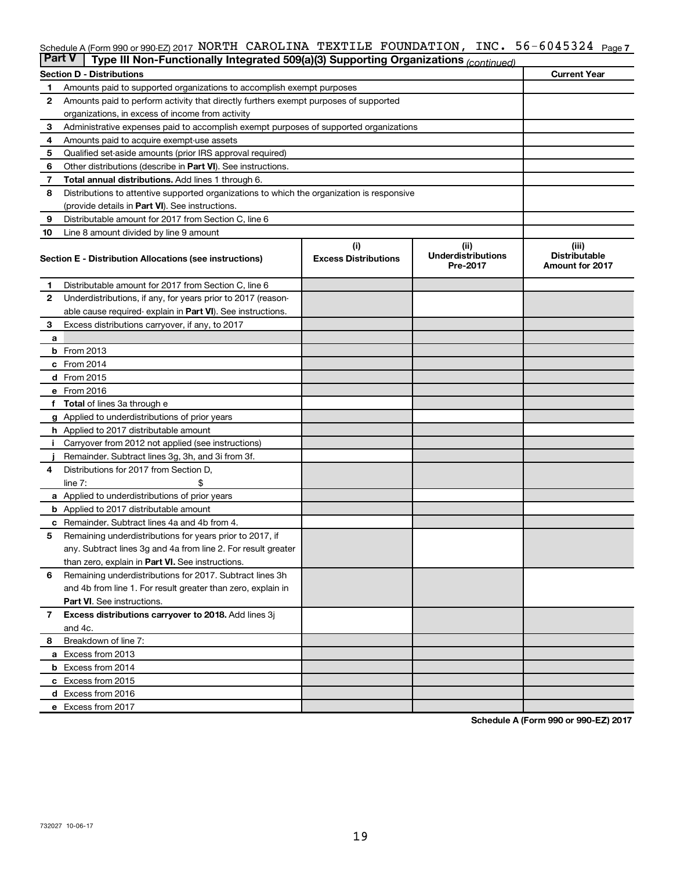#### INC.  $56 - 6045324$  Page 7 Schedule A (Form 990 or 990-EZ) 2017 NORTH CAROLINA TEXTILE FOUNDATION,INC。 56-6045324 Page NORTH CAROLINA TEXTILE FOUNDATION, INC. 56-6045324

| <b>Part V</b> | Type III Non-Functionally Integrated 509(a)(3) Supporting Organizations (continued)        |                             |                                       |                                                |
|---------------|--------------------------------------------------------------------------------------------|-----------------------------|---------------------------------------|------------------------------------------------|
|               | <b>Section D - Distributions</b>                                                           |                             |                                       | <b>Current Year</b>                            |
| 1             | Amounts paid to supported organizations to accomplish exempt purposes                      |                             |                                       |                                                |
| 2             | Amounts paid to perform activity that directly furthers exempt purposes of supported       |                             |                                       |                                                |
|               | organizations, in excess of income from activity                                           |                             |                                       |                                                |
| 3             | Administrative expenses paid to accomplish exempt purposes of supported organizations      |                             |                                       |                                                |
| 4             | Amounts paid to acquire exempt-use assets                                                  |                             |                                       |                                                |
| 5             | Qualified set-aside amounts (prior IRS approval required)                                  |                             |                                       |                                                |
| 6             | Other distributions (describe in Part VI). See instructions.                               |                             |                                       |                                                |
| 7             | Total annual distributions. Add lines 1 through 6.                                         |                             |                                       |                                                |
| 8             | Distributions to attentive supported organizations to which the organization is responsive |                             |                                       |                                                |
|               | (provide details in Part VI). See instructions.                                            |                             |                                       |                                                |
| 9             | Distributable amount for 2017 from Section C, line 6                                       |                             |                                       |                                                |
| 10            | Line 8 amount divided by line 9 amount                                                     |                             |                                       |                                                |
|               |                                                                                            | (i)                         | (ii)                                  | (iii)                                          |
|               | Section E - Distribution Allocations (see instructions)                                    | <b>Excess Distributions</b> | <b>Underdistributions</b><br>Pre-2017 | <b>Distributable</b><br><b>Amount for 2017</b> |
| 1             | Distributable amount for 2017 from Section C, line 6                                       |                             |                                       |                                                |
| $\mathbf{2}$  | Underdistributions, if any, for years prior to 2017 (reason-                               |                             |                                       |                                                |
|               | able cause required-explain in Part VI). See instructions.                                 |                             |                                       |                                                |
| 3             | Excess distributions carryover, if any, to 2017                                            |                             |                                       |                                                |
| a             |                                                                                            |                             |                                       |                                                |
|               | <b>b</b> From 2013                                                                         |                             |                                       |                                                |
|               | c From 2014                                                                                |                             |                                       |                                                |
|               | d From 2015                                                                                |                             |                                       |                                                |
|               | e From 2016                                                                                |                             |                                       |                                                |
|               | <b>Total</b> of lines 3a through e                                                         |                             |                                       |                                                |
|               | <b>g</b> Applied to underdistributions of prior years                                      |                             |                                       |                                                |
|               | <b>h</b> Applied to 2017 distributable amount                                              |                             |                                       |                                                |
|               | Carryover from 2012 not applied (see instructions)                                         |                             |                                       |                                                |
|               | Remainder. Subtract lines 3g, 3h, and 3i from 3f.                                          |                             |                                       |                                                |
| 4             | Distributions for 2017 from Section D,                                                     |                             |                                       |                                                |
|               | $line 7$ :                                                                                 |                             |                                       |                                                |
|               | a Applied to underdistributions of prior years                                             |                             |                                       |                                                |
|               | <b>b</b> Applied to 2017 distributable amount                                              |                             |                                       |                                                |
| с             | Remainder. Subtract lines 4a and 4b from 4.                                                |                             |                                       |                                                |
| 5             | Remaining underdistributions for years prior to 2017, if                                   |                             |                                       |                                                |
|               | any. Subtract lines 3g and 4a from line 2. For result greater                              |                             |                                       |                                                |
|               | than zero, explain in Part VI. See instructions.                                           |                             |                                       |                                                |
| 6             | Remaining underdistributions for 2017. Subtract lines 3h                                   |                             |                                       |                                                |
|               | and 4b from line 1. For result greater than zero, explain in                               |                             |                                       |                                                |
|               | <b>Part VI.</b> See instructions.                                                          |                             |                                       |                                                |
| $\mathbf{7}$  | Excess distributions carryover to 2018. Add lines 3j                                       |                             |                                       |                                                |
|               | and 4c.                                                                                    |                             |                                       |                                                |
| 8             | Breakdown of line 7:                                                                       |                             |                                       |                                                |
|               | a Excess from 2013                                                                         |                             |                                       |                                                |
|               | <b>b</b> Excess from 2014                                                                  |                             |                                       |                                                |
|               | c Excess from 2015                                                                         |                             |                                       |                                                |
|               | d Excess from 2016                                                                         |                             |                                       |                                                |
|               | e Excess from 2017                                                                         |                             |                                       |                                                |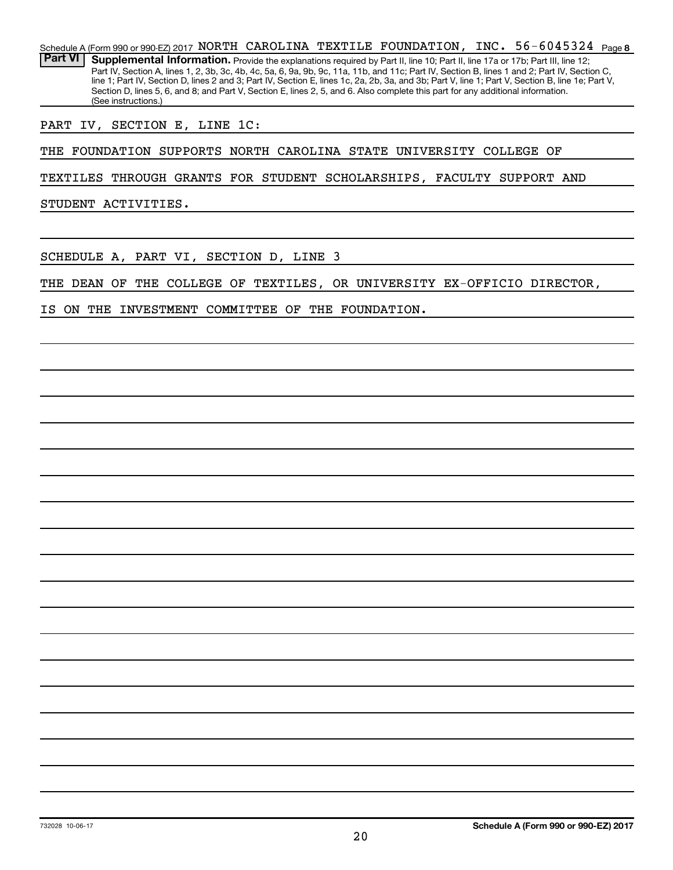56-6045324  $_{Page8}$ Schedule A (Form 990 or 990-EZ) 2017 NORTH CAROLINA TEXTILE FOUNDATION, INC.  $56-6045324$   $_{\sf Page}$ Part VI | Supplemental Information. Provide the explanations required by Part II, line 10; Part II, line 17a or 17b; Part III, line 12; Part IV, Section A, lines 1, 2, 3b, 3c, 4b, 4c, 5a, 6, 9a, 9b, 9c, 11a, 11b, and 11c; Part IV, Section B, lines 1 and 2; Part IV, Section C, line 1; Part IV, Section D, lines 2 and 3; Part IV, Section E, lines 1c, 2a, 2b, 3a, and 3b; Part V, line 1; Part V, Section B, line 1e; Part V, Section D, lines 5, 6, and 8; and Part V, Section E, lines 2, 5, and 6. Also complete this part for any additional information. (See instructions.)

PART IV, SECTION E, LINE 1C:

THE FOUNDATION SUPPORTS NORTH CAROLINA STATE UNIVERSITY COLLEGE OF

TEXTILES THROUGH GRANTS FOR STUDENT SCHOLARSHIPS, FACULTY SUPPORT AND

STUDENT ACTIVITIES.

SCHEDULE A, PART VI, SECTION D, LINE 3

THE DEAN OF THE COLLEGE OF TEXTILES, OR UNIVERSITY EX-OFFICIO DIRECTOR,

IS ON THE INVESTMENT COMMITTEE OF THE FOUNDATION.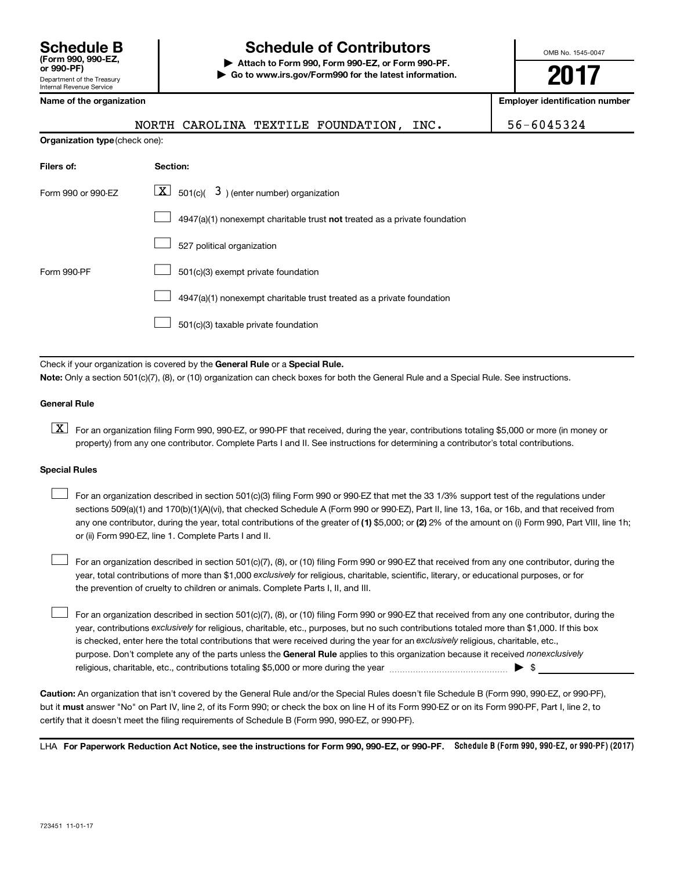# **Schedule B Schedule of Contributors**

**or 990-PF) | Attach to Form 990, Form 990-EZ, or Form 990-PF. | Go to www.irs.gov/Form990 for the latest information.** OMB No. 1545-0047

**2017**

**Name of the organization Employer identification number**

|  | Name of the organization |
|--|--------------------------|
|  |                          |

| NORTH CAROLINA TEXTILE FOUNDATION,<br>INC.                                         | 56-6045324 |
|------------------------------------------------------------------------------------|------------|
| <b>Organization type (check one):</b>                                              |            |
| Section:                                                                           |            |
| $ \mathbf{X} $ 501(c)( 3) (enter number) organization                              |            |
| $4947(a)(1)$ nonexempt charitable trust <b>not</b> treated as a private foundation |            |
| 527 political organization                                                         |            |
| 501(c)(3) exempt private foundation                                                |            |
|                                                                                    |            |

4947(a)(1) nonexempt charitable trust treated as a private foundation  $\Box$ 

501(c)(3) taxable private foundation  $\Box$ 

Check if your organization is covered by the General Rule or a Special Rule.

**Note:**  Only a section 501(c)(7), (8), or (10) organization can check boxes for both the General Rule and a Special Rule. See instructions.

#### **General Rule**

**K** For an organization filing Form 990, 990-EZ, or 990-PF that received, during the year, contributions totaling \$5,000 or more (in money or property) from any one contributor. Complete Parts I and II. See instructions for determining a contributor's total contributions.

#### **Special Rules**

 $\Box$ 

any one contributor, during the year, total contributions of the greater of (1) \$5,000; or (2) 2% of the amount on (i) Form 990, Part VIII, line 1h; For an organization described in section 501(c)(3) filing Form 990 or 990-EZ that met the 33 1/3% support test of the regulations under sections 509(a)(1) and 170(b)(1)(A)(vi), that checked Schedule A (Form 990 or 990-EZ), Part II, line 13, 16a, or 16b, and that received from or (ii) Form 990-EZ, line 1. Complete Parts I and II.  $\Box$ 

year, total contributions of more than \$1,000 *exclusively* for religious, charitable, scientific, literary, or educational purposes, or for For an organization described in section 501(c)(7), (8), or (10) filing Form 990 or 990-EZ that received from any one contributor, during the the prevention of cruelty to children or animals. Complete Parts I, II, and III.  $\Box$ 

purpose. Don't complete any of the parts unless the General Rule applies to this organization because it received nonexclusively year, contributions exclusively for religious, charitable, etc., purposes, but no such contributions totaled more than \$1,000. If this box is checked, enter here the total contributions that were received during the year for an exclusively religious, charitable, etc., For an organization described in section 501(c)(7), (8), or (10) filing Form 990 or 990-EZ that received from any one contributor, during the religious, charitable, etc., contributions totaling \$5,000 or more during the year  $\ldots$  $\ldots$  $\ldots$  $\ldots$  $\ldots$  $\ldots$ 

**Caution:**  An organization that isn't covered by the General Rule and/or the Special Rules doesn't file Schedule B (Form 990, 990-EZ, or 990-PF),  **must** but it answer "No" on Part IV, line 2, of its Form 990; or check the box on line H of its Form 990-EZ or on its Form 990-PF, Part I, line 2, to certify that it doesn't meet the filing requirements of Schedule B (Form 990, 990-EZ, or 990-PF).

LHA For Paperwork Reduction Act Notice, see the instructions for Form 990, 990-EZ, or 990-PF. Schedule B (Form 990, 990-EZ, or 990-PF) (2017)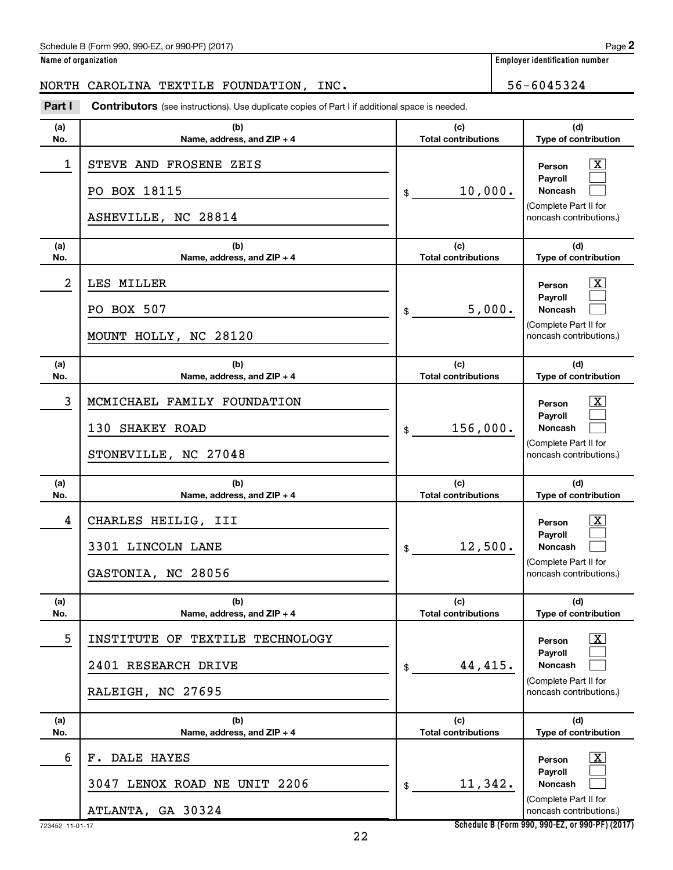| Name of organization |  |  |
|----------------------|--|--|
|----------------------|--|--|

**Employer identification number** 

## NORTH CAROLINA TEXTILE FOUNDATION, INC. 56-6045324

**Part I** Contributors (see instructions). Use duplicate copies of Part I if additional space is needed.

| (a) | (b)                                                                         | (c)                        | (d)                                                                                                       |
|-----|-----------------------------------------------------------------------------|----------------------------|-----------------------------------------------------------------------------------------------------------|
| No. | Name, address, and ZIP + 4                                                  | <b>Total contributions</b> | Type of contribution                                                                                      |
| 1   | STEVE AND FROSENE ZEIS<br>PO BOX 18115<br>ASHEVILLE, NC 28814               | 10,000.<br>\$              | X.<br>Person<br>Payroll<br><b>Noncash</b><br>(Complete Part II for<br>noncash contributions.)             |
| (a) | (b)                                                                         | (c)                        | (d)                                                                                                       |
| No. | Name, address, and ZIP + 4                                                  | <b>Total contributions</b> | Type of contribution                                                                                      |
| 2   | LES MILLER<br>PO BOX 507<br>MOUNT HOLLY, NC 28120                           | 5,000.<br>\$               | X.<br>Person<br>Payroll<br><b>Noncash</b><br>(Complete Part II for<br>noncash contributions.)             |
| (a) | (b)                                                                         | (c)                        | (d)                                                                                                       |
| No. | Name, address, and ZIP + 4                                                  | <b>Total contributions</b> | Type of contribution                                                                                      |
| 3   | MCMICHAEL FAMILY FOUNDATION<br>130 SHAKEY ROAD<br>STONEVILLE, NC 27048      | 156,000.<br>\$             | X.<br>Person<br>Payroll<br><b>Noncash</b><br>(Complete Part II for<br>noncash contributions.)             |
| (a) | (b)                                                                         | (c)                        | (d)                                                                                                       |
| No. | Name, address, and ZIP + 4                                                  | <b>Total contributions</b> | Type of contribution                                                                                      |
| 4   | CHARLES HEILIG, III<br>3301 LINCOLN LANE<br>GASTONIA, NC 28056              | 12,500.<br>\$              | X.<br>Person<br>Payroll<br><b>Noncash</b><br>(Complete Part II for<br>noncash contributions.)             |
| (a) | (b)                                                                         | (c)                        | (d)                                                                                                       |
| No. | Name, address, and ZIP + 4                                                  | <b>Total contributions</b> | Type of contribution                                                                                      |
| 5   | INSTITUTE OF TEXTILE TECHNOLOGY<br>2401 RESEARCH DRIVE<br>RALEIGH, NC 27695 | 44,415.<br>\$              | $\overline{\text{X}}$<br>Person<br>Payroll<br>Noncash<br>(Complete Part II for<br>noncash contributions.) |
| (a) | (b)                                                                         | (c)                        | (d)                                                                                                       |
| No. | Name, address, and ZIP + 4                                                  | <b>Total contributions</b> | Type of contribution                                                                                      |
| 6   | F. DALE HAYES<br>3047 LENOX ROAD NE UNIT 2206<br>ATLANTA, GA 30324          | 11,342.<br>\$              | $\overline{\text{X}}$<br>Person<br>Payroll<br><b>Noncash</b><br>(Complete Part II for                     |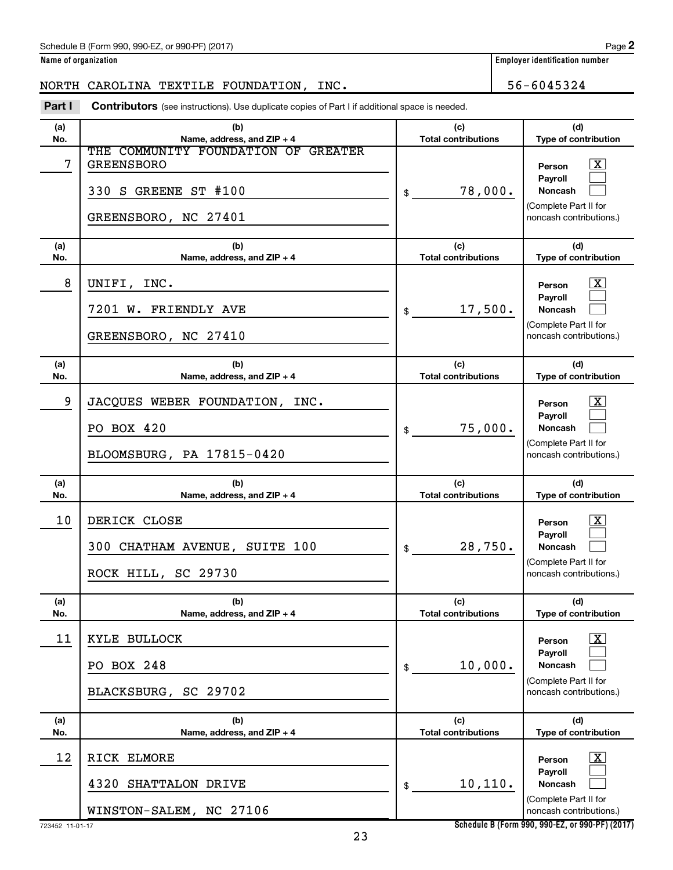**Name of organization Employer identification number**

# NORTH CAROLINA TEXTILE FOUNDATION, INC. 56-6045324

**Part I** Contributors (see instructions). Use duplicate copies of Part I if additional space is needed.

| (a)        | (b)                                                                       | (c)                               | (d)                                                                                                     |
|------------|---------------------------------------------------------------------------|-----------------------------------|---------------------------------------------------------------------------------------------------------|
| No.        | Name, address, and ZIP + 4<br>THE COMMUNITY FOUNDATION OF GREATER         | <b>Total contributions</b>        | Type of contribution                                                                                    |
| 7          | <b>GREENSBORO</b><br>330 S GREENE ST #100<br>GREENSBORO, NC 27401         | 78,000.<br>\$                     | X<br>Person<br>Payroll<br><b>Noncash</b><br>(Complete Part II for<br>noncash contributions.)            |
| (a)<br>No. | (b)<br>Name, address, and ZIP + 4                                         | (c)<br><b>Total contributions</b> | (d)<br>Type of contribution                                                                             |
| 8          | UNIFI, INC.<br>7201 W. FRIENDLY AVE<br>GREENSBORO, NC 27410               | 17,500.<br>\$                     | $\mathbf{X}$<br>Person<br><b>Payroll</b><br>Noncash<br>(Complete Part II for<br>noncash contributions.) |
| (a)<br>No. | (b)<br>Name, address, and $ZIP + 4$                                       | (c)<br><b>Total contributions</b> | (d)<br>Type of contribution                                                                             |
| 9          | JACQUES WEBER FOUNDATION, INC.<br>PO BOX 420<br>BLOOMSBURG, PA 17815-0420 | 75,000.<br>\$                     | $\mathbf{X}$<br>Person<br>Payroll<br>Noncash<br>(Complete Part II for<br>noncash contributions.)        |
|            |                                                                           |                                   |                                                                                                         |
| (a)<br>No. | (b)<br>Name, address, and ZIP + 4                                         | (c)<br><b>Total contributions</b> | (d)<br>Type of contribution                                                                             |
| 10         | DERICK CLOSE<br>300 CHATHAM AVENUE, SUITE 100<br>ROCK HILL, SC 29730      | 28,750.<br>\$                     | $\mathbf{X}$<br>Person<br>Payroll<br><b>Noncash</b><br>(Complete Part II for<br>noncash contributions.) |
| (a)<br>No. | (b)<br>Name, address, and ZIP + 4                                         | (c)<br><b>Total contributions</b> | (d)<br><b>Type of contribution</b>                                                                      |
| 11         | KYLE BULLOCK<br>PO BOX 248<br>BLACKSBURG, SC 29702                        | 10,000.<br>\$                     | $\boxed{\text{X}}$<br>Person<br>Payroll<br>Noncash<br>(Complete Part II for<br>noncash contributions.)  |
| (a)<br>No. | (b)<br>Name, address, and ZIP + 4                                         | (c)<br><b>Total contributions</b> | (d)<br>Type of contribution                                                                             |
|            | RICK ELMORE                                                               |                                   |                                                                                                         |
| 12         | 4320<br>SHATTALON DRIVE<br>WINSTON-SALEM, NC 27106                        | 10, 110.<br>\$                    | $\lfloor x \rfloor$<br>Person<br>Payroll<br>Noncash<br>(Complete Part II for<br>noncash contributions.) |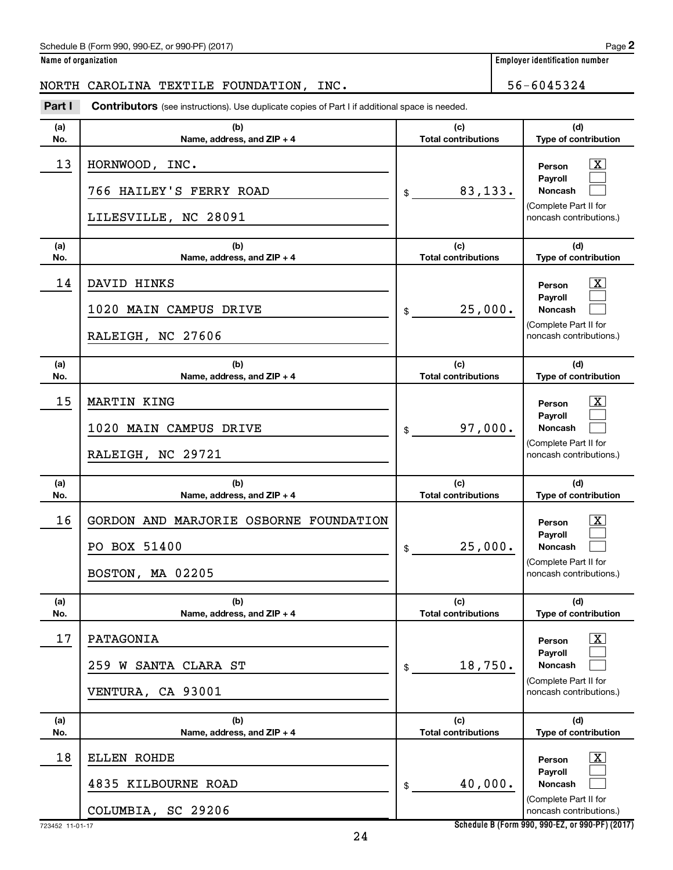| Name of organization |  |  |
|----------------------|--|--|
|                      |  |  |

**Employer identification number** 

| NORTH      | CAROLINA TEXTILE FOUNDATION, INC.                                                                     |                                   | 56-6045324                                       |
|------------|-------------------------------------------------------------------------------------------------------|-----------------------------------|--------------------------------------------------|
| Part I     | <b>Contributors</b> (see instructions). Use duplicate copies of Part I if additional space is needed. |                                   |                                                  |
| (a)<br>No. | (b)<br>Name, address, and ZIP + 4                                                                     | (c)<br><b>Total contributions</b> | (d)<br>Type of contribution                      |
| 13         | HORNWOOD, INC.                                                                                        |                                   | X.<br>Person                                     |
|            | 766 HAILEY'S FERRY ROAD                                                                               | 83,133.<br>$\mathfrak{S}$         | Payroll<br>Noncash                               |
|            | LILESVILLE, NC 28091                                                                                  |                                   | (Complete Part II for<br>noncash contributions.) |
| (a)<br>No. | (b)<br>Name, address, and ZIP + 4                                                                     | (c)<br><b>Total contributions</b> | (d)<br>Type of contribution                      |
| 14         | DAVID HINKS                                                                                           |                                   | x<br>Person                                      |
|            | 1020 MAIN CAMPUS DRIVE                                                                                | 25,000.<br>\$                     | Payroll<br>Noncash                               |
|            | RALEIGH, NC 27606                                                                                     |                                   | (Complete Part II for<br>noncash contributions.) |
| (a)<br>No. | (b)<br>Name, address, and ZIP + 4                                                                     | (c)<br><b>Total contributions</b> | (d)<br>Type of contribution                      |
| 15         | MARTIN KING                                                                                           |                                   | X.<br>Person                                     |
|            | 1020 MAIN CAMPUS DRIVE                                                                                | 97,000.<br>\$                     | Payroll<br>Noncash                               |
|            | RALEIGH, NC 29721                                                                                     |                                   | (Complete Part II for<br>noncash contributions.) |
| (a)<br>No. | (b)<br>Name, address, and ZIP + 4                                                                     | (c)<br><b>Total contributions</b> | (d)<br>Type of contribution                      |
| 16         | GORDON AND MARJORIE OSBORNE FOUNDATION                                                                |                                   | X.<br>Person                                     |
|            | PO BOX 51400                                                                                          | 25,000.<br>\$                     | Payroll<br>Noncash                               |
|            | BOSTON, MA 02205                                                                                      |                                   | (Complete Part II for<br>noncash contributions.) |
| (a)<br>No. | (b)<br>Name, address, and ZIP + 4                                                                     | (c)<br><b>Total contributions</b> | (d)<br>Type of contribution                      |
| 17         | PATAGONIA                                                                                             |                                   | $\mathbf{X}$<br>Person                           |
|            | 259 W SANTA CLARA ST                                                                                  | 18,750.<br>\$                     | Payroll<br><b>Noncash</b>                        |
|            | VENTURA, CA 93001                                                                                     |                                   | (Complete Part II for<br>noncash contributions.) |
| (a)<br>No. | (b)<br>Name, address, and ZIP + 4                                                                     | (c)<br><b>Total contributions</b> | (d)<br>Type of contribution                      |
| 18         | ELLEN ROHDE                                                                                           |                                   | $\mathbf{X}$<br>Person                           |
|            | 4835 KILBOURNE ROAD                                                                                   | 40,000.<br>\$                     | Payroll<br><b>Noncash</b>                        |
|            | COLUMBIA, SC 29206                                                                                    |                                   | (Complete Part II for<br>noncash contributions.) |

723452 11-01-17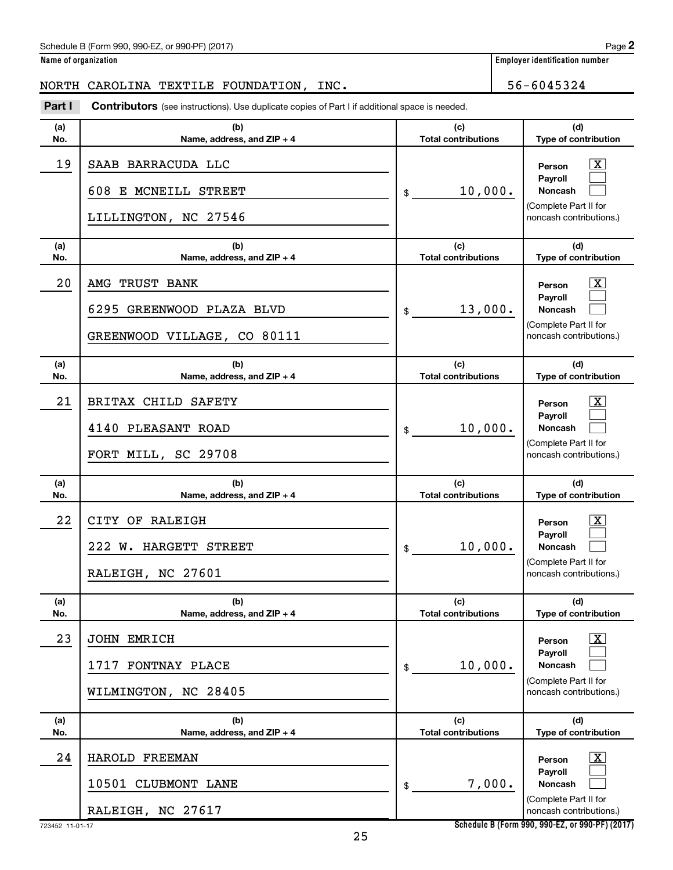**Name of organization Employer identification number**

# NORTH CAROLINA TEXTILE FOUNDATION, INC. 56-6045324

**Part I** Contributors (see instructions). Use duplicate copies of Part I if additional space is needed.

| (a) | (b)                                                                        | (c)                        | (d)                                                                                                                |
|-----|----------------------------------------------------------------------------|----------------------------|--------------------------------------------------------------------------------------------------------------------|
| No. | Name, address, and ZIP + 4                                                 | <b>Total contributions</b> | Type of contribution                                                                                               |
| 19  | SAAB BARRACUDA LLC<br>608 E MCNEILL STREET<br>LILLINGTON, NC 27546         | 10,000.<br>\$              | <u>x</u><br>Person<br>Payroll<br><b>Noncash</b><br>(Complete Part II for<br>noncash contributions.)                |
| (a) | (b)                                                                        | (c)                        | (d)                                                                                                                |
| No. | Name, address, and ZIP + 4                                                 | <b>Total contributions</b> | Type of contribution                                                                                               |
| 20  | AMG TRUST BANK<br>6295 GREENWOOD PLAZA BLVD<br>GREENWOOD VILLAGE, CO 80111 | 13,000.<br>\$              | <u>x</u><br>Person<br>Payroll<br><b>Noncash</b><br>(Complete Part II for<br>noncash contributions.)                |
| (a) | (b)                                                                        | (c)                        | (d)                                                                                                                |
| No. | Name, address, and ZIP + 4                                                 | <b>Total contributions</b> | Type of contribution                                                                                               |
| 21  | BRITAX CHILD SAFETY<br>4140 PLEASANT ROAD<br>FORT MILL, SC 29708           | 10,000.<br>\$              | $\overline{\mathbf{X}}$<br>Person<br>Payroll<br><b>Noncash</b><br>(Complete Part II for<br>noncash contributions.) |
| (a) | (b)                                                                        | (c)                        | (d)                                                                                                                |
| No. | Name, address, and ZIP + 4                                                 | <b>Total contributions</b> | Type of contribution                                                                                               |
| 22  | CITY OF RALEIGH<br>222 W. HARGETT STREET<br>RALEIGH, NC 27601              | 10,000.<br>\$              | $\overline{\mathbf{X}}$<br>Person<br>Payroll<br><b>Noncash</b><br>(Complete Part II for<br>noncash contributions.) |
| (a) | (b)                                                                        | (c)                        | (d)                                                                                                                |
| No. | Name, address, and ZIP + 4                                                 | <b>Total contributions</b> | <b>Type of contribution</b>                                                                                        |
| 23  | <b>JOHN EMRICH</b><br>1717 FONTNAY PLACE<br>WILMINGTON, NC 28405           | 10,000.<br>\$              | $\boxed{\textbf{X}}$<br>Person<br>Payroll<br><b>Noncash</b><br>(Complete Part II for<br>noncash contributions.)    |
| (a) |                                                                            |                            |                                                                                                                    |
| No. | (b)                                                                        | (c)                        | (d)                                                                                                                |
|     | Name, address, and ZIP + 4                                                 | <b>Total contributions</b> | Type of contribution                                                                                               |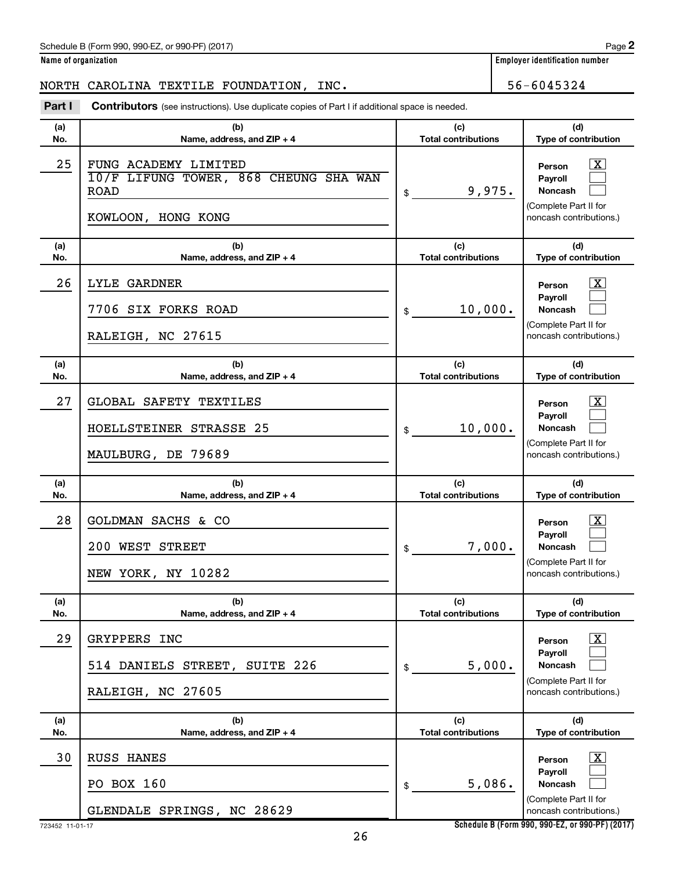**Name of organization Employer identification number**

## NORTH CAROLINA TEXTILE FOUNDATION, INC. 56-6045324

**Part I** Contributors (see instructions). Use duplicate copies of Part I if additional space is needed.

| (a)        | (b)                                                                                                | (c)                               | (d)                                                                                                                |
|------------|----------------------------------------------------------------------------------------------------|-----------------------------------|--------------------------------------------------------------------------------------------------------------------|
| No.        | Name, address, and ZIP + 4                                                                         | <b>Total contributions</b>        | Type of contribution                                                                                               |
| 25         | FUNG ACADEMY LIMITED<br>10/F LIFUNG TOWER, 868 CHEUNG SHA WAN<br><b>ROAD</b><br>KOWLOON, HONG KONG | 9,975.<br>\$                      | $\overline{\mathbf{X}}$<br>Person<br>Payroll<br><b>Noncash</b><br>(Complete Part II for<br>noncash contributions.) |
| (a)<br>No. | (b)<br>Name, address, and ZIP + 4                                                                  | (c)<br><b>Total contributions</b> | (d)<br>Type of contribution                                                                                        |
| 26         | <b>LYLE GARDNER</b>                                                                                |                                   | $\overline{\mathbf{X}}$<br>Person                                                                                  |
|            | 7706 SIX FORKS ROAD<br>RALEIGH, NC 27615                                                           | 10,000.<br>\$                     | Payroll<br><b>Noncash</b><br>(Complete Part II for<br>noncash contributions.)                                      |
| (a)        | (b)                                                                                                | (c)                               | (d)                                                                                                                |
| No.        | Name, address, and ZIP + 4                                                                         | <b>Total contributions</b>        | Type of contribution                                                                                               |
| 27         | GLOBAL SAFETY TEXTILES<br>HOELLSTEINER STRASSE 25<br>MAULBURG, DE 79689                            | 10,000.<br>\$                     | $\overline{\text{X}}$<br>Person<br>Payroll<br><b>Noncash</b><br>(Complete Part II for<br>noncash contributions.)   |
|            |                                                                                                    |                                   |                                                                                                                    |
| (a)<br>No. | (b)<br>Name, address, and ZIP + 4                                                                  | (c)<br><b>Total contributions</b> | (d)<br>Type of contribution                                                                                        |
| 28         | GOLDMAN SACHS & CO<br>200 WEST STREET<br>NEW YORK, NY 10282                                        | 7,000.<br>\$                      | $\overline{\text{X}}$<br>Person<br>Payroll<br><b>Noncash</b><br>(Complete Part II for<br>noncash contributions.)   |
| (a)<br>No. | (b)<br>Name, address, and ZIP + 4                                                                  | (c)<br><b>Total contributions</b> | (d)<br>Type of contribution                                                                                        |
| 29         | GRYPPERS INC<br>514 DANIELS STREET, SUITE 226<br>RALEIGH, NC 27605                                 | 5,000.<br>\$                      | $\overline{\text{X}}$<br>Person<br>Payroll<br>Noncash<br>(Complete Part II for<br>noncash contributions.)          |
| (a)<br>No. | (b)<br>Name, address, and ZIP + 4                                                                  | (c)<br><b>Total contributions</b> | (d)<br>Type of contribution                                                                                        |
|            |                                                                                                    |                                   |                                                                                                                    |
| 30         | <b>RUSS HANES</b><br>PO BOX 160                                                                    | 5,086.<br>\$                      | $\overline{\text{X}}$<br>Person<br>Payroll<br>Noncash<br>(Complete Part II for                                     |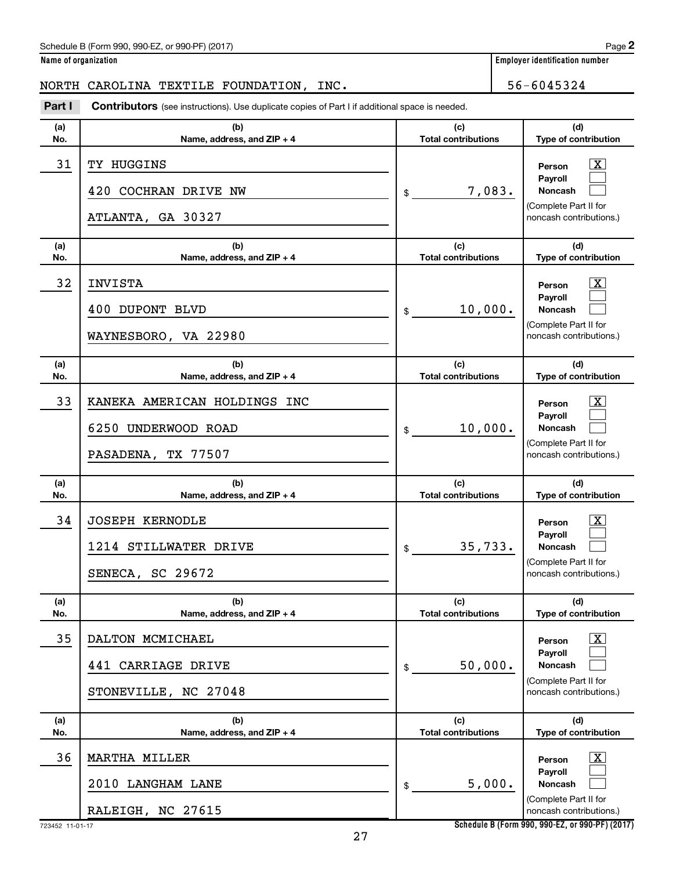**Name of organization Employer identification number**

# NORTH CAROLINA TEXTILE FOUNDATION, INC. 56-6045324

**Part I** Contributors (see instructions). Use duplicate copies of Part I if additional space is needed.

| (a)<br>No. | (b)<br>Name, address, and ZIP + 4                                         | (c)<br><b>Total contributions</b> | (d)<br>Type of contribution                                                                                             |
|------------|---------------------------------------------------------------------------|-----------------------------------|-------------------------------------------------------------------------------------------------------------------------|
| 31         | TY HUGGINS<br>420 COCHRAN DRIVE NW<br>ATLANTA, GA 30327                   | 7,083.<br>\$                      | $\overline{\mathbf{X}}$<br>Person<br>Payroll<br><b>Noncash</b><br>(Complete Part II for<br>noncash contributions.)      |
| (a)<br>No. | (b)<br>Name, address, and ZIP + 4                                         | (c)<br><b>Total contributions</b> | (d)<br>Type of contribution                                                                                             |
| 32         | <b>INVISTA</b><br>400 DUPONT BLVD<br>WAYNESBORO, VA 22980                 | 10,000.<br>\$                     | $\overline{\mathbf{X}}$<br>Person<br>Payroll<br><b>Noncash</b><br>(Complete Part II for<br>noncash contributions.)      |
| (a)<br>No. | (b)<br>Name, address, and ZIP + 4                                         | (c)<br><b>Total contributions</b> | (d)<br>Type of contribution                                                                                             |
| 33         | KANEKA AMERICAN HOLDINGS INC<br>6250 UNDERWOOD ROAD<br>PASADENA, TX 77507 | 10,000.<br>\$                     | $\overline{\mathbf{X}}$<br>Person<br>Payroll<br><b>Noncash</b><br>(Complete Part II for<br>noncash contributions.)      |
| (a)<br>No. | (b)<br>Name, address, and ZIP + 4                                         | (c)<br><b>Total contributions</b> | (d)<br>Type of contribution                                                                                             |
| 34         | <b>JOSEPH KERNODLE</b><br>1214 STILLWATER DRIVE<br>SENECA, SC 29672       | 35,733.<br>\$                     | $\overline{\text{X}}$<br>Person<br><b>Payroll</b><br><b>Noncash</b><br>(Complete Part II for<br>noncash contributions.) |
| (a)<br>No. | (b)<br>Name, address, and $ZIP + 4$                                       | (c)<br><b>Total contributions</b> | (d)<br>Type of contribution                                                                                             |
| 35         | DALTON MCMICHAEL<br>441 CARRIAGE DRIVE<br>STONEVILLE, NC 27048            | 50,000.<br>\$                     | $\boxed{\text{X}}$<br>Person<br>Payroll<br>Noncash<br>(Complete Part II for<br>noncash contributions.)                  |
| (a)<br>No. | (b)<br>Name, address, and ZIP + 4                                         | (c)<br><b>Total contributions</b> | (d)<br>Type of contribution                                                                                             |
| 36         | <b>MARTHA MILLER</b><br>2010 LANGHAM LANE<br>RALEIGH, NC 27615            | 5,000.<br>\$                      | $\mathbf{X}$<br>Person<br>Payroll<br>Noncash<br>(Complete Part II for<br>noncash contributions.)                        |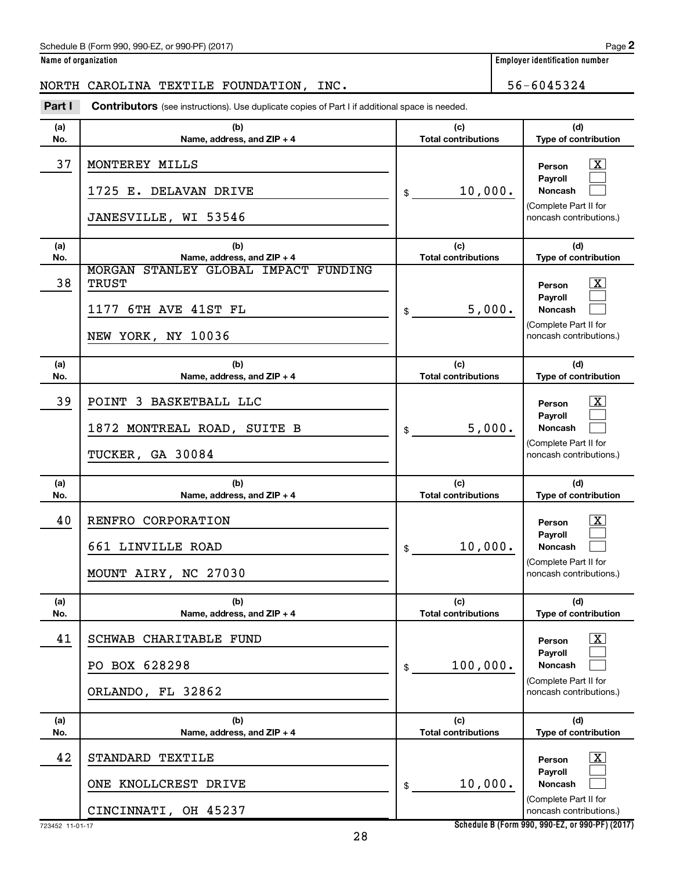**Name of organization Employer identification number**

### NORTH CAROLINA TEXTILE FOUNDATION, INC.  $\vert$  56-6045324

**(a) No. (b) Name, address, and ZIP + 4 (c) Total contributions (d) Type of contribution Person Payroll Noncash (a) No. (b) Name, address, and ZIP + 4 (c) Total contributions (d) Type of contribution Person Payroll Noncash (a) No. (b) Name, address, and ZIP + 4 (c) Total contributions (d) Type of contribution Person Payroll Noncash (a) No. (b) Name, address, and ZIP + 4 (c) Total contributions (d) Type of contribution Person Payroll Noncash (a) No. (b) Name, address, and ZIP + 4 (c) Total contributions (d) Type of contribution Person Payroll Noncash (a) No. (b) Name, address, and ZIP + 4 (c) Total contributions (d) Type of contribution Person Payroll Noncash Part I** Contributors (see instructions). Use duplicate copies of Part I if additional space is needed. \$ (Complete Part II for noncash contributions.) \$ (Complete Part II for noncash contributions.) \$ (Complete Part II for noncash contributions.) \$ (Complete Part II for noncash contributions.) \$ (Complete Part II for noncash contributions.) \$ (Complete Part II for noncash contributions.) †  $\Box$  $\Box$  $\overline{\mathbf{X}}$  $\Box$  $\Box$  $\lceil \text{X} \rceil$  $\Box$  $\Box$  $\boxed{\textbf{X}}$  $\Box$  $\Box$  $\boxed{\textbf{X}}$  $\Box$  $\Box$  $\boxed{\textbf{X}}$  $\Box$  $\Box$ 37 MONTEREY MILLS X 1725 E. DELAVAN DRIVE  $\vert \text{\!}_{\$} \text{\!}_{\$} \text{\!}_{\$} \text{10,000.}$ JANESVILLE, WI 53546 38 MORGAN STANLEY GLOBAL IMPACT FUNDING TRUST X 1177 6TH AVE 41ST FL 5,000. NEW YORK, NY 10036 39 POINT 3 BASKETBALL LLC X 1872 MONTREAL ROAD, SUITE B  $\vert \text{\$}$  5,000. TUCKER, GA 30084 40 | RENFRO CORPORATION 661 LINVILLE ROAD 10,000. MOUNT AIRY, NC 27030 41 SCHWAB CHARITABLE FUND X PO BOX 628298  $\vert \text{s} \vert$  100,000. ORLANDO, FL 32862 42 | STANDARD TEXTILE ONE KNOLLCREST DRIVE 10,000. CINCINNATI, OH 45237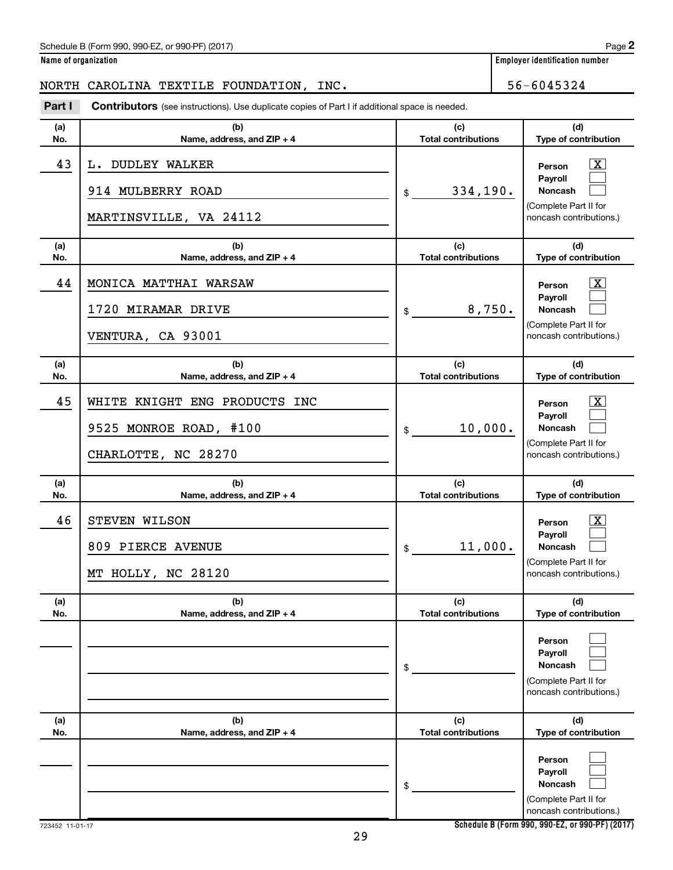|  | Name of organization |
|--|----------------------|
|  |                      |

**Employer identification number** 

# NORTH CAROLINA TEXTILE FOUNDATION, INC. 56-6045324

**Part I** Contributors (see instructions). Use duplicate copies of Part I if additional space is needed.

| (a)<br>No. | (b)<br>Name, address, and ZIP + 4                                              | (c)<br><b>Total contributions</b> | (d)<br>Type of contribution                                                                             |
|------------|--------------------------------------------------------------------------------|-----------------------------------|---------------------------------------------------------------------------------------------------------|
| 43         | L. DUDLEY WALKER<br>914 MULBERRY ROAD<br>MARTINSVILLE, VA 24112                | 334,190.<br>\$                    | $\mathbf{X}$<br>Person<br>Payroll<br>Noncash<br>(Complete Part II for<br>noncash contributions.)        |
| (a)<br>No. | (b)<br>Name, address, and ZIP + 4                                              | (c)<br><b>Total contributions</b> | (d)<br>Type of contribution                                                                             |
| 44         | MONICA MATTHAI WARSAW<br>1720 MIRAMAR DRIVE<br>VENTURA, CA 93001               | 8,750.<br>$\frac{1}{2}$           | $\mathbf{X}$<br>Person<br>Payroll<br>Noncash<br>(Complete Part II for<br>noncash contributions.)        |
| (a)<br>No. | (b)<br>Name, address, and ZIP + 4                                              | (c)<br><b>Total contributions</b> | (d)<br>Type of contribution                                                                             |
| 45         | WHITE KNIGHT ENG PRODUCTS INC<br>9525 MONROE ROAD, #100<br>CHARLOTTE, NC 28270 | 10,000.<br>\$                     | $\mathbf{X}$<br>Person<br>Payroll<br><b>Noncash</b><br>(Complete Part II for<br>noncash contributions.) |
| (a)<br>No. | (b)<br>Name, address, and ZIP + 4                                              | (c)<br><b>Total contributions</b> | (d)<br>Type of contribution                                                                             |
| 46         | STEVEN WILSON<br>809 PIERCE AVENUE<br>MT HOLLY, NC 28120                       | 11,000.<br>\$                     | $\mathbf{X}$<br>Person<br>Payroll<br><b>Noncash</b><br>(Complete Part II for<br>noncash contributions.) |
| (a)<br>No. | (b)<br>Name, address, and ZIP + 4                                              | (c)<br><b>Total contributions</b> | (d)<br>Type of contribution                                                                             |
|            |                                                                                | \$                                | Person<br>Payroll<br><b>Noncash</b><br>(Complete Part II for<br>noncash contributions.)                 |
| (a)<br>No. | (b)<br>Name, address, and ZIP + 4                                              | (c)<br><b>Total contributions</b> | (d)<br>Type of contribution                                                                             |
|            |                                                                                | \$                                | Person<br>Payroll<br><b>Noncash</b><br>(Complete Part II for<br>noncash contributions.)                 |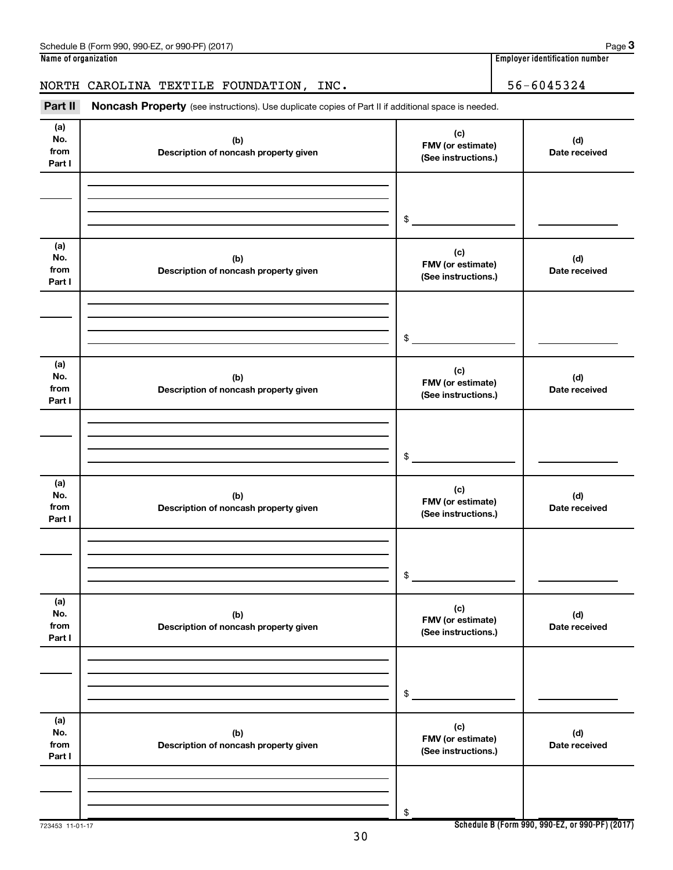|                              | NORTH CAROLINA TEXTILE FOUNDATION, INC.                                                             |                                                 | 56-6045324                                      |
|------------------------------|-----------------------------------------------------------------------------------------------------|-------------------------------------------------|-------------------------------------------------|
| Part II                      | Noncash Property (see instructions). Use duplicate copies of Part II if additional space is needed. |                                                 |                                                 |
| (a)<br>No.<br>from<br>Part I | (b)<br>Description of noncash property given                                                        | (c)<br>FMV (or estimate)<br>(See instructions.) | (d)<br>Date received                            |
|                              |                                                                                                     |                                                 |                                                 |
|                              |                                                                                                     | \$                                              |                                                 |
| (a)<br>No.<br>from<br>Part I | (b)<br>Description of noncash property given                                                        | (c)<br>FMV (or estimate)<br>(See instructions.) | (d)<br>Date received                            |
|                              |                                                                                                     |                                                 |                                                 |
|                              |                                                                                                     | \$                                              |                                                 |
| (a)<br>No.<br>from<br>Part I | (b)<br>Description of noncash property given                                                        | (c)<br>FMV (or estimate)<br>(See instructions.) | (d)<br>Date received                            |
|                              |                                                                                                     |                                                 |                                                 |
|                              |                                                                                                     | \$                                              |                                                 |
| (a)<br>No.<br>from<br>Part I | (b)<br>Description of noncash property given                                                        | (c)<br>FMV (or estimate)<br>(See instructions.) | (d)<br>Date received                            |
|                              |                                                                                                     |                                                 |                                                 |
|                              |                                                                                                     | \$                                              |                                                 |
| (a)<br>No.<br>from<br>Part I | (b)<br>Description of noncash property given                                                        | (c)<br>FMV (or estimate)<br>(See instructions.) | (d)<br>Date received                            |
|                              |                                                                                                     |                                                 |                                                 |
|                              |                                                                                                     | \$                                              |                                                 |
| (a)<br>No.<br>from<br>Part I | (b)<br>Description of noncash property given                                                        | (c)<br>FMV (or estimate)<br>(See instructions.) | (d)<br>Date received                            |
|                              |                                                                                                     |                                                 |                                                 |
|                              |                                                                                                     | \$                                              |                                                 |
| 723453 11-01-17              |                                                                                                     |                                                 | Schedule B (Form 990, 990-EZ, or 990-PF) (2017) |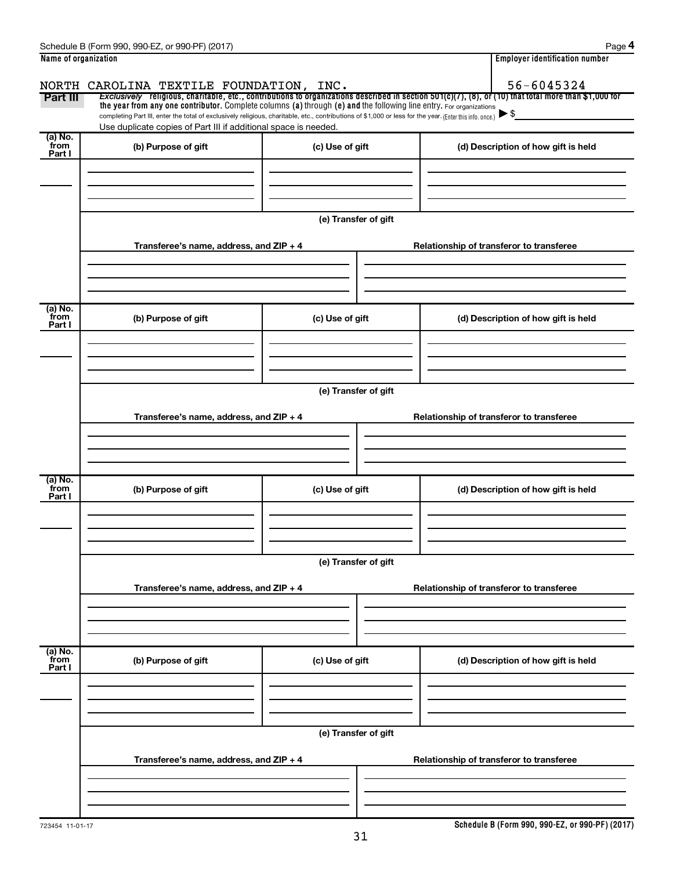|                      | Schedule B (Form 990, 990-EZ, or 990-PF) (2017)                                                                                                          |                      | Page 4                                                                                                                                                   |  |  |  |  |
|----------------------|----------------------------------------------------------------------------------------------------------------------------------------------------------|----------------------|----------------------------------------------------------------------------------------------------------------------------------------------------------|--|--|--|--|
| Name of organization |                                                                                                                                                          |                      | <b>Employer identification number</b>                                                                                                                    |  |  |  |  |
|                      | NORTH CAROLINA TEXTILE FOUNDATION, INC.                                                                                                                  |                      | 56-6045324                                                                                                                                               |  |  |  |  |
| Part III             | the year from any one contributor. Complete columns (a) through (e) and the following line entry. For organizations                                      |                      | Exclusively religious, charitable, etc., contributions to organizations described in section $501(c)(7)$ , (8), or (10) that total more than \$1,000 for |  |  |  |  |
|                      | completing Part III, enter the total of exclusively religious, charitable, etc., contributions of \$1,000 or less for the year. (Enter this info. once.) |                      | $\blacktriangleright$ \$                                                                                                                                 |  |  |  |  |
| (a) No.              | Use duplicate copies of Part III if additional space is needed.                                                                                          |                      |                                                                                                                                                          |  |  |  |  |
| from<br>Part I       | (b) Purpose of gift                                                                                                                                      | (c) Use of gift      | (d) Description of how gift is held                                                                                                                      |  |  |  |  |
|                      |                                                                                                                                                          |                      |                                                                                                                                                          |  |  |  |  |
|                      |                                                                                                                                                          |                      |                                                                                                                                                          |  |  |  |  |
|                      |                                                                                                                                                          |                      |                                                                                                                                                          |  |  |  |  |
|                      |                                                                                                                                                          | (e) Transfer of gift |                                                                                                                                                          |  |  |  |  |
|                      | Transferee's name, address, and ZIP + 4                                                                                                                  |                      | Relationship of transferor to transferee                                                                                                                 |  |  |  |  |
|                      |                                                                                                                                                          |                      |                                                                                                                                                          |  |  |  |  |
|                      |                                                                                                                                                          |                      |                                                                                                                                                          |  |  |  |  |
|                      |                                                                                                                                                          |                      |                                                                                                                                                          |  |  |  |  |
| (a) No.<br>from      | (b) Purpose of gift                                                                                                                                      | (c) Use of gift      | (d) Description of how gift is held                                                                                                                      |  |  |  |  |
| Part I               |                                                                                                                                                          |                      |                                                                                                                                                          |  |  |  |  |
|                      |                                                                                                                                                          |                      |                                                                                                                                                          |  |  |  |  |
|                      |                                                                                                                                                          |                      |                                                                                                                                                          |  |  |  |  |
|                      |                                                                                                                                                          | (e) Transfer of gift |                                                                                                                                                          |  |  |  |  |
|                      |                                                                                                                                                          |                      |                                                                                                                                                          |  |  |  |  |
|                      | Transferee's name, address, and ZIP + 4                                                                                                                  |                      | Relationship of transferor to transferee                                                                                                                 |  |  |  |  |
|                      |                                                                                                                                                          |                      |                                                                                                                                                          |  |  |  |  |
|                      |                                                                                                                                                          |                      |                                                                                                                                                          |  |  |  |  |
| (a) No.              |                                                                                                                                                          |                      |                                                                                                                                                          |  |  |  |  |
| from<br>Part I       | (b) Purpose of gift                                                                                                                                      | (c) Use of gift      | (d) Description of how gift is held                                                                                                                      |  |  |  |  |
|                      |                                                                                                                                                          |                      |                                                                                                                                                          |  |  |  |  |
|                      |                                                                                                                                                          |                      |                                                                                                                                                          |  |  |  |  |
|                      |                                                                                                                                                          |                      |                                                                                                                                                          |  |  |  |  |
|                      | (e) Transfer of gift                                                                                                                                     |                      |                                                                                                                                                          |  |  |  |  |
|                      | Transferee's name, address, and ZIP + 4                                                                                                                  |                      | Relationship of transferor to transferee                                                                                                                 |  |  |  |  |
|                      |                                                                                                                                                          |                      |                                                                                                                                                          |  |  |  |  |
|                      |                                                                                                                                                          |                      |                                                                                                                                                          |  |  |  |  |
|                      |                                                                                                                                                          |                      |                                                                                                                                                          |  |  |  |  |
| (a) No.<br>from      | (b) Purpose of gift                                                                                                                                      | (c) Use of gift      | (d) Description of how gift is held                                                                                                                      |  |  |  |  |
| Part I               |                                                                                                                                                          |                      |                                                                                                                                                          |  |  |  |  |
|                      |                                                                                                                                                          |                      |                                                                                                                                                          |  |  |  |  |
|                      |                                                                                                                                                          |                      |                                                                                                                                                          |  |  |  |  |
|                      |                                                                                                                                                          | (e) Transfer of gift |                                                                                                                                                          |  |  |  |  |
|                      |                                                                                                                                                          |                      |                                                                                                                                                          |  |  |  |  |
|                      | Transferee's name, address, and ZIP + 4                                                                                                                  |                      | Relationship of transferor to transferee                                                                                                                 |  |  |  |  |
|                      |                                                                                                                                                          |                      |                                                                                                                                                          |  |  |  |  |
|                      |                                                                                                                                                          |                      |                                                                                                                                                          |  |  |  |  |
|                      |                                                                                                                                                          |                      |                                                                                                                                                          |  |  |  |  |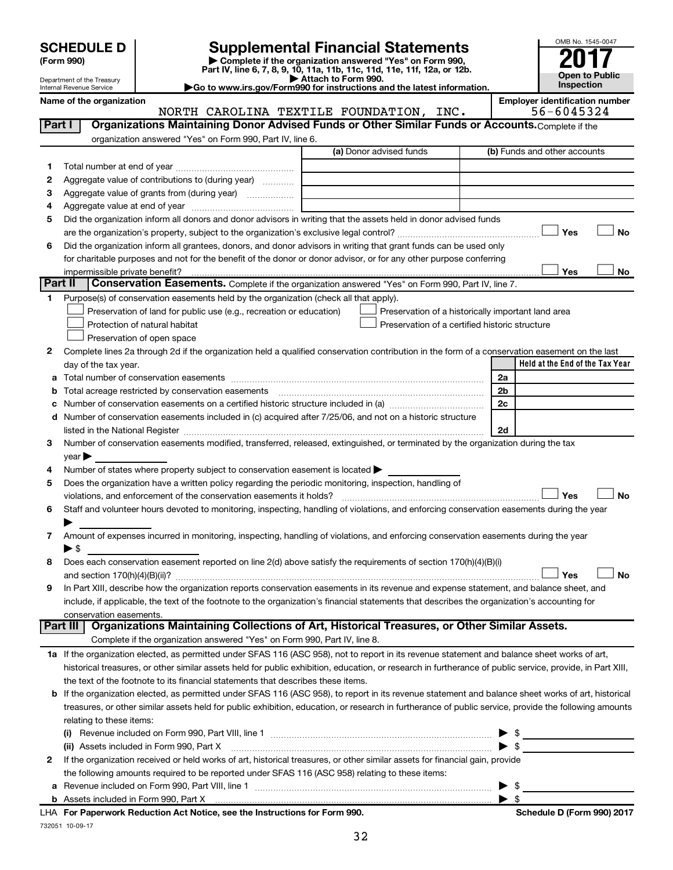| (Form 990) |  |
|------------|--|
|------------|--|

# **SCHEDULE D Supplemental Financial Statements**<br> **Form 990 2017**<br> **Part IV** line 6.7.8.9.10, 11a, 11b, 11d, 11d, 11d, 11d, 11d, 12a, 0r, 12b

**(Form 990) | Complete if the organization answered "Yes" on Form 990, Part IV, line 6, 7, 8, 9, 10, 11a, 11b, 11c, 11d, 11e, 11f, 12a, or 12b.**

**| Attach to Form 990. |Go to www.irs.gov/Form990 for instructions and the latest information.**



Department of the Treasury Internal Revenue Service

Name of the organization<br>**NORTH CAROLINA TEXTILE FOUNDATION, INC.** | **Employer identification number**<br>56-6045324 NORTH CAROLINA TEXTILE FOUNDATION, INC.

| Part I | Organizations Maintaining Donor Advised Funds or Other Similar Funds or Accounts. Complete if the                                                         |                         |                                                    |
|--------|-----------------------------------------------------------------------------------------------------------------------------------------------------------|-------------------------|----------------------------------------------------|
|        | organization answered "Yes" on Form 990, Part IV, line 6.                                                                                                 |                         |                                                    |
|        |                                                                                                                                                           | (a) Donor advised funds | (b) Funds and other accounts                       |
| 1      |                                                                                                                                                           |                         |                                                    |
| 2      | Aggregate value of contributions to (during year)                                                                                                         |                         |                                                    |
| з      | Aggregate value of grants from (during year)                                                                                                              |                         |                                                    |
| 4      |                                                                                                                                                           |                         |                                                    |
| 5      | Did the organization inform all donors and donor advisors in writing that the assets held in donor advised funds                                          |                         |                                                    |
|        |                                                                                                                                                           |                         | Yes<br>No                                          |
| 6      | Did the organization inform all grantees, donors, and donor advisors in writing that grant funds can be used only                                         |                         |                                                    |
|        | for charitable purposes and not for the benefit of the donor or donor advisor, or for any other purpose conferring                                        |                         |                                                    |
|        | impermissible private benefit?                                                                                                                            |                         | Yes<br>No                                          |
|        | Part II<br>Conservation Easements. Complete if the organization answered "Yes" on Form 990, Part IV, line 7.                                              |                         |                                                    |
| 1      | Purpose(s) of conservation easements held by the organization (check all that apply).                                                                     |                         |                                                    |
|        | Preservation of land for public use (e.g., recreation or education)                                                                                       |                         | Preservation of a historically important land area |
|        | Protection of natural habitat                                                                                                                             |                         | Preservation of a certified historic structure     |
|        | Preservation of open space                                                                                                                                |                         |                                                    |
| 2      | Complete lines 2a through 2d if the organization held a qualified conservation contribution in the form of a conservation easement on the last            |                         |                                                    |
|        | day of the tax year.                                                                                                                                      |                         | Held at the End of the Tax Year                    |
| а      |                                                                                                                                                           |                         | 2a                                                 |
|        | Total acreage restricted by conservation easements                                                                                                        |                         | 2b                                                 |
|        |                                                                                                                                                           |                         | 2c                                                 |
| d      | Number of conservation easements included in (c) acquired after 7/25/06, and not on a historic structure                                                  |                         |                                                    |
|        |                                                                                                                                                           |                         | 2d                                                 |
| 3      | Number of conservation easements modified, transferred, released, extinguished, or terminated by the organization during the tax                          |                         |                                                    |
|        | $year \triangleright$                                                                                                                                     |                         |                                                    |
| 4      | Number of states where property subject to conservation easement is located >                                                                             |                         |                                                    |
| 5      | Does the organization have a written policy regarding the periodic monitoring, inspection, handling of                                                    |                         |                                                    |
|        | violations, and enforcement of the conservation easements it holds?                                                                                       |                         | Yes<br><b>No</b>                                   |
| 6      | Staff and volunteer hours devoted to monitoring, inspecting, handling of violations, and enforcing conservation easements during the year                 |                         |                                                    |
|        |                                                                                                                                                           |                         |                                                    |
| 7      | Amount of expenses incurred in monitoring, inspecting, handling of violations, and enforcing conservation easements during the year                       |                         |                                                    |
|        | ► \$                                                                                                                                                      |                         |                                                    |
| 8      | Does each conservation easement reported on line 2(d) above satisfy the requirements of section 170(h)(4)(B)(i)                                           |                         |                                                    |
|        |                                                                                                                                                           |                         | <b>No</b><br>Yes                                   |
| 9      | In Part XIII, describe how the organization reports conservation easements in its revenue and expense statement, and balance sheet, and                   |                         |                                                    |
|        | include, if applicable, the text of the footnote to the organization's financial statements that describes the organization's accounting for              |                         |                                                    |
|        | conservation easements.<br>Organizations Maintaining Collections of Art, Historical Treasures, or Other Similar Assets.<br>Part III                       |                         |                                                    |
|        | Complete if the organization answered "Yes" on Form 990, Part IV, line 8.                                                                                 |                         |                                                    |
|        | 1a If the organization elected, as permitted under SFAS 116 (ASC 958), not to report in its revenue statement and balance sheet works of art,             |                         |                                                    |
|        | historical treasures, or other similar assets held for public exhibition, education, or research in furtherance of public service, provide, in Part XIII, |                         |                                                    |
|        | the text of the footnote to its financial statements that describes these items.                                                                          |                         |                                                    |
| b      | If the organization elected, as permitted under SFAS 116 (ASC 958), to report in its revenue statement and balance sheet works of art, historical         |                         |                                                    |
|        | treasures, or other similar assets held for public exhibition, education, or research in furtherance of public service, provide the following amounts     |                         |                                                    |
|        | relating to these items:                                                                                                                                  |                         |                                                    |
|        |                                                                                                                                                           |                         |                                                    |
|        | (ii) Assets included in Form 990, Part X                                                                                                                  |                         | $\blacktriangleright$ s                            |
| 2      | If the organization received or held works of art, historical treasures, or other similar assets for financial gain, provide                              |                         |                                                    |
|        | the following amounts required to be reported under SFAS 116 (ASC 958) relating to these items:                                                           |                         |                                                    |
|        |                                                                                                                                                           |                         | \$                                                 |
|        |                                                                                                                                                           |                         | $\blacktriangleright$ \$                           |
|        | tion Act Notice, and the Instructions for Form 000                                                                                                        |                         | Calcedule B (Faunt 000) 0047                       |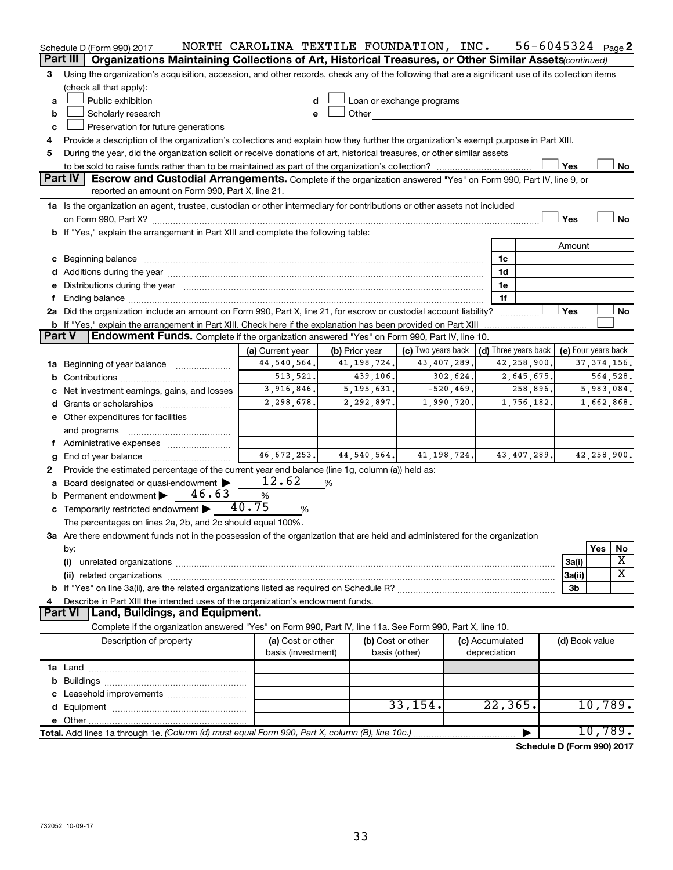| Organizations Maintaining Collections of Art, Historical Treasures, or Other Similar Assets (continued)<br>Part III<br>Using the organization's acquisition, accession, and other records, check any of the following that are a significant use of its collection items<br>3<br>(check all that apply):<br>Public exhibition<br>Loan or exchange programs<br>a<br>d<br>Other<br>Scholarly research<br>b<br>e<br>Preservation for future generations<br>c<br>Provide a description of the organization's collections and explain how they further the organization's exempt purpose in Part XIII.<br>4<br>During the year, did the organization solicit or receive donations of art, historical treasures, or other similar assets<br>5<br>Yes<br>No<br>Part IV<br>Escrow and Custodial Arrangements. Complete if the organization answered "Yes" on Form 990, Part IV, line 9, or<br>reported an amount on Form 990, Part X, line 21.<br>1a Is the organization an agent, trustee, custodian or other intermediary for contributions or other assets not included<br><b>No</b><br>Yes<br>b If "Yes," explain the arrangement in Part XIII and complete the following table:<br>Amount<br>c Beginning balance measurements and the contract of the contract of the contract of the contract of the contract of the contract of the contract of the contract of the contract of the contract of the contract of the contr<br>1c<br>1d<br>e Distributions during the year manufactured and continuum and contact the year manufactured and contact the year manufactured and contact the year manufactured and contact the year manufactured and contact the year manufa<br>1e<br>1f<br>2a Did the organization include an amount on Form 990, Part X, line 21, for escrow or custodial account liability?<br>Yes<br>No<br><b>b</b> If "Yes," explain the arrangement in Part XIII. Check here if the explanation has been provided on Part XIII<br><b>Endowment Funds.</b> Complete if the organization answered "Yes" on Form 990, Part IV, line 10.<br><b>Part V</b><br>(d) Three years back<br>(c) Two years back<br>(e) Four years back<br>(a) Current year<br>(b) Prior year<br>44, 540, 564.<br>41, 198, 724.<br>43,407,289.<br>42,258,900.<br>37, 374, 156.<br>1a Beginning of year balance<br>513, 521.<br>2,645,675.<br>439,106.<br>302,624.<br>564,528.<br>b<br>3,916,846.<br>5, 195, 631.<br>$-520, 469.$<br>258,896.<br>5,983,084.<br>Net investment earnings, gains, and losses<br>2,298,678.<br>1,990,720.<br>1,756,182.<br>2,292,897.<br>1,662,868.<br>e Other expenditures for facilities<br>and programs<br>f Administrative expenses<br>46,672,253.<br>44,540,564.<br>41, 198, 724.<br>43,407,289.<br>42,258,900.<br>End of year balance<br>g<br>Provide the estimated percentage of the current year end balance (line 1g, column (a)) held as:<br>2<br>12.62<br>Board designated or quasi-endowment<br>%<br>a<br>46.63<br><b>b</b> Permanent endowment $\blacktriangleright$<br>$\%$<br>40.75<br>c Temporarily restricted endowment $\blacktriangleright$<br>%<br>The percentages on lines 2a, 2b, and 2c should equal 100%.<br>3a Are there endowment funds not in the possession of the organization that are held and administered for the organization<br>Yes<br>No<br>by:<br>X<br>(i)<br>3a(i)<br>$\overline{\textbf{x}}$<br>3a(ii)<br>(ii) related organizations<br>3 <sub>b</sub><br>Describe in Part XIII the intended uses of the organization's endowment funds.<br>Land, Buildings, and Equipment.<br><b>Part VI</b><br>Complete if the organization answered "Yes" on Form 990, Part IV, line 11a. See Form 990, Part X, line 10.<br>(a) Cost or other<br>Description of property<br>(b) Cost or other<br>(c) Accumulated<br>(d) Book value<br>basis (investment)<br>depreciation<br>basis (other)<br>33, 154.<br>22, 365.<br>10,789.<br>e Other.<br>10,789.<br>Total. Add lines 1a through 1e. (Column (d) must equal Form 990, Part X, column (B), line 10c.)<br>$\sim$ dule D (Esum 000) 0047 | Schedule D (Form 990) 2017 | NORTH CAROLINA TEXTILE FOUNDATION, INC. |  | $56 - 6045324$ Page 2 |  |  |
|---------------------------------------------------------------------------------------------------------------------------------------------------------------------------------------------------------------------------------------------------------------------------------------------------------------------------------------------------------------------------------------------------------------------------------------------------------------------------------------------------------------------------------------------------------------------------------------------------------------------------------------------------------------------------------------------------------------------------------------------------------------------------------------------------------------------------------------------------------------------------------------------------------------------------------------------------------------------------------------------------------------------------------------------------------------------------------------------------------------------------------------------------------------------------------------------------------------------------------------------------------------------------------------------------------------------------------------------------------------------------------------------------------------------------------------------------------------------------------------------------------------------------------------------------------------------------------------------------------------------------------------------------------------------------------------------------------------------------------------------------------------------------------------------------------------------------------------------------------------------------------------------------------------------------------------------------------------------------------------------------------------------------------------------------------------------------------------------------------------------------------------------------------------------------------------------------------------------------------------------------------------------------------------------------------------------------------------------------------------------------------------------------------------------------------------------------------------------------------------------------------------------------------------------------------------------------------------------------------------------------------------------------------------------------------------------------------------------------------------------------------------------------------------------------------------------------------------------------------------------------------------------------------------------------------------------------------------------------------------------------------------------------------------------------------------------------------------------------------------------------------------------------------------------------------------------------------------------------------------------------------------------------------------------------------------------------------------------------------------------------------------------------------------------------------------------------------------------------------------------------------------------------------------------------------------------------------------------------------------------------------------------------------------------------------------------------------------------------------------------------------------------------------------------------------------------------------------------------------------------------------------------------------------------------------------------------------------------------------------------------------------------------------|----------------------------|-----------------------------------------|--|-----------------------|--|--|
|                                                                                                                                                                                                                                                                                                                                                                                                                                                                                                                                                                                                                                                                                                                                                                                                                                                                                                                                                                                                                                                                                                                                                                                                                                                                                                                                                                                                                                                                                                                                                                                                                                                                                                                                                                                                                                                                                                                                                                                                                                                                                                                                                                                                                                                                                                                                                                                                                                                                                                                                                                                                                                                                                                                                                                                                                                                                                                                                                                                                                                                                                                                                                                                                                                                                                                                                                                                                                                                                                                                                                                                                                                                                                                                                                                                                                                                                                                                                                                                                                                 |                            |                                         |  |                       |  |  |
|                                                                                                                                                                                                                                                                                                                                                                                                                                                                                                                                                                                                                                                                                                                                                                                                                                                                                                                                                                                                                                                                                                                                                                                                                                                                                                                                                                                                                                                                                                                                                                                                                                                                                                                                                                                                                                                                                                                                                                                                                                                                                                                                                                                                                                                                                                                                                                                                                                                                                                                                                                                                                                                                                                                                                                                                                                                                                                                                                                                                                                                                                                                                                                                                                                                                                                                                                                                                                                                                                                                                                                                                                                                                                                                                                                                                                                                                                                                                                                                                                                 |                            |                                         |  |                       |  |  |
|                                                                                                                                                                                                                                                                                                                                                                                                                                                                                                                                                                                                                                                                                                                                                                                                                                                                                                                                                                                                                                                                                                                                                                                                                                                                                                                                                                                                                                                                                                                                                                                                                                                                                                                                                                                                                                                                                                                                                                                                                                                                                                                                                                                                                                                                                                                                                                                                                                                                                                                                                                                                                                                                                                                                                                                                                                                                                                                                                                                                                                                                                                                                                                                                                                                                                                                                                                                                                                                                                                                                                                                                                                                                                                                                                                                                                                                                                                                                                                                                                                 |                            |                                         |  |                       |  |  |
|                                                                                                                                                                                                                                                                                                                                                                                                                                                                                                                                                                                                                                                                                                                                                                                                                                                                                                                                                                                                                                                                                                                                                                                                                                                                                                                                                                                                                                                                                                                                                                                                                                                                                                                                                                                                                                                                                                                                                                                                                                                                                                                                                                                                                                                                                                                                                                                                                                                                                                                                                                                                                                                                                                                                                                                                                                                                                                                                                                                                                                                                                                                                                                                                                                                                                                                                                                                                                                                                                                                                                                                                                                                                                                                                                                                                                                                                                                                                                                                                                                 |                            |                                         |  |                       |  |  |
|                                                                                                                                                                                                                                                                                                                                                                                                                                                                                                                                                                                                                                                                                                                                                                                                                                                                                                                                                                                                                                                                                                                                                                                                                                                                                                                                                                                                                                                                                                                                                                                                                                                                                                                                                                                                                                                                                                                                                                                                                                                                                                                                                                                                                                                                                                                                                                                                                                                                                                                                                                                                                                                                                                                                                                                                                                                                                                                                                                                                                                                                                                                                                                                                                                                                                                                                                                                                                                                                                                                                                                                                                                                                                                                                                                                                                                                                                                                                                                                                                                 |                            |                                         |  |                       |  |  |
|                                                                                                                                                                                                                                                                                                                                                                                                                                                                                                                                                                                                                                                                                                                                                                                                                                                                                                                                                                                                                                                                                                                                                                                                                                                                                                                                                                                                                                                                                                                                                                                                                                                                                                                                                                                                                                                                                                                                                                                                                                                                                                                                                                                                                                                                                                                                                                                                                                                                                                                                                                                                                                                                                                                                                                                                                                                                                                                                                                                                                                                                                                                                                                                                                                                                                                                                                                                                                                                                                                                                                                                                                                                                                                                                                                                                                                                                                                                                                                                                                                 |                            |                                         |  |                       |  |  |
|                                                                                                                                                                                                                                                                                                                                                                                                                                                                                                                                                                                                                                                                                                                                                                                                                                                                                                                                                                                                                                                                                                                                                                                                                                                                                                                                                                                                                                                                                                                                                                                                                                                                                                                                                                                                                                                                                                                                                                                                                                                                                                                                                                                                                                                                                                                                                                                                                                                                                                                                                                                                                                                                                                                                                                                                                                                                                                                                                                                                                                                                                                                                                                                                                                                                                                                                                                                                                                                                                                                                                                                                                                                                                                                                                                                                                                                                                                                                                                                                                                 |                            |                                         |  |                       |  |  |
|                                                                                                                                                                                                                                                                                                                                                                                                                                                                                                                                                                                                                                                                                                                                                                                                                                                                                                                                                                                                                                                                                                                                                                                                                                                                                                                                                                                                                                                                                                                                                                                                                                                                                                                                                                                                                                                                                                                                                                                                                                                                                                                                                                                                                                                                                                                                                                                                                                                                                                                                                                                                                                                                                                                                                                                                                                                                                                                                                                                                                                                                                                                                                                                                                                                                                                                                                                                                                                                                                                                                                                                                                                                                                                                                                                                                                                                                                                                                                                                                                                 |                            |                                         |  |                       |  |  |
|                                                                                                                                                                                                                                                                                                                                                                                                                                                                                                                                                                                                                                                                                                                                                                                                                                                                                                                                                                                                                                                                                                                                                                                                                                                                                                                                                                                                                                                                                                                                                                                                                                                                                                                                                                                                                                                                                                                                                                                                                                                                                                                                                                                                                                                                                                                                                                                                                                                                                                                                                                                                                                                                                                                                                                                                                                                                                                                                                                                                                                                                                                                                                                                                                                                                                                                                                                                                                                                                                                                                                                                                                                                                                                                                                                                                                                                                                                                                                                                                                                 |                            |                                         |  |                       |  |  |
|                                                                                                                                                                                                                                                                                                                                                                                                                                                                                                                                                                                                                                                                                                                                                                                                                                                                                                                                                                                                                                                                                                                                                                                                                                                                                                                                                                                                                                                                                                                                                                                                                                                                                                                                                                                                                                                                                                                                                                                                                                                                                                                                                                                                                                                                                                                                                                                                                                                                                                                                                                                                                                                                                                                                                                                                                                                                                                                                                                                                                                                                                                                                                                                                                                                                                                                                                                                                                                                                                                                                                                                                                                                                                                                                                                                                                                                                                                                                                                                                                                 |                            |                                         |  |                       |  |  |
|                                                                                                                                                                                                                                                                                                                                                                                                                                                                                                                                                                                                                                                                                                                                                                                                                                                                                                                                                                                                                                                                                                                                                                                                                                                                                                                                                                                                                                                                                                                                                                                                                                                                                                                                                                                                                                                                                                                                                                                                                                                                                                                                                                                                                                                                                                                                                                                                                                                                                                                                                                                                                                                                                                                                                                                                                                                                                                                                                                                                                                                                                                                                                                                                                                                                                                                                                                                                                                                                                                                                                                                                                                                                                                                                                                                                                                                                                                                                                                                                                                 |                            |                                         |  |                       |  |  |
|                                                                                                                                                                                                                                                                                                                                                                                                                                                                                                                                                                                                                                                                                                                                                                                                                                                                                                                                                                                                                                                                                                                                                                                                                                                                                                                                                                                                                                                                                                                                                                                                                                                                                                                                                                                                                                                                                                                                                                                                                                                                                                                                                                                                                                                                                                                                                                                                                                                                                                                                                                                                                                                                                                                                                                                                                                                                                                                                                                                                                                                                                                                                                                                                                                                                                                                                                                                                                                                                                                                                                                                                                                                                                                                                                                                                                                                                                                                                                                                                                                 |                            |                                         |  |                       |  |  |
|                                                                                                                                                                                                                                                                                                                                                                                                                                                                                                                                                                                                                                                                                                                                                                                                                                                                                                                                                                                                                                                                                                                                                                                                                                                                                                                                                                                                                                                                                                                                                                                                                                                                                                                                                                                                                                                                                                                                                                                                                                                                                                                                                                                                                                                                                                                                                                                                                                                                                                                                                                                                                                                                                                                                                                                                                                                                                                                                                                                                                                                                                                                                                                                                                                                                                                                                                                                                                                                                                                                                                                                                                                                                                                                                                                                                                                                                                                                                                                                                                                 |                            |                                         |  |                       |  |  |
|                                                                                                                                                                                                                                                                                                                                                                                                                                                                                                                                                                                                                                                                                                                                                                                                                                                                                                                                                                                                                                                                                                                                                                                                                                                                                                                                                                                                                                                                                                                                                                                                                                                                                                                                                                                                                                                                                                                                                                                                                                                                                                                                                                                                                                                                                                                                                                                                                                                                                                                                                                                                                                                                                                                                                                                                                                                                                                                                                                                                                                                                                                                                                                                                                                                                                                                                                                                                                                                                                                                                                                                                                                                                                                                                                                                                                                                                                                                                                                                                                                 |                            |                                         |  |                       |  |  |
|                                                                                                                                                                                                                                                                                                                                                                                                                                                                                                                                                                                                                                                                                                                                                                                                                                                                                                                                                                                                                                                                                                                                                                                                                                                                                                                                                                                                                                                                                                                                                                                                                                                                                                                                                                                                                                                                                                                                                                                                                                                                                                                                                                                                                                                                                                                                                                                                                                                                                                                                                                                                                                                                                                                                                                                                                                                                                                                                                                                                                                                                                                                                                                                                                                                                                                                                                                                                                                                                                                                                                                                                                                                                                                                                                                                                                                                                                                                                                                                                                                 |                            |                                         |  |                       |  |  |
|                                                                                                                                                                                                                                                                                                                                                                                                                                                                                                                                                                                                                                                                                                                                                                                                                                                                                                                                                                                                                                                                                                                                                                                                                                                                                                                                                                                                                                                                                                                                                                                                                                                                                                                                                                                                                                                                                                                                                                                                                                                                                                                                                                                                                                                                                                                                                                                                                                                                                                                                                                                                                                                                                                                                                                                                                                                                                                                                                                                                                                                                                                                                                                                                                                                                                                                                                                                                                                                                                                                                                                                                                                                                                                                                                                                                                                                                                                                                                                                                                                 |                            |                                         |  |                       |  |  |
|                                                                                                                                                                                                                                                                                                                                                                                                                                                                                                                                                                                                                                                                                                                                                                                                                                                                                                                                                                                                                                                                                                                                                                                                                                                                                                                                                                                                                                                                                                                                                                                                                                                                                                                                                                                                                                                                                                                                                                                                                                                                                                                                                                                                                                                                                                                                                                                                                                                                                                                                                                                                                                                                                                                                                                                                                                                                                                                                                                                                                                                                                                                                                                                                                                                                                                                                                                                                                                                                                                                                                                                                                                                                                                                                                                                                                                                                                                                                                                                                                                 |                            |                                         |  |                       |  |  |
|                                                                                                                                                                                                                                                                                                                                                                                                                                                                                                                                                                                                                                                                                                                                                                                                                                                                                                                                                                                                                                                                                                                                                                                                                                                                                                                                                                                                                                                                                                                                                                                                                                                                                                                                                                                                                                                                                                                                                                                                                                                                                                                                                                                                                                                                                                                                                                                                                                                                                                                                                                                                                                                                                                                                                                                                                                                                                                                                                                                                                                                                                                                                                                                                                                                                                                                                                                                                                                                                                                                                                                                                                                                                                                                                                                                                                                                                                                                                                                                                                                 |                            |                                         |  |                       |  |  |
|                                                                                                                                                                                                                                                                                                                                                                                                                                                                                                                                                                                                                                                                                                                                                                                                                                                                                                                                                                                                                                                                                                                                                                                                                                                                                                                                                                                                                                                                                                                                                                                                                                                                                                                                                                                                                                                                                                                                                                                                                                                                                                                                                                                                                                                                                                                                                                                                                                                                                                                                                                                                                                                                                                                                                                                                                                                                                                                                                                                                                                                                                                                                                                                                                                                                                                                                                                                                                                                                                                                                                                                                                                                                                                                                                                                                                                                                                                                                                                                                                                 |                            |                                         |  |                       |  |  |
|                                                                                                                                                                                                                                                                                                                                                                                                                                                                                                                                                                                                                                                                                                                                                                                                                                                                                                                                                                                                                                                                                                                                                                                                                                                                                                                                                                                                                                                                                                                                                                                                                                                                                                                                                                                                                                                                                                                                                                                                                                                                                                                                                                                                                                                                                                                                                                                                                                                                                                                                                                                                                                                                                                                                                                                                                                                                                                                                                                                                                                                                                                                                                                                                                                                                                                                                                                                                                                                                                                                                                                                                                                                                                                                                                                                                                                                                                                                                                                                                                                 |                            |                                         |  |                       |  |  |
|                                                                                                                                                                                                                                                                                                                                                                                                                                                                                                                                                                                                                                                                                                                                                                                                                                                                                                                                                                                                                                                                                                                                                                                                                                                                                                                                                                                                                                                                                                                                                                                                                                                                                                                                                                                                                                                                                                                                                                                                                                                                                                                                                                                                                                                                                                                                                                                                                                                                                                                                                                                                                                                                                                                                                                                                                                                                                                                                                                                                                                                                                                                                                                                                                                                                                                                                                                                                                                                                                                                                                                                                                                                                                                                                                                                                                                                                                                                                                                                                                                 |                            |                                         |  |                       |  |  |
|                                                                                                                                                                                                                                                                                                                                                                                                                                                                                                                                                                                                                                                                                                                                                                                                                                                                                                                                                                                                                                                                                                                                                                                                                                                                                                                                                                                                                                                                                                                                                                                                                                                                                                                                                                                                                                                                                                                                                                                                                                                                                                                                                                                                                                                                                                                                                                                                                                                                                                                                                                                                                                                                                                                                                                                                                                                                                                                                                                                                                                                                                                                                                                                                                                                                                                                                                                                                                                                                                                                                                                                                                                                                                                                                                                                                                                                                                                                                                                                                                                 |                            |                                         |  |                       |  |  |
|                                                                                                                                                                                                                                                                                                                                                                                                                                                                                                                                                                                                                                                                                                                                                                                                                                                                                                                                                                                                                                                                                                                                                                                                                                                                                                                                                                                                                                                                                                                                                                                                                                                                                                                                                                                                                                                                                                                                                                                                                                                                                                                                                                                                                                                                                                                                                                                                                                                                                                                                                                                                                                                                                                                                                                                                                                                                                                                                                                                                                                                                                                                                                                                                                                                                                                                                                                                                                                                                                                                                                                                                                                                                                                                                                                                                                                                                                                                                                                                                                                 |                            |                                         |  |                       |  |  |
|                                                                                                                                                                                                                                                                                                                                                                                                                                                                                                                                                                                                                                                                                                                                                                                                                                                                                                                                                                                                                                                                                                                                                                                                                                                                                                                                                                                                                                                                                                                                                                                                                                                                                                                                                                                                                                                                                                                                                                                                                                                                                                                                                                                                                                                                                                                                                                                                                                                                                                                                                                                                                                                                                                                                                                                                                                                                                                                                                                                                                                                                                                                                                                                                                                                                                                                                                                                                                                                                                                                                                                                                                                                                                                                                                                                                                                                                                                                                                                                                                                 |                            |                                         |  |                       |  |  |
|                                                                                                                                                                                                                                                                                                                                                                                                                                                                                                                                                                                                                                                                                                                                                                                                                                                                                                                                                                                                                                                                                                                                                                                                                                                                                                                                                                                                                                                                                                                                                                                                                                                                                                                                                                                                                                                                                                                                                                                                                                                                                                                                                                                                                                                                                                                                                                                                                                                                                                                                                                                                                                                                                                                                                                                                                                                                                                                                                                                                                                                                                                                                                                                                                                                                                                                                                                                                                                                                                                                                                                                                                                                                                                                                                                                                                                                                                                                                                                                                                                 |                            |                                         |  |                       |  |  |
|                                                                                                                                                                                                                                                                                                                                                                                                                                                                                                                                                                                                                                                                                                                                                                                                                                                                                                                                                                                                                                                                                                                                                                                                                                                                                                                                                                                                                                                                                                                                                                                                                                                                                                                                                                                                                                                                                                                                                                                                                                                                                                                                                                                                                                                                                                                                                                                                                                                                                                                                                                                                                                                                                                                                                                                                                                                                                                                                                                                                                                                                                                                                                                                                                                                                                                                                                                                                                                                                                                                                                                                                                                                                                                                                                                                                                                                                                                                                                                                                                                 |                            |                                         |  |                       |  |  |
|                                                                                                                                                                                                                                                                                                                                                                                                                                                                                                                                                                                                                                                                                                                                                                                                                                                                                                                                                                                                                                                                                                                                                                                                                                                                                                                                                                                                                                                                                                                                                                                                                                                                                                                                                                                                                                                                                                                                                                                                                                                                                                                                                                                                                                                                                                                                                                                                                                                                                                                                                                                                                                                                                                                                                                                                                                                                                                                                                                                                                                                                                                                                                                                                                                                                                                                                                                                                                                                                                                                                                                                                                                                                                                                                                                                                                                                                                                                                                                                                                                 |                            |                                         |  |                       |  |  |
|                                                                                                                                                                                                                                                                                                                                                                                                                                                                                                                                                                                                                                                                                                                                                                                                                                                                                                                                                                                                                                                                                                                                                                                                                                                                                                                                                                                                                                                                                                                                                                                                                                                                                                                                                                                                                                                                                                                                                                                                                                                                                                                                                                                                                                                                                                                                                                                                                                                                                                                                                                                                                                                                                                                                                                                                                                                                                                                                                                                                                                                                                                                                                                                                                                                                                                                                                                                                                                                                                                                                                                                                                                                                                                                                                                                                                                                                                                                                                                                                                                 |                            |                                         |  |                       |  |  |
|                                                                                                                                                                                                                                                                                                                                                                                                                                                                                                                                                                                                                                                                                                                                                                                                                                                                                                                                                                                                                                                                                                                                                                                                                                                                                                                                                                                                                                                                                                                                                                                                                                                                                                                                                                                                                                                                                                                                                                                                                                                                                                                                                                                                                                                                                                                                                                                                                                                                                                                                                                                                                                                                                                                                                                                                                                                                                                                                                                                                                                                                                                                                                                                                                                                                                                                                                                                                                                                                                                                                                                                                                                                                                                                                                                                                                                                                                                                                                                                                                                 |                            |                                         |  |                       |  |  |
|                                                                                                                                                                                                                                                                                                                                                                                                                                                                                                                                                                                                                                                                                                                                                                                                                                                                                                                                                                                                                                                                                                                                                                                                                                                                                                                                                                                                                                                                                                                                                                                                                                                                                                                                                                                                                                                                                                                                                                                                                                                                                                                                                                                                                                                                                                                                                                                                                                                                                                                                                                                                                                                                                                                                                                                                                                                                                                                                                                                                                                                                                                                                                                                                                                                                                                                                                                                                                                                                                                                                                                                                                                                                                                                                                                                                                                                                                                                                                                                                                                 |                            |                                         |  |                       |  |  |
|                                                                                                                                                                                                                                                                                                                                                                                                                                                                                                                                                                                                                                                                                                                                                                                                                                                                                                                                                                                                                                                                                                                                                                                                                                                                                                                                                                                                                                                                                                                                                                                                                                                                                                                                                                                                                                                                                                                                                                                                                                                                                                                                                                                                                                                                                                                                                                                                                                                                                                                                                                                                                                                                                                                                                                                                                                                                                                                                                                                                                                                                                                                                                                                                                                                                                                                                                                                                                                                                                                                                                                                                                                                                                                                                                                                                                                                                                                                                                                                                                                 |                            |                                         |  |                       |  |  |
|                                                                                                                                                                                                                                                                                                                                                                                                                                                                                                                                                                                                                                                                                                                                                                                                                                                                                                                                                                                                                                                                                                                                                                                                                                                                                                                                                                                                                                                                                                                                                                                                                                                                                                                                                                                                                                                                                                                                                                                                                                                                                                                                                                                                                                                                                                                                                                                                                                                                                                                                                                                                                                                                                                                                                                                                                                                                                                                                                                                                                                                                                                                                                                                                                                                                                                                                                                                                                                                                                                                                                                                                                                                                                                                                                                                                                                                                                                                                                                                                                                 |                            |                                         |  |                       |  |  |
|                                                                                                                                                                                                                                                                                                                                                                                                                                                                                                                                                                                                                                                                                                                                                                                                                                                                                                                                                                                                                                                                                                                                                                                                                                                                                                                                                                                                                                                                                                                                                                                                                                                                                                                                                                                                                                                                                                                                                                                                                                                                                                                                                                                                                                                                                                                                                                                                                                                                                                                                                                                                                                                                                                                                                                                                                                                                                                                                                                                                                                                                                                                                                                                                                                                                                                                                                                                                                                                                                                                                                                                                                                                                                                                                                                                                                                                                                                                                                                                                                                 |                            |                                         |  |                       |  |  |
|                                                                                                                                                                                                                                                                                                                                                                                                                                                                                                                                                                                                                                                                                                                                                                                                                                                                                                                                                                                                                                                                                                                                                                                                                                                                                                                                                                                                                                                                                                                                                                                                                                                                                                                                                                                                                                                                                                                                                                                                                                                                                                                                                                                                                                                                                                                                                                                                                                                                                                                                                                                                                                                                                                                                                                                                                                                                                                                                                                                                                                                                                                                                                                                                                                                                                                                                                                                                                                                                                                                                                                                                                                                                                                                                                                                                                                                                                                                                                                                                                                 |                            |                                         |  |                       |  |  |
|                                                                                                                                                                                                                                                                                                                                                                                                                                                                                                                                                                                                                                                                                                                                                                                                                                                                                                                                                                                                                                                                                                                                                                                                                                                                                                                                                                                                                                                                                                                                                                                                                                                                                                                                                                                                                                                                                                                                                                                                                                                                                                                                                                                                                                                                                                                                                                                                                                                                                                                                                                                                                                                                                                                                                                                                                                                                                                                                                                                                                                                                                                                                                                                                                                                                                                                                                                                                                                                                                                                                                                                                                                                                                                                                                                                                                                                                                                                                                                                                                                 |                            |                                         |  |                       |  |  |
|                                                                                                                                                                                                                                                                                                                                                                                                                                                                                                                                                                                                                                                                                                                                                                                                                                                                                                                                                                                                                                                                                                                                                                                                                                                                                                                                                                                                                                                                                                                                                                                                                                                                                                                                                                                                                                                                                                                                                                                                                                                                                                                                                                                                                                                                                                                                                                                                                                                                                                                                                                                                                                                                                                                                                                                                                                                                                                                                                                                                                                                                                                                                                                                                                                                                                                                                                                                                                                                                                                                                                                                                                                                                                                                                                                                                                                                                                                                                                                                                                                 |                            |                                         |  |                       |  |  |
|                                                                                                                                                                                                                                                                                                                                                                                                                                                                                                                                                                                                                                                                                                                                                                                                                                                                                                                                                                                                                                                                                                                                                                                                                                                                                                                                                                                                                                                                                                                                                                                                                                                                                                                                                                                                                                                                                                                                                                                                                                                                                                                                                                                                                                                                                                                                                                                                                                                                                                                                                                                                                                                                                                                                                                                                                                                                                                                                                                                                                                                                                                                                                                                                                                                                                                                                                                                                                                                                                                                                                                                                                                                                                                                                                                                                                                                                                                                                                                                                                                 |                            |                                         |  |                       |  |  |
|                                                                                                                                                                                                                                                                                                                                                                                                                                                                                                                                                                                                                                                                                                                                                                                                                                                                                                                                                                                                                                                                                                                                                                                                                                                                                                                                                                                                                                                                                                                                                                                                                                                                                                                                                                                                                                                                                                                                                                                                                                                                                                                                                                                                                                                                                                                                                                                                                                                                                                                                                                                                                                                                                                                                                                                                                                                                                                                                                                                                                                                                                                                                                                                                                                                                                                                                                                                                                                                                                                                                                                                                                                                                                                                                                                                                                                                                                                                                                                                                                                 |                            |                                         |  |                       |  |  |
|                                                                                                                                                                                                                                                                                                                                                                                                                                                                                                                                                                                                                                                                                                                                                                                                                                                                                                                                                                                                                                                                                                                                                                                                                                                                                                                                                                                                                                                                                                                                                                                                                                                                                                                                                                                                                                                                                                                                                                                                                                                                                                                                                                                                                                                                                                                                                                                                                                                                                                                                                                                                                                                                                                                                                                                                                                                                                                                                                                                                                                                                                                                                                                                                                                                                                                                                                                                                                                                                                                                                                                                                                                                                                                                                                                                                                                                                                                                                                                                                                                 |                            |                                         |  |                       |  |  |
|                                                                                                                                                                                                                                                                                                                                                                                                                                                                                                                                                                                                                                                                                                                                                                                                                                                                                                                                                                                                                                                                                                                                                                                                                                                                                                                                                                                                                                                                                                                                                                                                                                                                                                                                                                                                                                                                                                                                                                                                                                                                                                                                                                                                                                                                                                                                                                                                                                                                                                                                                                                                                                                                                                                                                                                                                                                                                                                                                                                                                                                                                                                                                                                                                                                                                                                                                                                                                                                                                                                                                                                                                                                                                                                                                                                                                                                                                                                                                                                                                                 |                            |                                         |  |                       |  |  |
|                                                                                                                                                                                                                                                                                                                                                                                                                                                                                                                                                                                                                                                                                                                                                                                                                                                                                                                                                                                                                                                                                                                                                                                                                                                                                                                                                                                                                                                                                                                                                                                                                                                                                                                                                                                                                                                                                                                                                                                                                                                                                                                                                                                                                                                                                                                                                                                                                                                                                                                                                                                                                                                                                                                                                                                                                                                                                                                                                                                                                                                                                                                                                                                                                                                                                                                                                                                                                                                                                                                                                                                                                                                                                                                                                                                                                                                                                                                                                                                                                                 |                            |                                         |  |                       |  |  |
|                                                                                                                                                                                                                                                                                                                                                                                                                                                                                                                                                                                                                                                                                                                                                                                                                                                                                                                                                                                                                                                                                                                                                                                                                                                                                                                                                                                                                                                                                                                                                                                                                                                                                                                                                                                                                                                                                                                                                                                                                                                                                                                                                                                                                                                                                                                                                                                                                                                                                                                                                                                                                                                                                                                                                                                                                                                                                                                                                                                                                                                                                                                                                                                                                                                                                                                                                                                                                                                                                                                                                                                                                                                                                                                                                                                                                                                                                                                                                                                                                                 |                            |                                         |  |                       |  |  |
|                                                                                                                                                                                                                                                                                                                                                                                                                                                                                                                                                                                                                                                                                                                                                                                                                                                                                                                                                                                                                                                                                                                                                                                                                                                                                                                                                                                                                                                                                                                                                                                                                                                                                                                                                                                                                                                                                                                                                                                                                                                                                                                                                                                                                                                                                                                                                                                                                                                                                                                                                                                                                                                                                                                                                                                                                                                                                                                                                                                                                                                                                                                                                                                                                                                                                                                                                                                                                                                                                                                                                                                                                                                                                                                                                                                                                                                                                                                                                                                                                                 |                            |                                         |  |                       |  |  |
|                                                                                                                                                                                                                                                                                                                                                                                                                                                                                                                                                                                                                                                                                                                                                                                                                                                                                                                                                                                                                                                                                                                                                                                                                                                                                                                                                                                                                                                                                                                                                                                                                                                                                                                                                                                                                                                                                                                                                                                                                                                                                                                                                                                                                                                                                                                                                                                                                                                                                                                                                                                                                                                                                                                                                                                                                                                                                                                                                                                                                                                                                                                                                                                                                                                                                                                                                                                                                                                                                                                                                                                                                                                                                                                                                                                                                                                                                                                                                                                                                                 |                            |                                         |  |                       |  |  |
|                                                                                                                                                                                                                                                                                                                                                                                                                                                                                                                                                                                                                                                                                                                                                                                                                                                                                                                                                                                                                                                                                                                                                                                                                                                                                                                                                                                                                                                                                                                                                                                                                                                                                                                                                                                                                                                                                                                                                                                                                                                                                                                                                                                                                                                                                                                                                                                                                                                                                                                                                                                                                                                                                                                                                                                                                                                                                                                                                                                                                                                                                                                                                                                                                                                                                                                                                                                                                                                                                                                                                                                                                                                                                                                                                                                                                                                                                                                                                                                                                                 |                            |                                         |  |                       |  |  |
|                                                                                                                                                                                                                                                                                                                                                                                                                                                                                                                                                                                                                                                                                                                                                                                                                                                                                                                                                                                                                                                                                                                                                                                                                                                                                                                                                                                                                                                                                                                                                                                                                                                                                                                                                                                                                                                                                                                                                                                                                                                                                                                                                                                                                                                                                                                                                                                                                                                                                                                                                                                                                                                                                                                                                                                                                                                                                                                                                                                                                                                                                                                                                                                                                                                                                                                                                                                                                                                                                                                                                                                                                                                                                                                                                                                                                                                                                                                                                                                                                                 |                            |                                         |  |                       |  |  |
|                                                                                                                                                                                                                                                                                                                                                                                                                                                                                                                                                                                                                                                                                                                                                                                                                                                                                                                                                                                                                                                                                                                                                                                                                                                                                                                                                                                                                                                                                                                                                                                                                                                                                                                                                                                                                                                                                                                                                                                                                                                                                                                                                                                                                                                                                                                                                                                                                                                                                                                                                                                                                                                                                                                                                                                                                                                                                                                                                                                                                                                                                                                                                                                                                                                                                                                                                                                                                                                                                                                                                                                                                                                                                                                                                                                                                                                                                                                                                                                                                                 |                            |                                         |  |                       |  |  |
|                                                                                                                                                                                                                                                                                                                                                                                                                                                                                                                                                                                                                                                                                                                                                                                                                                                                                                                                                                                                                                                                                                                                                                                                                                                                                                                                                                                                                                                                                                                                                                                                                                                                                                                                                                                                                                                                                                                                                                                                                                                                                                                                                                                                                                                                                                                                                                                                                                                                                                                                                                                                                                                                                                                                                                                                                                                                                                                                                                                                                                                                                                                                                                                                                                                                                                                                                                                                                                                                                                                                                                                                                                                                                                                                                                                                                                                                                                                                                                                                                                 |                            |                                         |  |                       |  |  |
|                                                                                                                                                                                                                                                                                                                                                                                                                                                                                                                                                                                                                                                                                                                                                                                                                                                                                                                                                                                                                                                                                                                                                                                                                                                                                                                                                                                                                                                                                                                                                                                                                                                                                                                                                                                                                                                                                                                                                                                                                                                                                                                                                                                                                                                                                                                                                                                                                                                                                                                                                                                                                                                                                                                                                                                                                                                                                                                                                                                                                                                                                                                                                                                                                                                                                                                                                                                                                                                                                                                                                                                                                                                                                                                                                                                                                                                                                                                                                                                                                                 |                            |                                         |  |                       |  |  |
|                                                                                                                                                                                                                                                                                                                                                                                                                                                                                                                                                                                                                                                                                                                                                                                                                                                                                                                                                                                                                                                                                                                                                                                                                                                                                                                                                                                                                                                                                                                                                                                                                                                                                                                                                                                                                                                                                                                                                                                                                                                                                                                                                                                                                                                                                                                                                                                                                                                                                                                                                                                                                                                                                                                                                                                                                                                                                                                                                                                                                                                                                                                                                                                                                                                                                                                                                                                                                                                                                                                                                                                                                                                                                                                                                                                                                                                                                                                                                                                                                                 |                            |                                         |  |                       |  |  |

**Schedule D (Form 990) 2017**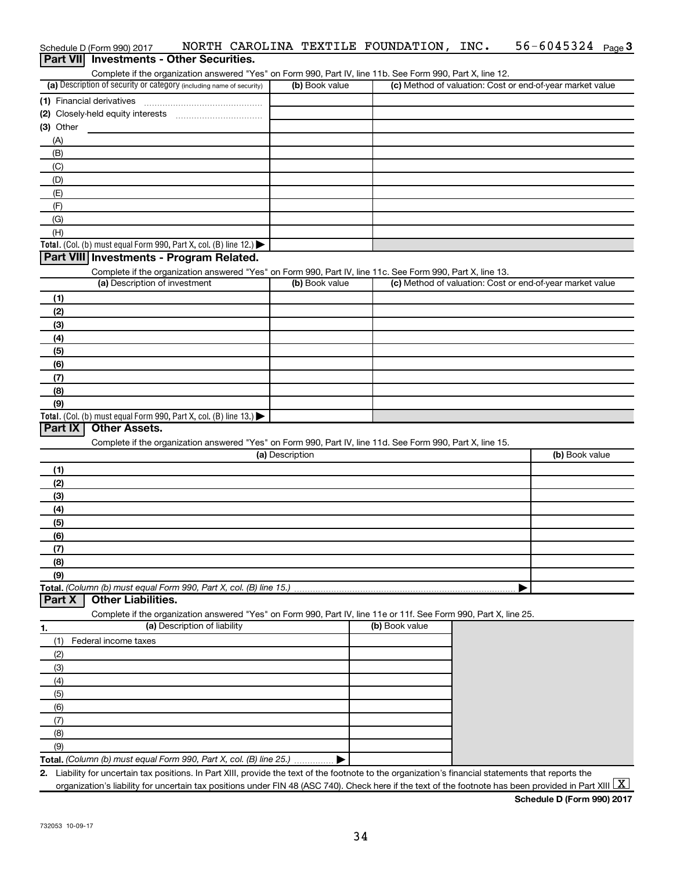| (a) Description of security or category (including name of security)      |                                                                                                                   |                 |                                                                                                            |                                                           |                |
|---------------------------------------------------------------------------|-------------------------------------------------------------------------------------------------------------------|-----------------|------------------------------------------------------------------------------------------------------------|-----------------------------------------------------------|----------------|
|                                                                           |                                                                                                                   | (b) Book value  | Complete if the organization answered "Yes" on Form 990, Part IV, line 11b. See Form 990, Part X, line 12. | (c) Method of valuation: Cost or end-of-year market value |                |
|                                                                           |                                                                                                                   |                 |                                                                                                            |                                                           |                |
|                                                                           |                                                                                                                   |                 |                                                                                                            |                                                           |                |
|                                                                           |                                                                                                                   |                 |                                                                                                            |                                                           |                |
| (3) Other<br>(A)                                                          |                                                                                                                   |                 |                                                                                                            |                                                           |                |
| (B)                                                                       |                                                                                                                   |                 |                                                                                                            |                                                           |                |
| (C)                                                                       |                                                                                                                   |                 |                                                                                                            |                                                           |                |
| (D)                                                                       |                                                                                                                   |                 |                                                                                                            |                                                           |                |
| (E)                                                                       |                                                                                                                   |                 |                                                                                                            |                                                           |                |
| (F)                                                                       |                                                                                                                   |                 |                                                                                                            |                                                           |                |
| (G)                                                                       |                                                                                                                   |                 |                                                                                                            |                                                           |                |
| (H)                                                                       |                                                                                                                   |                 |                                                                                                            |                                                           |                |
| Total. (Col. (b) must equal Form 990, Part X, col. (B) line 12.)          |                                                                                                                   |                 |                                                                                                            |                                                           |                |
| Part VIII Investments - Program Related.                                  |                                                                                                                   |                 |                                                                                                            |                                                           |                |
|                                                                           | Complete if the organization answered "Yes" on Form 990, Part IV, line 11c. See Form 990, Part X, line 13.        |                 |                                                                                                            |                                                           |                |
| (a) Description of investment                                             |                                                                                                                   | (b) Book value  |                                                                                                            | (c) Method of valuation: Cost or end-of-year market value |                |
| (1)                                                                       |                                                                                                                   |                 |                                                                                                            |                                                           |                |
| (2)                                                                       |                                                                                                                   |                 |                                                                                                            |                                                           |                |
| (3)                                                                       |                                                                                                                   |                 |                                                                                                            |                                                           |                |
| (4)                                                                       |                                                                                                                   |                 |                                                                                                            |                                                           |                |
| (5)                                                                       |                                                                                                                   |                 |                                                                                                            |                                                           |                |
| (6)                                                                       |                                                                                                                   |                 |                                                                                                            |                                                           |                |
| (7)                                                                       |                                                                                                                   |                 |                                                                                                            |                                                           |                |
| (8)                                                                       |                                                                                                                   |                 |                                                                                                            |                                                           |                |
| (9)                                                                       |                                                                                                                   |                 |                                                                                                            |                                                           |                |
| Total. (Col. (b) must equal Form 990, Part X, col. (B) line 13.)          |                                                                                                                   |                 |                                                                                                            |                                                           |                |
| Part IX<br>Other Assets.                                                  |                                                                                                                   |                 |                                                                                                            |                                                           |                |
|                                                                           | Complete if the organization answered "Yes" on Form 990, Part IV, line 11d. See Form 990, Part X, line 15.        |                 |                                                                                                            |                                                           |                |
|                                                                           |                                                                                                                   | (a) Description |                                                                                                            |                                                           | (b) Book value |
| (1)                                                                       |                                                                                                                   |                 |                                                                                                            |                                                           |                |
| (2)                                                                       |                                                                                                                   |                 |                                                                                                            |                                                           |                |
| (3)                                                                       |                                                                                                                   |                 |                                                                                                            |                                                           |                |
| (4)                                                                       |                                                                                                                   |                 |                                                                                                            |                                                           |                |
| (5)                                                                       |                                                                                                                   |                 |                                                                                                            |                                                           |                |
| (6)<br>(7)                                                                |                                                                                                                   |                 |                                                                                                            |                                                           |                |
| (8)                                                                       |                                                                                                                   |                 |                                                                                                            |                                                           |                |
| (9)                                                                       |                                                                                                                   |                 |                                                                                                            |                                                           |                |
| Total. (Column (b) must equal Form 990, Part X, col. (B) line 15.)        |                                                                                                                   |                 |                                                                                                            |                                                           |                |
| <b>Other Liabilities.</b><br>Part X                                       |                                                                                                                   |                 |                                                                                                            |                                                           |                |
|                                                                           | Complete if the organization answered "Yes" on Form 990, Part IV, line 11e or 11f. See Form 990, Part X, line 25. |                 |                                                                                                            |                                                           |                |
| 1.                                                                        | (a) Description of liability                                                                                      |                 | (b) Book value                                                                                             |                                                           |                |
| Federal income taxes<br>(1)                                               |                                                                                                                   |                 |                                                                                                            |                                                           |                |
| (2)                                                                       |                                                                                                                   |                 |                                                                                                            |                                                           |                |
| (3)                                                                       |                                                                                                                   |                 |                                                                                                            |                                                           |                |
| (4)                                                                       |                                                                                                                   |                 |                                                                                                            |                                                           |                |
| (5)                                                                       |                                                                                                                   |                 |                                                                                                            |                                                           |                |
|                                                                           |                                                                                                                   |                 |                                                                                                            |                                                           |                |
|                                                                           |                                                                                                                   |                 |                                                                                                            |                                                           |                |
| (6)                                                                       |                                                                                                                   |                 |                                                                                                            |                                                           |                |
| (7)                                                                       |                                                                                                                   |                 |                                                                                                            |                                                           |                |
| (8)                                                                       |                                                                                                                   |                 |                                                                                                            |                                                           |                |
| (9)<br>Total. (Column (b) must equal Form 990, Part X, col. (B) line 25.) |                                                                                                                   |                 |                                                                                                            |                                                           |                |

Schedule D (Form 990) 2017 MORTH CAROLINA TEXTILE FOUNDATION, INC.  $56-6045324$  Page

**Schedule D (Form 990) 2017**

56-6045324 Page 3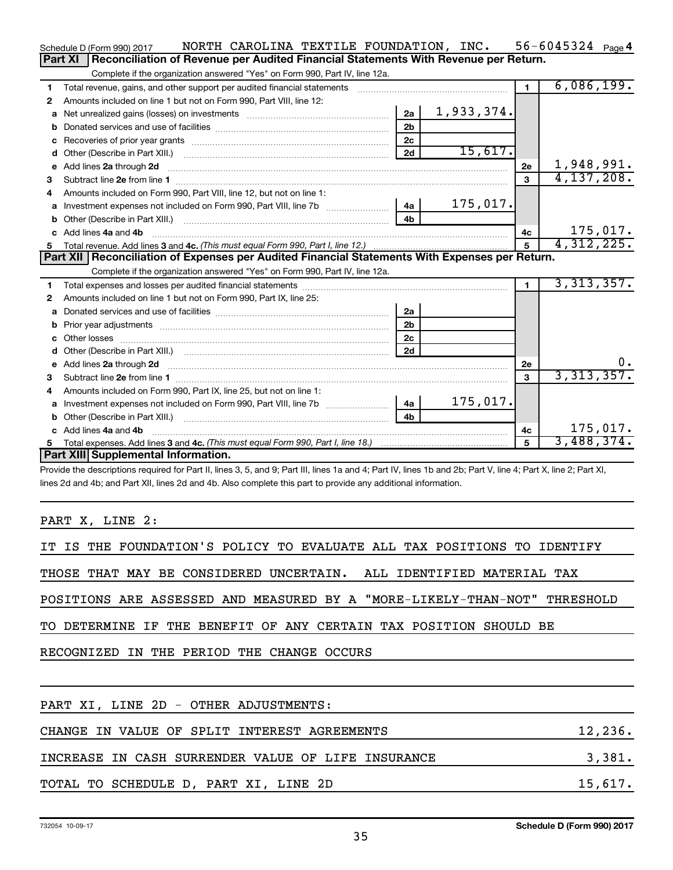|    | NORTH CAROLINA TEXTILE FOUNDATION, INC.<br>Schedule D (Form 990) 2017                                                                                                                                                              |                |            |                | 56-6045324 $_{Page}$ 4 |
|----|------------------------------------------------------------------------------------------------------------------------------------------------------------------------------------------------------------------------------------|----------------|------------|----------------|------------------------|
|    | Reconciliation of Revenue per Audited Financial Statements With Revenue per Return.<br>Part XI                                                                                                                                     |                |            |                |                        |
|    | Complete if the organization answered "Yes" on Form 990, Part IV, line 12a.                                                                                                                                                        |                |            |                |                        |
| 1  | Total revenue, gains, and other support per audited financial statements                                                                                                                                                           |                |            | $\blacksquare$ | 6,086,199.             |
| 2  | Amounts included on line 1 but not on Form 990, Part VIII, line 12:                                                                                                                                                                |                |            |                |                        |
| a  |                                                                                                                                                                                                                                    | 2a             | 1,933,374. |                |                        |
|    |                                                                                                                                                                                                                                    | 2 <sub>b</sub> |            |                |                        |
|    |                                                                                                                                                                                                                                    | 2c             |            |                |                        |
|    |                                                                                                                                                                                                                                    | 2d             | 15,617.    |                |                        |
|    | e Add lines 2a through 2d                                                                                                                                                                                                          |                |            | 2e             | 1,948,991.             |
| 3  |                                                                                                                                                                                                                                    |                |            | 3              | 4, 137, 208.           |
| 4  | Amounts included on Form 990, Part VIII, line 12, but not on line 1:                                                                                                                                                               |                |            |                |                        |
|    |                                                                                                                                                                                                                                    | 4a             | 175,017.   |                |                        |
|    |                                                                                                                                                                                                                                    | 4 <sub>h</sub> |            |                |                        |
|    | c Add lines 4a and 4b                                                                                                                                                                                                              |                |            | 4с             | 175,017.               |
| 5  |                                                                                                                                                                                                                                    |                |            | 5              | 4,312,225.             |
|    | Part XII   Reconciliation of Expenses per Audited Financial Statements With Expenses per Return.                                                                                                                                   |                |            |                |                        |
|    | Complete if the organization answered "Yes" on Form 990, Part IV, line 12a.                                                                                                                                                        |                |            |                |                        |
| 1. |                                                                                                                                                                                                                                    |                |            | $\mathbf 1$    | 3,313,357.             |
| 2  | Amounts included on line 1 but not on Form 990, Part IX, line 25:                                                                                                                                                                  |                |            |                |                        |
| a  |                                                                                                                                                                                                                                    | 2a             |            |                |                        |
| b  |                                                                                                                                                                                                                                    | 2 <sub>b</sub> |            |                |                        |
|    |                                                                                                                                                                                                                                    | 2 <sub>c</sub> |            |                |                        |
|    |                                                                                                                                                                                                                                    | 2d             |            |                |                        |
|    | e Add lines 2a through 2d <b>contract and all an additional and all an</b> and all and an additional and an additional and an additional and an additional and an additional and an additional and an additional and an additional |                |            | 2е             | $0$ .                  |
| 3  |                                                                                                                                                                                                                                    |                |            | 3              | 3,313,357.             |
| 4  | Amounts included on Form 990, Part IX, line 25, but not on line 1:                                                                                                                                                                 |                |            |                |                        |
|    |                                                                                                                                                                                                                                    | 4a             | 175,017.   |                |                        |
|    |                                                                                                                                                                                                                                    | 4 <sub>b</sub> |            |                |                        |
|    | c Add lines 4a and 4b                                                                                                                                                                                                              |                |            | 4c             | 175,017.               |
| 5  |                                                                                                                                                                                                                                    |                |            | 5              | 3,488,374.             |
|    | Part XIII Supplemental Information.                                                                                                                                                                                                |                |            |                |                        |
|    | Provide the descriptions required for Part II, lines 3, 5, and 9; Part III, lines 1a and 4; Part IV, lines 1b and 2b; Part V, line 4; Part X, line 2; Part XI,                                                                     |                |            |                |                        |

lines 2d and 4b; and Part XII, lines 2d and 4b. Also complete this part to provide any additional information.

PART X, LINE 2:

| IT IS THE FOUNDATION'S POLICY TO EVALUATE ALL TAX POSITIONS TO IDENTIFY   |          |
|---------------------------------------------------------------------------|----------|
| THOSE THAT MAY BE CONSIDERED UNCERTAIN. ALL IDENTIFIED MATERIAL TAX       |          |
| POSITIONS ARE ASSESSED AND MEASURED BY A "MORE-LIKELY-THAN-NOT" THRESHOLD |          |
| TO DETERMINE IF THE BENEFIT OF ANY CERTAIN TAX POSITION SHOULD BE         |          |
| RECOGNIZED IN THE PERIOD THE CHANGE OCCURS                                |          |
|                                                                           |          |
| PART XI, LINE 2D - OTHER ADJUSTMENTS:                                     |          |
| CHANGE IN VALUE OF SPLIT INTEREST AGREEMENTS                              | 12, 236. |
| INCREASE IN CASH SURRENDER VALUE OF LIFE INSURANCE                        | 3,381.   |
| TOTAL TO SCHEDULE D, PART XI, LINE 2D                                     | 15,617.  |
|                                                                           |          |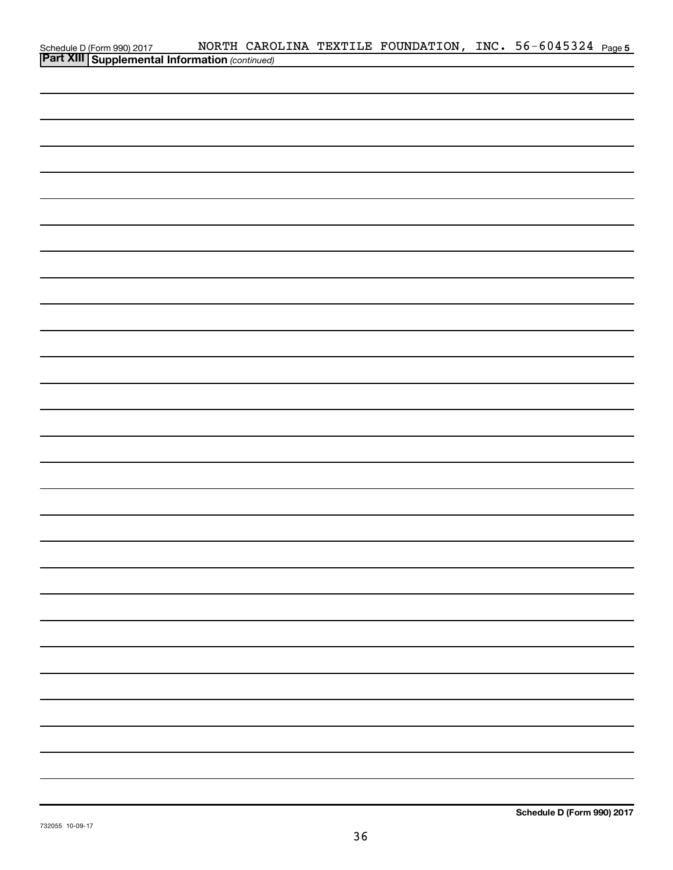| Schedule D (Form 990) 2017 NORTH CARO<br><b>Part XIII   Supplemental Information</b> (continued) | NORTH CAROLINA TEXTILE FOUNDATION, INC. 56-6045324 Page5 |  |  |  |
|--------------------------------------------------------------------------------------------------|----------------------------------------------------------|--|--|--|
|                                                                                                  |                                                          |  |  |  |
|                                                                                                  |                                                          |  |  |  |
|                                                                                                  |                                                          |  |  |  |
|                                                                                                  |                                                          |  |  |  |
|                                                                                                  |                                                          |  |  |  |
|                                                                                                  |                                                          |  |  |  |
|                                                                                                  |                                                          |  |  |  |
|                                                                                                  |                                                          |  |  |  |
|                                                                                                  |                                                          |  |  |  |
|                                                                                                  |                                                          |  |  |  |
|                                                                                                  |                                                          |  |  |  |
|                                                                                                  |                                                          |  |  |  |
|                                                                                                  |                                                          |  |  |  |
|                                                                                                  |                                                          |  |  |  |
|                                                                                                  |                                                          |  |  |  |
|                                                                                                  |                                                          |  |  |  |
|                                                                                                  |                                                          |  |  |  |
|                                                                                                  |                                                          |  |  |  |
|                                                                                                  |                                                          |  |  |  |
|                                                                                                  |                                                          |  |  |  |
|                                                                                                  |                                                          |  |  |  |
|                                                                                                  |                                                          |  |  |  |
|                                                                                                  |                                                          |  |  |  |
|                                                                                                  |                                                          |  |  |  |
|                                                                                                  |                                                          |  |  |  |
|                                                                                                  |                                                          |  |  |  |
|                                                                                                  |                                                          |  |  |  |
|                                                                                                  |                                                          |  |  |  |
|                                                                                                  |                                                          |  |  |  |
|                                                                                                  |                                                          |  |  |  |
|                                                                                                  |                                                          |  |  |  |
|                                                                                                  |                                                          |  |  |  |
|                                                                                                  |                                                          |  |  |  |
|                                                                                                  |                                                          |  |  |  |
|                                                                                                  |                                                          |  |  |  |
|                                                                                                  |                                                          |  |  |  |
|                                                                                                  |                                                          |  |  |  |
|                                                                                                  |                                                          |  |  |  |
|                                                                                                  |                                                          |  |  |  |
|                                                                                                  |                                                          |  |  |  |
|                                                                                                  |                                                          |  |  |  |
|                                                                                                  |                                                          |  |  |  |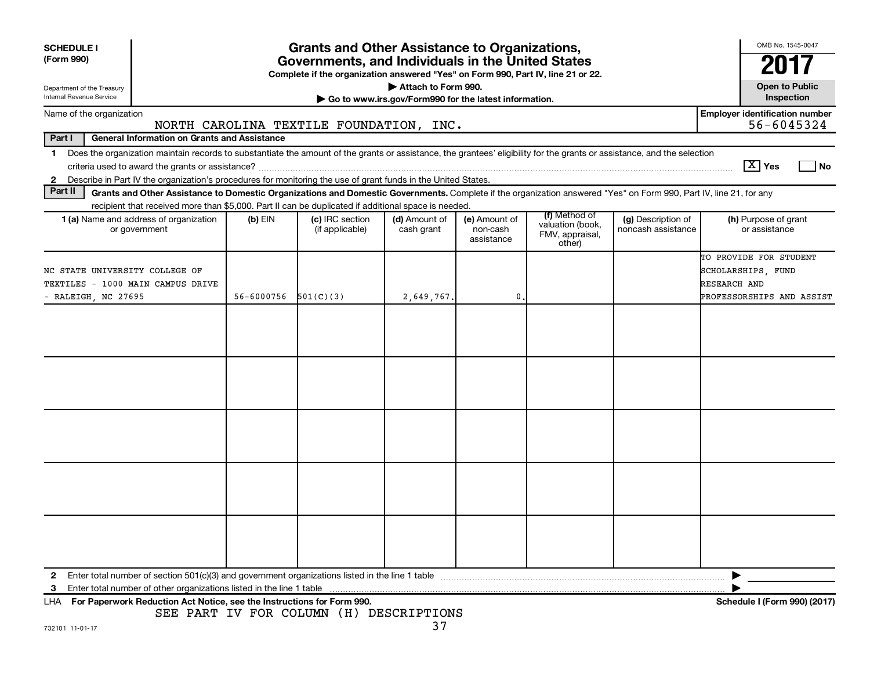| <b>SCHEDULE I</b>                                                                                                                                                                                                                                                                                                                                                            |                                            | <b>Grants and Other Assistance to Organizations,</b>                                                                                  |                                                                              |                                         |                                                                |                                          | OMB No. 1545-0047                                                                         |
|------------------------------------------------------------------------------------------------------------------------------------------------------------------------------------------------------------------------------------------------------------------------------------------------------------------------------------------------------------------------------|--------------------------------------------|---------------------------------------------------------------------------------------------------------------------------------------|------------------------------------------------------------------------------|-----------------------------------------|----------------------------------------------------------------|------------------------------------------|-------------------------------------------------------------------------------------------|
| (Form 990)                                                                                                                                                                                                                                                                                                                                                                   |                                            | Governments, and Individuals in the United States<br>Complete if the organization answered "Yes" on Form 990, Part IV, line 21 or 22. |                                                                              |                                         |                                                                |                                          |                                                                                           |
| Department of the Treasury<br>Internal Revenue Service                                                                                                                                                                                                                                                                                                                       |                                            |                                                                                                                                       | Attach to Form 990.<br>Go to www.irs.gov/Form990 for the latest information. |                                         |                                                                |                                          | <b>Open to Public</b><br>Inspection                                                       |
| Name of the organization                                                                                                                                                                                                                                                                                                                                                     |                                            | NORTH CAROLINA TEXTILE FOUNDATION, INC.                                                                                               |                                                                              |                                         |                                                                |                                          | <b>Employer identification number</b><br>56-6045324                                       |
| Part I<br><b>General Information on Grants and Assistance</b>                                                                                                                                                                                                                                                                                                                |                                            |                                                                                                                                       |                                                                              |                                         |                                                                |                                          |                                                                                           |
| Does the organization maintain records to substantiate the amount of the grants or assistance, the grantees' eligibility for the grants or assistance, and the selection<br>$\mathbf 1$<br>criteria used to award the grants or assistance?<br>Describe in Part IV the organization's procedures for monitoring the use of grant funds in the United States.<br>$\mathbf{2}$ |                                            |                                                                                                                                       |                                                                              |                                         |                                                                |                                          | $\boxed{\text{X}}$ Yes<br>l No                                                            |
| Part II<br>Grants and Other Assistance to Domestic Organizations and Domestic Governments. Complete if the organization answered "Yes" on Form 990, Part IV, line 21, for any                                                                                                                                                                                                |                                            |                                                                                                                                       |                                                                              |                                         |                                                                |                                          |                                                                                           |
| recipient that received more than \$5,000. Part II can be duplicated if additional space is needed.                                                                                                                                                                                                                                                                          |                                            |                                                                                                                                       |                                                                              |                                         |                                                                |                                          |                                                                                           |
| <b>1 (a)</b> Name and address of organization<br>or government                                                                                                                                                                                                                                                                                                               | $(b)$ EIN                                  | (c) IRC section<br>(if applicable)                                                                                                    | (d) Amount of<br>cash grant                                                  | (e) Amount of<br>non-cash<br>assistance | (f) Method of<br>valuation (book,<br>FMV, appraisal,<br>other) | (g) Description of<br>noncash assistance | (h) Purpose of grant<br>or assistance                                                     |
| NC STATE UNIVERSITY COLLEGE OF<br>TEXTILES - 1000 MAIN CAMPUS DRIVE<br>- RALEIGH, NC 27695                                                                                                                                                                                                                                                                                   | 56-6000756<br>501(C)(3)<br>2,649,767.<br>0 |                                                                                                                                       |                                                                              |                                         |                                                                |                                          | TO PROVIDE FOR STUDENT<br>SCHOLARSHIPS, FUND<br>RESEARCH AND<br>PROFESSORSHIPS AND ASSIST |
|                                                                                                                                                                                                                                                                                                                                                                              |                                            |                                                                                                                                       |                                                                              |                                         |                                                                |                                          |                                                                                           |
|                                                                                                                                                                                                                                                                                                                                                                              |                                            |                                                                                                                                       |                                                                              |                                         |                                                                |                                          |                                                                                           |
|                                                                                                                                                                                                                                                                                                                                                                              |                                            |                                                                                                                                       |                                                                              |                                         |                                                                |                                          |                                                                                           |
|                                                                                                                                                                                                                                                                                                                                                                              |                                            |                                                                                                                                       |                                                                              |                                         |                                                                |                                          |                                                                                           |
|                                                                                                                                                                                                                                                                                                                                                                              |                                            |                                                                                                                                       |                                                                              |                                         |                                                                |                                          |                                                                                           |
| 2<br>3<br>LHA For Paperwork Reduction Act Notice, see the Instructions for Form 990.                                                                                                                                                                                                                                                                                         |                                            |                                                                                                                                       |                                                                              |                                         |                                                                |                                          | Schedule I (Form 990) (2017)                                                              |

SEE PART IV FOR COLUMN (H) DESCRIPTIONS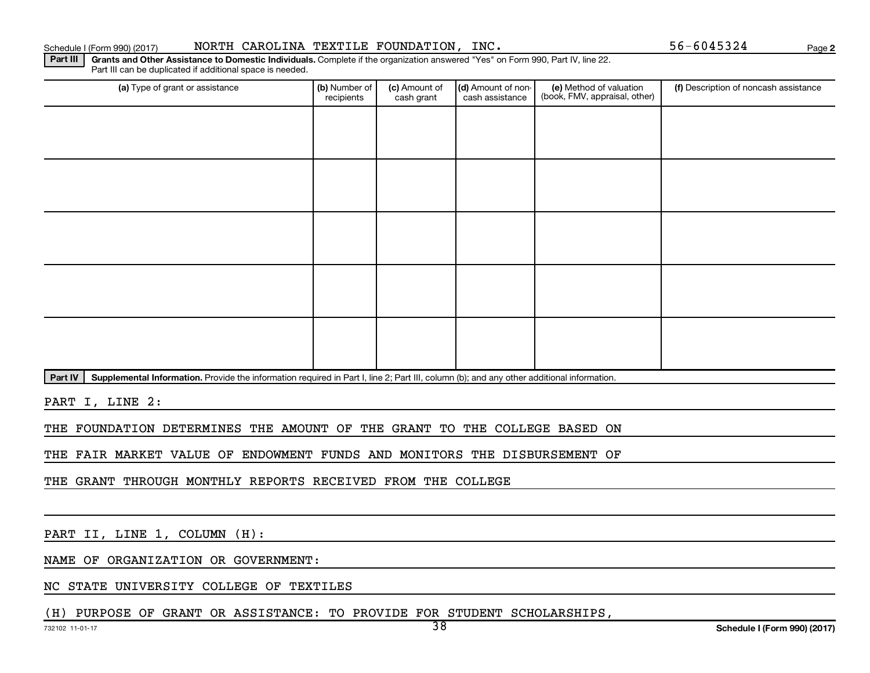#### Schedule I (Form 990) (2017) MORTH CAROLINA TEXTILE FOUNDATION, INC.  $56-6045324$  Page

**2**

Part III | Grants and Other Assistance to Domestic Individuals. Complete if the organization answered "Yes" on Form 990, Part IV, line 22. Part III can be duplicated if additional space is needed.

| (a) Type of grant or assistance | (b) Number of<br>recipients | (c) Amount of<br>cash grant | (d) Amount of non-<br>cash assistance | (e) Method of valuation<br>(book, FMV, appraisal, other) | (f) Description of noncash assistance |
|---------------------------------|-----------------------------|-----------------------------|---------------------------------------|----------------------------------------------------------|---------------------------------------|
|                                 |                             |                             |                                       |                                                          |                                       |
|                                 |                             |                             |                                       |                                                          |                                       |
|                                 |                             |                             |                                       |                                                          |                                       |
|                                 |                             |                             |                                       |                                                          |                                       |
|                                 |                             |                             |                                       |                                                          |                                       |
|                                 |                             |                             |                                       |                                                          |                                       |
|                                 |                             |                             |                                       |                                                          |                                       |
|                                 |                             |                             |                                       |                                                          |                                       |
|                                 |                             |                             |                                       |                                                          |                                       |
|                                 |                             |                             |                                       |                                                          |                                       |

Part IV | Supplemental Information. Provide the information required in Part I, line 2; Part III, column (b); and any other additional information.

PART I, LINE 2:

THE FOUNDATION DETERMINES THE AMOUNT OF THE GRANT TO THE COLLEGE BASED ON

THE FAIR MARKET VALUE OF ENDOWMENT FUNDS AND MONITORS THE DISBURSEMENT OF

THE GRANT THROUGH MONTHLY REPORTS RECEIVED FROM THE COLLEGE

PART II, LINE 1, COLUMN (H):

NAME OF ORGANIZATION OR GOVERNMENT:

NC STATE UNIVERSITY COLLEGE OF TEXTILES

(H) PURPOSE OF GRANT OR ASSISTANCE: TO PROVIDE FOR STUDENT SCHOLARSHIPS,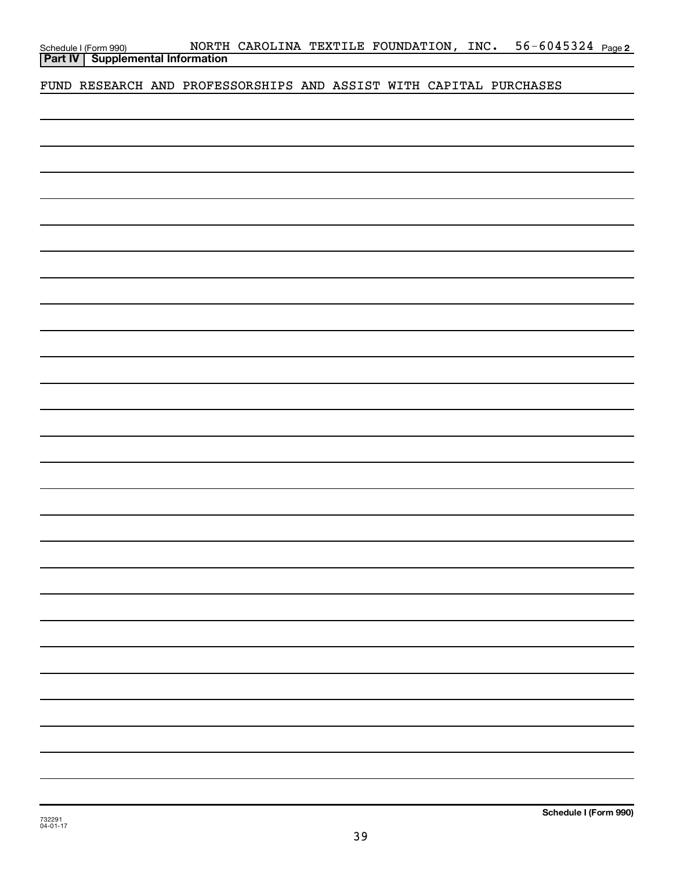| Schedule I (Form 990) |  |
|-----------------------|--|
|                       |  |

FUND RESEARCH AND PROFESSORSHIPS AND ASSIST WITH CAPITAL PURCHASES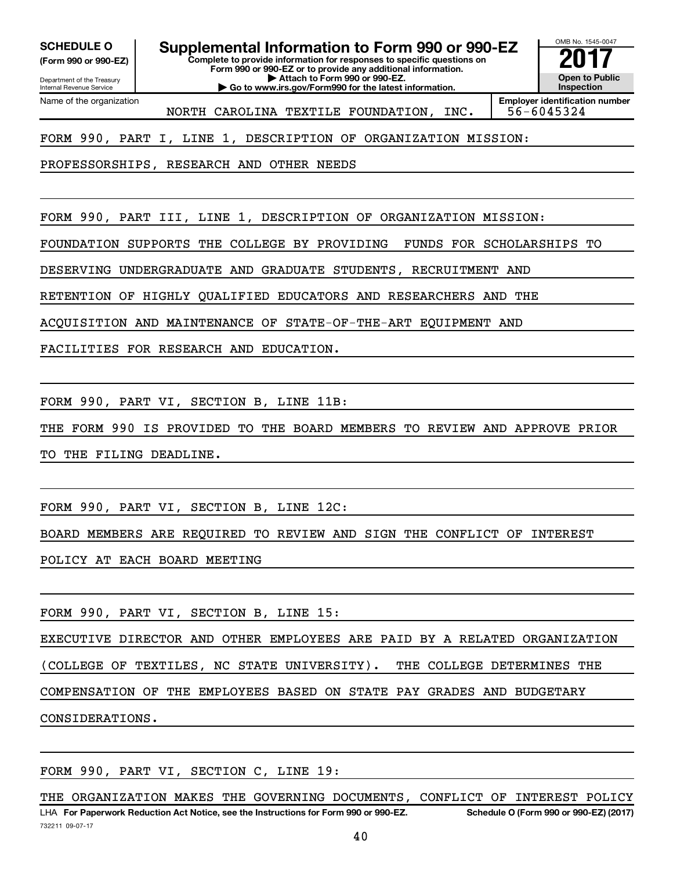**(Form 990 or 990-EZ)**

# **SCHEDULE O Supplemental Information to Form 990 or 990-EZ 2017**<br>(Form 990 or 990-EZ) Complete to provide information for responses to specific questions on

**Complete to provide information for responses to specific questions on Form 990 or 990-EZ or to provide any additional information. | Attach to Form 990 or 990-EZ.**

**| Go to www.irs.gov/Form990 for the latest information.**

**Open to Public Inspection Employer identification number**

OMB No. 1545-0047

Department of the Treasury Internal Revenue Service Name of the organization

NORTH CAROLINA TEXTILE FOUNDATION, INC. 56-6045324

FORM 990, PART I, LINE 1, DESCRIPTION OF ORGANIZATION MISSION:

PROFESSORSHIPS, RESEARCH AND OTHER NEEDS

FORM 990, PART III, LINE 1, DESCRIPTION OF ORGANIZATION MISSION:

FOUNDATION SUPPORTS THE COLLEGE BY PROVIDING FUNDS FOR SCHOLARSHIPS TO

DESERVING UNDERGRADUATE AND GRADUATE STUDENTS, RECRUITMENT AND

RETENTION OF HIGHLY QUALIFIED EDUCATORS AND RESEARCHERS AND THE

ACQUISITION AND MAINTENANCE OF STATE-OF-THE-ART EQUIPMENT AND

FACILITIES FOR RESEARCH AND EDUCATION.

FORM 990, PART VI, SECTION B, LINE 11B:

THE FORM 990 IS PROVIDED TO THE BOARD MEMBERS TO REVIEW AND APPROVE PRIOR

TO THE FILING DEADLINE.

FORM 990, PART VI, SECTION B, LINE 12C:

BOARD MEMBERS ARE REQUIRED TO REVIEW AND SIGN THE CONFLICT OF INTEREST

POLICY AT EACH BOARD MEETING

FORM 990, PART VI, SECTION B, LINE 15:

EXECUTIVE DIRECTOR AND OTHER EMPLOYEES ARE PAID BY A RELATED ORGANIZATION

(COLLEGE OF TEXTILES, NC STATE UNIVERSITY). THE COLLEGE DETERMINES THE

COMPENSATION OF THE EMPLOYEES BASED ON STATE PAY GRADES AND BUDGETARY

CONSIDERATIONS.

FORM 990, PART VI, SECTION C, LINE 19:

732211 09-07-17 LHA For Paperwork Reduction Act Notice, see the Instructions for Form 990 or 990-EZ. Schedule O (Form 990 or 990-EZ) (2017) THE ORGANIZATION MAKES THE GOVERNING DOCUMENTS, CONFLICT OF INTEREST POLICY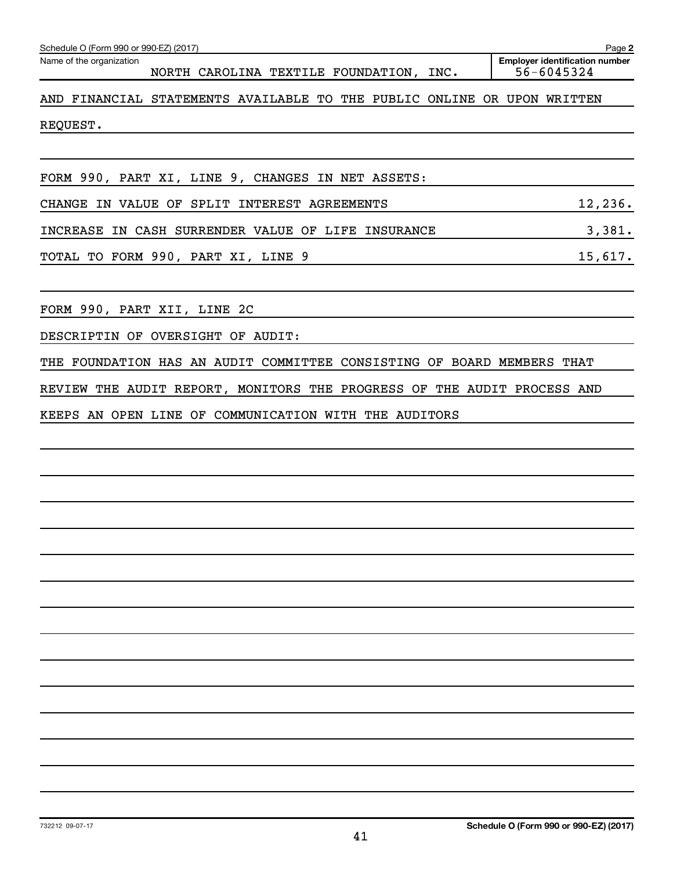| <b>Employer identification number</b><br>Name of the organization<br>56-6045324<br>NORTH CAROLINA TEXTILE FOUNDATION, INC.<br>AND FINANCIAL STATEMENTS AVAILABLE TO THE PUBLIC ONLINE OR UPON WRITTEN<br>REQUEST.<br>FORM 990, PART XI, LINE 9, CHANGES IN NET ASSETS:<br>12,236.<br>CHANGE IN VALUE OF SPLIT INTEREST AGREEMENTS<br>3,381.<br>INCREASE IN CASH SURRENDER VALUE OF LIFE INSURANCE<br>15,617.<br>TOTAL TO FORM 990, PART XI, LINE 9<br>FORM 990, PART XII, LINE 2C<br>DESCRIPTIN OF OVERSIGHT OF AUDIT:<br>THE FOUNDATION HAS AN AUDIT COMMITTEE CONSISTING OF BOARD MEMBERS THAT<br>REVIEW THE AUDIT REPORT, MONITORS THE PROGRESS OF THE AUDIT PROCESS AND<br>KEEPS AN OPEN LINE OF COMMUNICATION WITH THE AUDITORS | Schedule O (Form 990 or 990-EZ) (2017) | Page 2 |
|--------------------------------------------------------------------------------------------------------------------------------------------------------------------------------------------------------------------------------------------------------------------------------------------------------------------------------------------------------------------------------------------------------------------------------------------------------------------------------------------------------------------------------------------------------------------------------------------------------------------------------------------------------------------------------------------------------------------------------------|----------------------------------------|--------|
|                                                                                                                                                                                                                                                                                                                                                                                                                                                                                                                                                                                                                                                                                                                                      |                                        |        |
|                                                                                                                                                                                                                                                                                                                                                                                                                                                                                                                                                                                                                                                                                                                                      |                                        |        |
|                                                                                                                                                                                                                                                                                                                                                                                                                                                                                                                                                                                                                                                                                                                                      |                                        |        |
|                                                                                                                                                                                                                                                                                                                                                                                                                                                                                                                                                                                                                                                                                                                                      |                                        |        |
|                                                                                                                                                                                                                                                                                                                                                                                                                                                                                                                                                                                                                                                                                                                                      |                                        |        |
|                                                                                                                                                                                                                                                                                                                                                                                                                                                                                                                                                                                                                                                                                                                                      |                                        |        |
|                                                                                                                                                                                                                                                                                                                                                                                                                                                                                                                                                                                                                                                                                                                                      |                                        |        |
|                                                                                                                                                                                                                                                                                                                                                                                                                                                                                                                                                                                                                                                                                                                                      |                                        |        |
|                                                                                                                                                                                                                                                                                                                                                                                                                                                                                                                                                                                                                                                                                                                                      |                                        |        |
|                                                                                                                                                                                                                                                                                                                                                                                                                                                                                                                                                                                                                                                                                                                                      |                                        |        |
|                                                                                                                                                                                                                                                                                                                                                                                                                                                                                                                                                                                                                                                                                                                                      |                                        |        |
|                                                                                                                                                                                                                                                                                                                                                                                                                                                                                                                                                                                                                                                                                                                                      |                                        |        |
|                                                                                                                                                                                                                                                                                                                                                                                                                                                                                                                                                                                                                                                                                                                                      |                                        |        |
|                                                                                                                                                                                                                                                                                                                                                                                                                                                                                                                                                                                                                                                                                                                                      |                                        |        |
|                                                                                                                                                                                                                                                                                                                                                                                                                                                                                                                                                                                                                                                                                                                                      |                                        |        |
|                                                                                                                                                                                                                                                                                                                                                                                                                                                                                                                                                                                                                                                                                                                                      |                                        |        |
|                                                                                                                                                                                                                                                                                                                                                                                                                                                                                                                                                                                                                                                                                                                                      |                                        |        |
|                                                                                                                                                                                                                                                                                                                                                                                                                                                                                                                                                                                                                                                                                                                                      |                                        |        |
|                                                                                                                                                                                                                                                                                                                                                                                                                                                                                                                                                                                                                                                                                                                                      |                                        |        |
|                                                                                                                                                                                                                                                                                                                                                                                                                                                                                                                                                                                                                                                                                                                                      |                                        |        |
|                                                                                                                                                                                                                                                                                                                                                                                                                                                                                                                                                                                                                                                                                                                                      |                                        |        |
|                                                                                                                                                                                                                                                                                                                                                                                                                                                                                                                                                                                                                                                                                                                                      |                                        |        |
|                                                                                                                                                                                                                                                                                                                                                                                                                                                                                                                                                                                                                                                                                                                                      |                                        |        |
|                                                                                                                                                                                                                                                                                                                                                                                                                                                                                                                                                                                                                                                                                                                                      |                                        |        |
|                                                                                                                                                                                                                                                                                                                                                                                                                                                                                                                                                                                                                                                                                                                                      |                                        |        |
|                                                                                                                                                                                                                                                                                                                                                                                                                                                                                                                                                                                                                                                                                                                                      |                                        |        |
|                                                                                                                                                                                                                                                                                                                                                                                                                                                                                                                                                                                                                                                                                                                                      |                                        |        |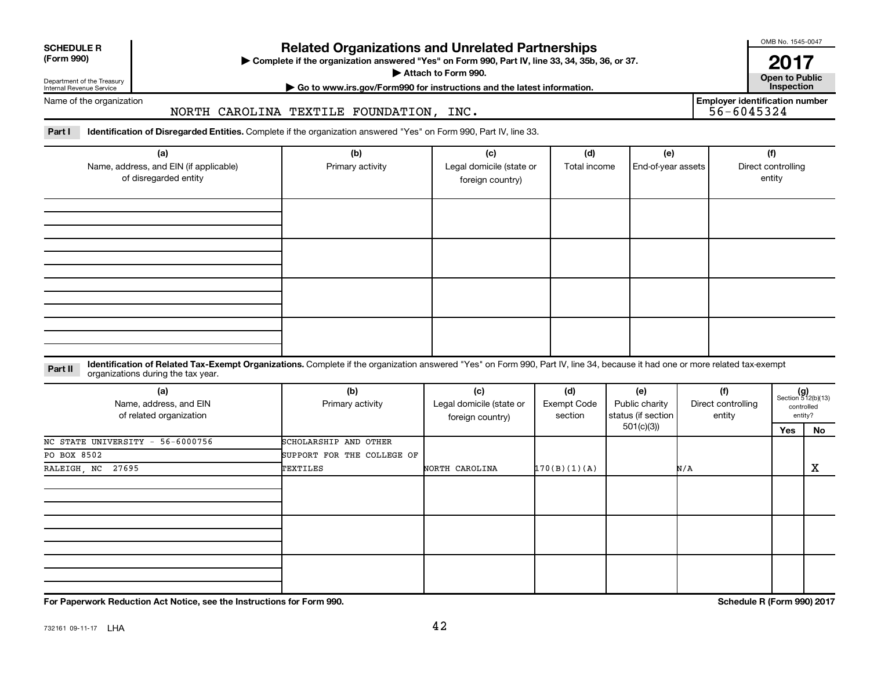| <b>SCHEDULE R</b> |
|-------------------|
|                   |

Department of the Treasury Internal Revenue Service

# **Related Organizations and Unrelated Partnerships**

**(Form 990) Complete if the organization answered "Yes" on Form 990, Part IV, line 33, 34, 35b, 36, or 37.** |

OMB No. 1545-0047 **2017**<br>Open to Public

▶ Attach to Form 990. **Open to Public | Go to www.irs.gov/Form990 for instructions and the latest information. Inspection**

Name of the organization

# NORTH CAROLINA TEXTILE FOUNDATION, INC.

**Employer identification number**

Part I ldentification of Disregarded Entities. Complete if the organization answered "Yes" on Form 990, Part IV, line 33.

| (a)<br>Name, address, and EIN (if applicable)<br>of disregarded entity | (b)<br>Primary activity | (c)<br>Legal domicile (state or<br>foreign country) | (d)<br>Total income | (e)<br>End-of-year assets | (f)<br>Direct controlling<br>entity |
|------------------------------------------------------------------------|-------------------------|-----------------------------------------------------|---------------------|---------------------------|-------------------------------------|
|                                                                        |                         |                                                     |                     |                           |                                     |
|                                                                        |                         |                                                     |                     |                           |                                     |
|                                                                        |                         |                                                     |                     |                           |                                     |
|                                                                        |                         |                                                     |                     |                           |                                     |

**Part II** Identification of Related Tax-Exempt Organizations. Complete if the organization answered "Yes" on Form 990, Part IV, line 34, because it had one or more related tax-exempt<br>Part II acconizations during the tax ye organizations during the tax year.

| (a)<br>Name, address, and EIN<br>of related organization | (b)<br>Primary activity    | (c)<br>Legal domicile (state or<br>foreign country) | (d)<br>Exempt Code<br>section | (e)<br>Public charity<br>status (if section | (f)<br>Direct controlling<br>entity | $(g)$<br>Section 512(b)(13)<br>controlled | entity? |
|----------------------------------------------------------|----------------------------|-----------------------------------------------------|-------------------------------|---------------------------------------------|-------------------------------------|-------------------------------------------|---------|
|                                                          |                            |                                                     | 501(c)(3))                    |                                             |                                     |                                           | No      |
| NC STATE UNIVERSITY - 56-6000756                         | SCHOLARSHIP AND OTHER      |                                                     |                               |                                             |                                     |                                           |         |
| PO BOX 8502                                              | SUPPORT FOR THE COLLEGE OF |                                                     |                               |                                             |                                     |                                           |         |
| RALEIGH, NC 27695                                        | TEXTILES                   | NORTH CAROLINA                                      | 170(B)(1)(A)                  |                                             | N/A                                 |                                           | X       |
|                                                          |                            |                                                     |                               |                                             |                                     |                                           |         |
|                                                          |                            |                                                     |                               |                                             |                                     |                                           |         |
|                                                          |                            |                                                     |                               |                                             |                                     |                                           |         |

**For Paperwork Reduction Act Notice, see the Instructions for Form 990. Schedule R (Form 990) 2017**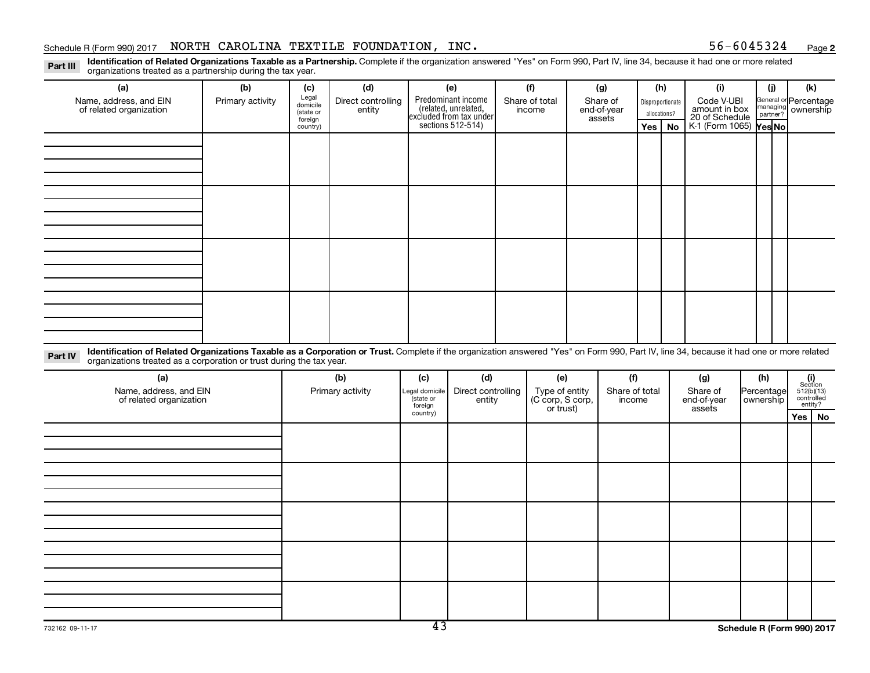#### Schedule R (Form 990) 2017 NORTH CAROLINA TEXTILE FOUNDATION, INC.  $56-6045324$   $_{\rm Page}$

**2**

Part III Identification of Related Organizations Taxable as a Partnership. Complete if the organization answered "Yes" on Form 990, Part IV, line 34, because it had one or more related<br>Part III International tracted as a p organizations treated as a partnership during the tax year.

| (a)                                                                                                                                                                                                                                                                         | (b)              | (c)                                       | (d)                          |                      | (e)                                                                   | (f)                      |                               | (g)                               |                | (h)                                                                               |           | (i)                    | (i)                                         | (k)                   |
|-----------------------------------------------------------------------------------------------------------------------------------------------------------------------------------------------------------------------------------------------------------------------------|------------------|-------------------------------------------|------------------------------|----------------------|-----------------------------------------------------------------------|--------------------------|-------------------------------|-----------------------------------|----------------|-----------------------------------------------------------------------------------|-----------|------------------------|---------------------------------------------|-----------------------|
| Name, address, and EIN<br>of related organization                                                                                                                                                                                                                           | Primary activity | Legal<br>domicile<br>(state or<br>foreign | Direct controlling<br>entity |                      | Predominant income<br>(related, unrelated,<br>excluded from tax under | Share of total<br>income |                               | Share of<br>end-of-year<br>assets |                | Code V-UBI<br>Disproportionate<br>amount in box<br>allocations?<br>20 of Schedule |           |                        | General or Percentage<br>managing ownership |                       |
|                                                                                                                                                                                                                                                                             |                  | country)                                  |                              |                      | sections 512-514)                                                     |                          |                               |                                   |                | <b>Yes</b>                                                                        | <b>No</b> | K-1 (Form 1065) Yes No |                                             |                       |
|                                                                                                                                                                                                                                                                             |                  |                                           |                              |                      |                                                                       |                          |                               |                                   |                |                                                                                   |           |                        |                                             |                       |
|                                                                                                                                                                                                                                                                             |                  |                                           |                              |                      |                                                                       |                          |                               |                                   |                |                                                                                   |           |                        |                                             |                       |
|                                                                                                                                                                                                                                                                             |                  |                                           |                              |                      |                                                                       |                          |                               |                                   |                |                                                                                   |           |                        |                                             |                       |
|                                                                                                                                                                                                                                                                             |                  |                                           |                              |                      |                                                                       |                          |                               |                                   |                |                                                                                   |           |                        |                                             |                       |
|                                                                                                                                                                                                                                                                             |                  |                                           |                              |                      |                                                                       |                          |                               |                                   |                |                                                                                   |           |                        |                                             |                       |
|                                                                                                                                                                                                                                                                             |                  |                                           |                              |                      |                                                                       |                          |                               |                                   |                |                                                                                   |           |                        |                                             |                       |
|                                                                                                                                                                                                                                                                             |                  |                                           |                              |                      |                                                                       |                          |                               |                                   |                |                                                                                   |           |                        |                                             |                       |
|                                                                                                                                                                                                                                                                             |                  |                                           |                              |                      |                                                                       |                          |                               |                                   |                |                                                                                   |           |                        |                                             |                       |
|                                                                                                                                                                                                                                                                             |                  |                                           |                              |                      |                                                                       |                          |                               |                                   |                |                                                                                   |           |                        |                                             |                       |
|                                                                                                                                                                                                                                                                             |                  |                                           |                              |                      |                                                                       |                          |                               |                                   |                |                                                                                   |           |                        |                                             |                       |
|                                                                                                                                                                                                                                                                             |                  |                                           |                              |                      |                                                                       |                          |                               |                                   |                |                                                                                   |           |                        |                                             |                       |
|                                                                                                                                                                                                                                                                             |                  |                                           |                              |                      |                                                                       |                          |                               |                                   |                |                                                                                   |           |                        |                                             |                       |
|                                                                                                                                                                                                                                                                             |                  |                                           |                              |                      |                                                                       |                          |                               |                                   |                |                                                                                   |           |                        |                                             |                       |
|                                                                                                                                                                                                                                                                             |                  |                                           |                              |                      |                                                                       |                          |                               |                                   |                |                                                                                   |           |                        |                                             |                       |
|                                                                                                                                                                                                                                                                             |                  |                                           |                              |                      |                                                                       |                          |                               |                                   |                |                                                                                   |           |                        |                                             |                       |
|                                                                                                                                                                                                                                                                             |                  |                                           |                              |                      |                                                                       |                          |                               |                                   |                |                                                                                   |           |                        |                                             |                       |
| Identification of Related Organizations Taxable as a Corporation or Trust. Complete if the organization answered "Yes" on Form 990, Part IV, line 34, because it had one or more related<br>Part IV<br>organizations treated as a corporation or trust during the tax year. |                  |                                           |                              |                      |                                                                       |                          |                               |                                   |                |                                                                                   |           |                        |                                             |                       |
| (a)                                                                                                                                                                                                                                                                         |                  |                                           | (b)                          | (c)                  | (d)                                                                   |                          | (e)                           |                                   | (f)            |                                                                                   |           | (g)                    | (h)                                         | (i)<br>Section        |
| Name, address, and EIN                                                                                                                                                                                                                                                      |                  |                                           | Primary activity             | Legal domicile       | Direct controlling                                                    |                          | Type of entity                |                                   | Share of total |                                                                                   |           | Share of               | Percentage                                  | 512(b)(13)            |
| of related organization                                                                                                                                                                                                                                                     |                  |                                           |                              | (state or<br>foreign | entity                                                                |                          | (C corp, S corp,<br>or trust) |                                   | income         |                                                                                   |           | end-of-year<br>assets  | ownership                                   | controlled<br>entity? |

| OF FURLOU OF YOU HEALTON |  | foreign<br>country)      | ີບເປເປ | $\vert$ $\circ$ corp, $\circ$ corp, $\vert$ | 11001110 | CHU UT yuur<br>assets | $ $ $\vee$ $\vee$ $\vee$ $\vee$ $\vee$ $\vee$ | entity?  |
|--------------------------|--|--------------------------|--------|---------------------------------------------|----------|-----------------------|-----------------------------------------------|----------|
|                          |  |                          |        |                                             |          |                       |                                               | $Yes$ No |
|                          |  |                          |        |                                             |          |                       |                                               |          |
|                          |  |                          |        |                                             |          |                       |                                               |          |
|                          |  |                          |        |                                             |          |                       |                                               |          |
|                          |  |                          |        |                                             |          |                       |                                               |          |
|                          |  |                          |        |                                             |          |                       |                                               |          |
|                          |  |                          |        |                                             |          |                       |                                               |          |
|                          |  |                          |        |                                             |          |                       |                                               |          |
|                          |  |                          |        |                                             |          |                       |                                               |          |
|                          |  |                          |        |                                             |          |                       |                                               |          |
|                          |  |                          |        |                                             |          |                       |                                               |          |
|                          |  |                          |        |                                             |          |                       |                                               |          |
|                          |  |                          |        |                                             |          |                       |                                               |          |
|                          |  |                          |        |                                             |          |                       |                                               |          |
|                          |  |                          |        |                                             |          |                       |                                               |          |
|                          |  | $\overline{\phantom{a}}$ |        |                                             |          |                       |                                               |          |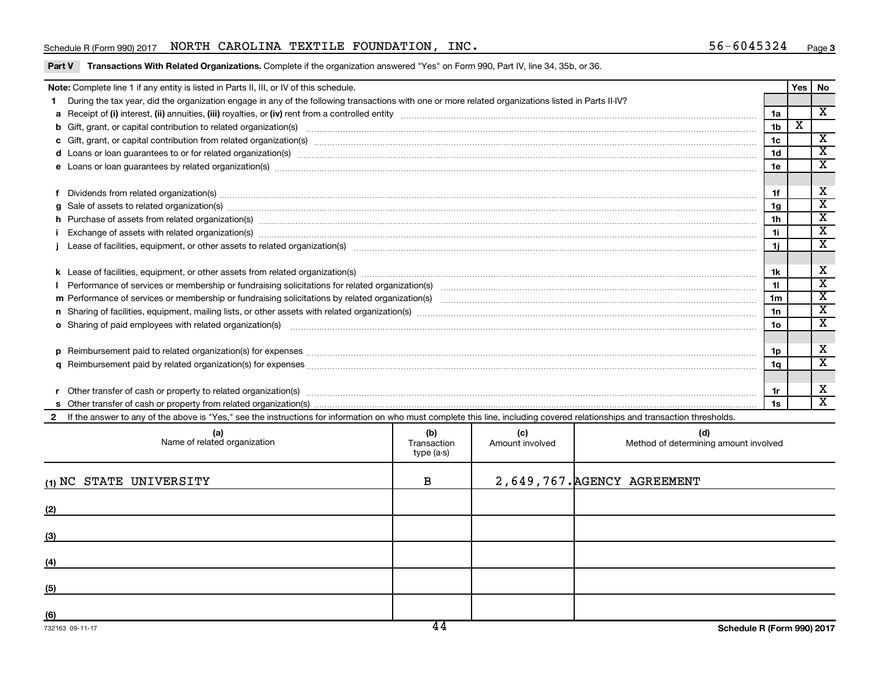#### Schedule R (Form 990) 2017 NORTH CAROLINA TEXTILE FOUNDATION, INC.  $56-6045324$   $_{\rm Page}$

Part V Transactions With Related Organizations. Complete if the organization answered "Yes" on Form 990, Part IV, line 34, 35b, or 36.

|                                                                                                                                                                                                                                                                                                           | Note: Complete line 1 if any entity is listed in Parts II, III, or IV of this schedule.                                                                                                                                        |                                   |                        |                                              |                 | Yes                         | No                           |
|-----------------------------------------------------------------------------------------------------------------------------------------------------------------------------------------------------------------------------------------------------------------------------------------------------------|--------------------------------------------------------------------------------------------------------------------------------------------------------------------------------------------------------------------------------|-----------------------------------|------------------------|----------------------------------------------|-----------------|-----------------------------|------------------------------|
|                                                                                                                                                                                                                                                                                                           | During the tax year, did the organization engage in any of the following transactions with one or more related organizations listed in Parts II-IV?                                                                            |                                   |                        |                                              |                 |                             |                              |
|                                                                                                                                                                                                                                                                                                           |                                                                                                                                                                                                                                |                                   |                        |                                              | 1a              |                             | $\overline{\textbf{x}}$      |
|                                                                                                                                                                                                                                                                                                           | b Gift, grant, or capital contribution to related organization(s) manufaction contribution to related organization(s) manufaction contribution to related organization(s) manufactured contraction contribution to related org |                                   |                        |                                              | 1 <sub>b</sub>  | $\overline{\textnormal{x}}$ |                              |
|                                                                                                                                                                                                                                                                                                           |                                                                                                                                                                                                                                |                                   |                        |                                              | 1 <sub>c</sub>  |                             | $\overline{\textbf{x}}$      |
|                                                                                                                                                                                                                                                                                                           | d Loans or loan guarantees to or for related organization(s) www.communities.com/www.communities.com/www.communities.com/www.communities.com/www.communities.com/www.communities.com/www.communities.com/www.communities.com/w |                                   |                        |                                              | 1 <sub>d</sub>  |                             | $\overline{\mathtt{x}}$      |
|                                                                                                                                                                                                                                                                                                           |                                                                                                                                                                                                                                |                                   |                        |                                              | 1e              |                             | X                            |
|                                                                                                                                                                                                                                                                                                           |                                                                                                                                                                                                                                |                                   |                        |                                              |                 |                             |                              |
|                                                                                                                                                                                                                                                                                                           |                                                                                                                                                                                                                                |                                   |                        |                                              | 1f              |                             | x<br>$\overline{\mathtt{x}}$ |
| $g$ Sale of assets to related organization(s) $\ldots$ $\ldots$ $\ldots$ $\ldots$ $\ldots$ $\ldots$ $\ldots$ $\ldots$ $\ldots$ $\ldots$ $\ldots$ $\ldots$ $\ldots$ $\ldots$ $\ldots$ $\ldots$ $\ldots$ $\ldots$ $\ldots$ $\ldots$ $\ldots$ $\ldots$ $\ldots$ $\ldots$ $\ldots$ $\ldots$<br>1 <sub>q</sub> |                                                                                                                                                                                                                                |                                   |                        |                                              |                 |                             |                              |
|                                                                                                                                                                                                                                                                                                           | h Purchase of assets from related organization(s) manufactured and content to content the content of assets from related organization(s) manufactured and content of the content of the content of the content of the content  |                                   |                        |                                              | 1 <sub>h</sub>  |                             | $\overline{\mathtt{x}}$      |
|                                                                                                                                                                                                                                                                                                           | Exchange of assets with related organization(s) www.assettion.com/www.assettion.com/www.assettion.com/www.assettion.com/www.assettion.com/www.assettion.com/www.assettion.com/www.assettion.com/www.assettion.com/www.assettio |                                   |                        |                                              | 1i.             |                             | $\overline{\mathtt{x}}$      |
|                                                                                                                                                                                                                                                                                                           |                                                                                                                                                                                                                                |                                   |                        |                                              |                 |                             |                              |
|                                                                                                                                                                                                                                                                                                           |                                                                                                                                                                                                                                |                                   |                        |                                              |                 |                             |                              |
|                                                                                                                                                                                                                                                                                                           |                                                                                                                                                                                                                                |                                   |                        |                                              | 1k              |                             | X                            |
|                                                                                                                                                                                                                                                                                                           |                                                                                                                                                                                                                                |                                   |                        |                                              | 11              |                             | $\overline{\mathtt{x}}$      |
|                                                                                                                                                                                                                                                                                                           |                                                                                                                                                                                                                                |                                   |                        |                                              | 1 <sub>m</sub>  |                             | $\overline{\texttt{x}}$      |
|                                                                                                                                                                                                                                                                                                           |                                                                                                                                                                                                                                |                                   |                        |                                              | 1n              |                             | $\overline{\mathtt{x}}$      |
|                                                                                                                                                                                                                                                                                                           | o Sharing of paid employees with related organization(s) manufactured content to the content of the content of the content of the content of the content of the content of the content of the content of the content of the co |                                   |                        |                                              | 10 <sub>o</sub> |                             | $\overline{\textbf{x}}$      |
|                                                                                                                                                                                                                                                                                                           |                                                                                                                                                                                                                                |                                   |                        |                                              |                 |                             |                              |
|                                                                                                                                                                                                                                                                                                           |                                                                                                                                                                                                                                |                                   |                        |                                              | 1p              |                             | X                            |
|                                                                                                                                                                                                                                                                                                           |                                                                                                                                                                                                                                |                                   |                        |                                              | 1q              |                             | $\overline{\mathtt{x}}$      |
|                                                                                                                                                                                                                                                                                                           |                                                                                                                                                                                                                                |                                   |                        |                                              |                 |                             |                              |
|                                                                                                                                                                                                                                                                                                           |                                                                                                                                                                                                                                |                                   |                        |                                              | 1r              |                             | X                            |
| 1s                                                                                                                                                                                                                                                                                                        |                                                                                                                                                                                                                                |                                   |                        |                                              |                 |                             | $\overline{\mathbf{x}}$      |
| $\mathbf{2}$                                                                                                                                                                                                                                                                                              | If the answer to any of the above is "Yes," see the instructions for information on who must complete this line, including covered relationships and transaction thresholds.                                                   |                                   |                        |                                              |                 |                             |                              |
|                                                                                                                                                                                                                                                                                                           | (a)<br>Name of related organization                                                                                                                                                                                            | (b)<br>Transaction<br>$type(a-s)$ | (c)<br>Amount involved | (d)<br>Method of determining amount involved |                 |                             |                              |

| Name of related organization | Transaction<br>type (a-s) | Amount involved | Method of determining amount involved |
|------------------------------|---------------------------|-----------------|---------------------------------------|
| (1) NC STATE UNIVERSITY      | B                         |                 | 2,649,767. AGENCY AGREEMENT           |
| (2)                          |                           |                 |                                       |
| (3)                          |                           |                 |                                       |
| (4)                          |                           |                 |                                       |
| (5)                          |                           |                 |                                       |
| (6)                          | $\overline{1}$            |                 |                                       |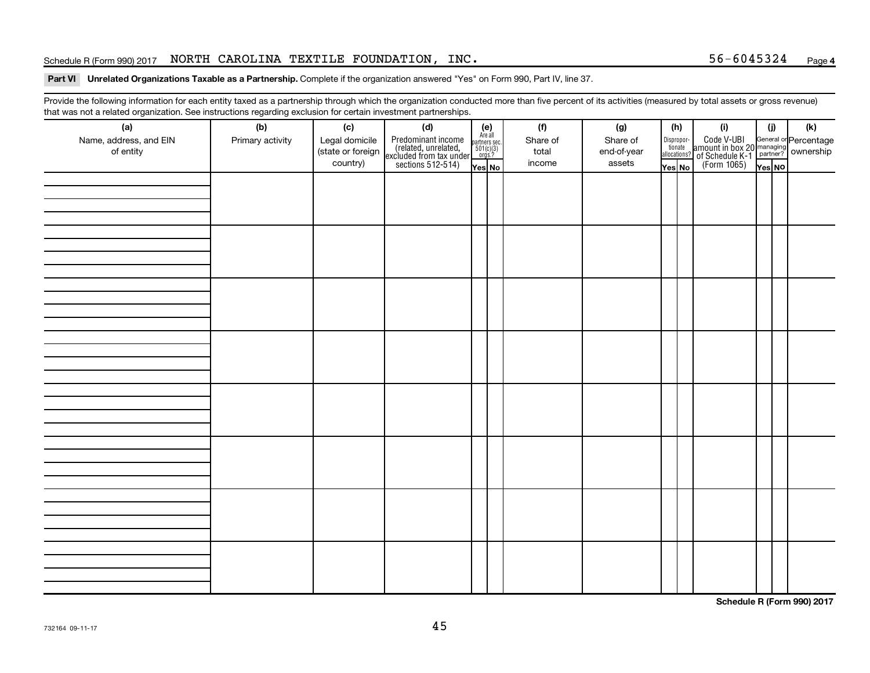#### Schedule R (Form 990) 2017 NORTH CAROLINA TEXTILE FOUNDATION, INC.  $56-6045324$   $_{\rm Page}$

#### Part VI Unrelated Organizations Taxable as a Partnership. Complete if the organization answered "Yes" on Form 990, Part IV, line 37.

Provide the following information for each entity taxed as a partnership through which the organization conducted more than five percent of its activities (measured by total assets or gross revenue) that was not a related organization. See instructions regarding exclusion for certain investment partnerships.

| (a)                                 | $\cdots$ y $\cdots$<br>(b) |                               | . <b>. .</b><br><br>(d)                                                                    |                                                          |  | (f)               | (g)         | (h)                              | (i)                                                                                                         | (i)    | (k) |
|-------------------------------------|----------------------------|-------------------------------|--------------------------------------------------------------------------------------------|----------------------------------------------------------|--|-------------------|-------------|----------------------------------|-------------------------------------------------------------------------------------------------------------|--------|-----|
|                                     |                            | (c)                           |                                                                                            | (e)<br>Are all<br>partners sec.<br>$501(c)(3)$<br>orgs.? |  |                   | Share of    |                                  |                                                                                                             |        |     |
| Name, address, and EIN<br>of entity | Primary activity           | Legal domicile                | Predominant income<br>(related, unrelated,<br>excluded from tax under<br>sections 512-514) |                                                          |  | Share of<br>total |             | Disproportionate<br>allocations? | Code V-UBI<br>amount in box 20 managing<br>of Schedule K-1<br>(Form 1065)<br>$\overline{Y}_{\text{res}}$ No |        |     |
|                                     |                            | (state or foreign<br>country) |                                                                                            |                                                          |  | income            | end-of-year |                                  |                                                                                                             |        |     |
|                                     |                            |                               |                                                                                            | Yes No                                                   |  |                   | assets      | Yes No                           |                                                                                                             | Yes NO |     |
|                                     |                            |                               |                                                                                            |                                                          |  |                   |             |                                  |                                                                                                             |        |     |
|                                     |                            |                               |                                                                                            |                                                          |  |                   |             |                                  |                                                                                                             |        |     |
|                                     |                            |                               |                                                                                            |                                                          |  |                   |             |                                  |                                                                                                             |        |     |
|                                     |                            |                               |                                                                                            |                                                          |  |                   |             |                                  |                                                                                                             |        |     |
|                                     |                            |                               |                                                                                            |                                                          |  |                   |             |                                  |                                                                                                             |        |     |
|                                     |                            |                               |                                                                                            |                                                          |  |                   |             |                                  |                                                                                                             |        |     |
|                                     |                            |                               |                                                                                            |                                                          |  |                   |             |                                  |                                                                                                             |        |     |
|                                     |                            |                               |                                                                                            |                                                          |  |                   |             |                                  |                                                                                                             |        |     |
|                                     |                            |                               |                                                                                            |                                                          |  |                   |             |                                  |                                                                                                             |        |     |
|                                     |                            |                               |                                                                                            |                                                          |  |                   |             |                                  |                                                                                                             |        |     |
|                                     |                            |                               |                                                                                            |                                                          |  |                   |             |                                  |                                                                                                             |        |     |
|                                     |                            |                               |                                                                                            |                                                          |  |                   |             |                                  |                                                                                                             |        |     |
|                                     |                            |                               |                                                                                            |                                                          |  |                   |             |                                  |                                                                                                             |        |     |
|                                     |                            |                               |                                                                                            |                                                          |  |                   |             |                                  |                                                                                                             |        |     |
|                                     |                            |                               |                                                                                            |                                                          |  |                   |             |                                  |                                                                                                             |        |     |
|                                     |                            |                               |                                                                                            |                                                          |  |                   |             |                                  |                                                                                                             |        |     |
|                                     |                            |                               |                                                                                            |                                                          |  |                   |             |                                  |                                                                                                             |        |     |
|                                     |                            |                               |                                                                                            |                                                          |  |                   |             |                                  |                                                                                                             |        |     |
|                                     |                            |                               |                                                                                            |                                                          |  |                   |             |                                  |                                                                                                             |        |     |
|                                     |                            |                               |                                                                                            |                                                          |  |                   |             |                                  |                                                                                                             |        |     |
|                                     |                            |                               |                                                                                            |                                                          |  |                   |             |                                  |                                                                                                             |        |     |
|                                     |                            |                               |                                                                                            |                                                          |  |                   |             |                                  |                                                                                                             |        |     |
|                                     |                            |                               |                                                                                            |                                                          |  |                   |             |                                  |                                                                                                             |        |     |
|                                     |                            |                               |                                                                                            |                                                          |  |                   |             |                                  |                                                                                                             |        |     |
|                                     |                            |                               |                                                                                            |                                                          |  |                   |             |                                  |                                                                                                             |        |     |
|                                     |                            |                               |                                                                                            |                                                          |  |                   |             |                                  |                                                                                                             |        |     |
|                                     |                            |                               |                                                                                            |                                                          |  |                   |             |                                  |                                                                                                             |        |     |
|                                     |                            |                               |                                                                                            |                                                          |  |                   |             |                                  |                                                                                                             |        |     |
|                                     |                            |                               |                                                                                            |                                                          |  |                   |             |                                  |                                                                                                             |        |     |
|                                     |                            |                               |                                                                                            |                                                          |  |                   |             |                                  |                                                                                                             |        |     |
|                                     |                            |                               |                                                                                            |                                                          |  |                   |             |                                  |                                                                                                             |        |     |
|                                     |                            |                               |                                                                                            |                                                          |  |                   |             |                                  |                                                                                                             |        |     |
|                                     |                            |                               |                                                                                            |                                                          |  |                   |             |                                  |                                                                                                             |        |     |
|                                     |                            |                               |                                                                                            |                                                          |  |                   |             |                                  |                                                                                                             |        |     |
|                                     |                            |                               |                                                                                            |                                                          |  |                   |             |                                  |                                                                                                             |        |     |
|                                     |                            |                               |                                                                                            |                                                          |  |                   |             |                                  |                                                                                                             |        |     |
|                                     |                            |                               |                                                                                            |                                                          |  |                   |             |                                  |                                                                                                             |        |     |

**Schedule R (Form 990) 2017**